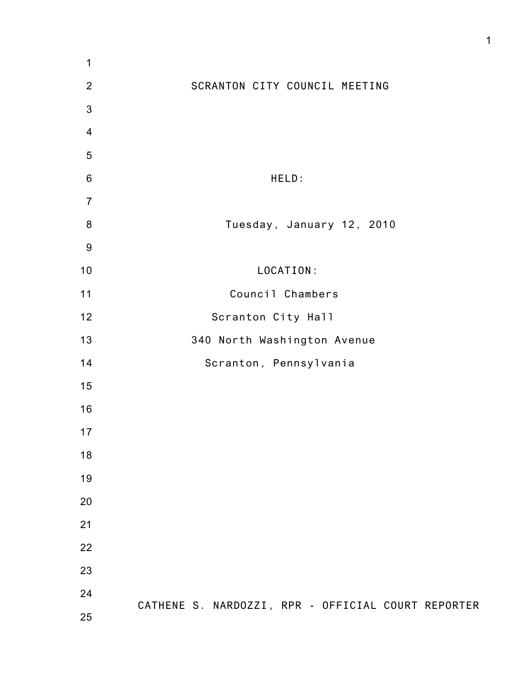| $\mathbf 1$    |                                                    |
|----------------|----------------------------------------------------|
| $\overline{2}$ | SCRANTON CITY COUNCIL MEETING                      |
| $\mathbf{3}$   |                                                    |
| $\overline{4}$ |                                                    |
| $\sqrt{5}$     |                                                    |
| $\,6$          | HELD:                                              |
| $\overline{7}$ |                                                    |
| $\,8\,$        | Tuesday, January 12, 2010                          |
| $9\,$          |                                                    |
| 10             | LOCATION:                                          |
| 11             | Council Chambers                                   |
| 12             | Scranton City Hall                                 |
| 13             | 340 North Washington Avenue                        |
| 14             | Scranton, Pennsylvania                             |
| 15             |                                                    |
| 16             |                                                    |
| 17             |                                                    |
| 18             |                                                    |
| 19             |                                                    |
| 20             |                                                    |
| 21             |                                                    |
| 22             |                                                    |
| 23             |                                                    |
| 24             | CATHENE S. NARDOZZI, RPR - OFFICIAL COURT REPORTER |
| 25             |                                                    |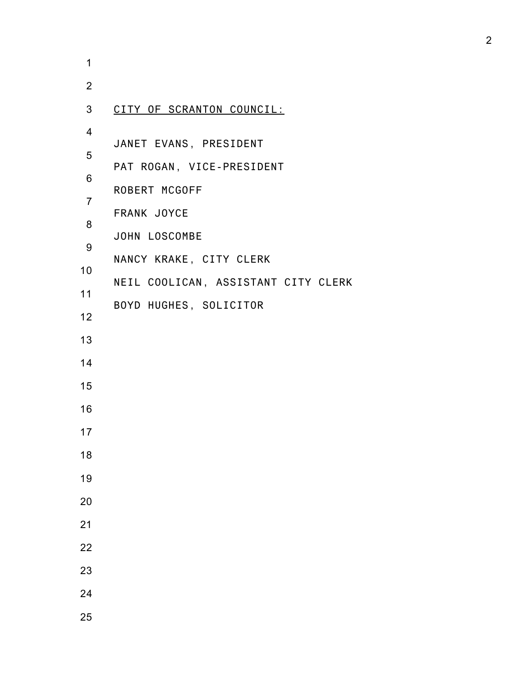| $\mathbf{1}$   |                                     |
|----------------|-------------------------------------|
| $\overline{2}$ |                                     |
| 3              | CITY OF SCRANTON COUNCIL:           |
| $\overline{4}$ | JANET EVANS, PRESIDENT              |
| 5              | PAT ROGAN, VICE-PRESIDENT           |
| 6              | ROBERT MCGOFF                       |
| $\overline{7}$ | FRANK JOYCE                         |
| 8              | JOHN LOSCOMBE                       |
| 9              | NANCY KRAKE, CITY CLERK             |
| 10             | NEIL COOLICAN, ASSISTANT CITY CLERK |
| 11             | BOYD HUGHES, SOLICITOR              |
| 12             |                                     |
| 13             |                                     |
| 14             |                                     |
| 15             |                                     |
| 16             |                                     |
| 17             |                                     |
| 18             |                                     |
| 19             |                                     |
| 20             |                                     |
| 21             |                                     |
| 22             |                                     |
| 23             |                                     |
| 24             |                                     |
| 25             |                                     |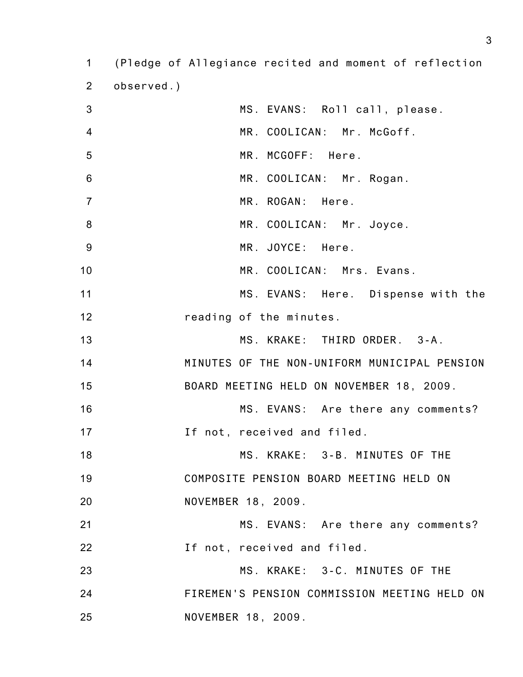1 2 3 4 5 6 7 8 9 10 11 12 13 14 15 16 17 18 19 20 21 22 23 24 25 (Pledge of Allegiance recited and moment of reflection observed.) MS. EVANS: Roll call, please. MR. COOLICAN: Mr. McGoff. MR. MCGOFF: Here. MR. COOLICAN: Mr. Rogan. MR. ROGAN: Here. MR. COOLICAN: Mr. Joyce. MR. JOYCE: Here. MR. COOLICAN: Mrs. Evans. MS. EVANS: Here. Dispense with the reading of the minutes. MS. KRAKE: THIRD ORDER. 3-A. MINUTES OF THE NON-UNIFORM MUNICIPAL PENSION BOARD MEETING HELD ON NOVEMBER 18, 2009. MS. EVANS: Are there any comments? If not, received and filed. MS. KRAKE: 3-B. MINUTES OF THE COMPOSITE PENSION BOARD MEETING HELD ON NOVEMBER 18, 2009. MS. EVANS: Are there any comments? If not, received and filed. MS. KRAKE: 3-C. MINUTES OF THE FIREMEN'S PENSION COMMISSION MEETING HELD ON NOVEMBER 18, 2009.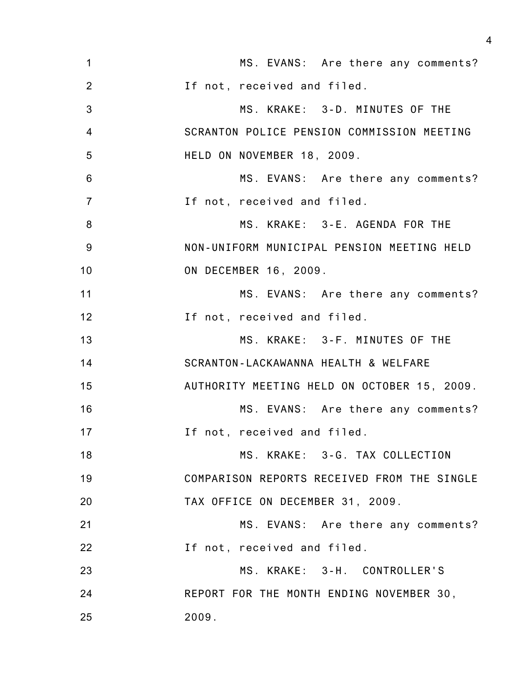| $\mathbf 1$    | MS. EVANS: Are there any comments?          |
|----------------|---------------------------------------------|
| 2              | If not, received and filed.                 |
| 3              | MS. KRAKE: 3-D. MINUTES OF THE              |
| 4              | SCRANTON POLICE PENSION COMMISSION MEETING  |
| 5              | HELD ON NOVEMBER 18, 2009.                  |
| $6\phantom{1}$ | MS. EVANS: Are there any comments?          |
| $\overline{7}$ | If not, received and filed.                 |
| 8              | MS. KRAKE: 3-E. AGENDA FOR THE              |
| 9              | NON-UNIFORM MUNICIPAL PENSION MEETING HELD  |
| 10             | ON DECEMBER 16, 2009.                       |
| 11             | MS. EVANS: Are there any comments?          |
| 12             | If not, received and filed.                 |
| 13             | MS. KRAKE: 3-F. MINUTES OF THE              |
| 14             | SCRANTON-LACKAWANNA HEALTH & WELFARE        |
| 15             | AUTHORITY MEETING HELD ON OCTOBER 15, 2009. |
| 16             | MS. EVANS: Are there any comments?          |
| 17             | If not, received and filed.                 |
| 18             | MS. KRAKE: 3-G. TAX COLLECTION              |
| 19             | COMPARISON REPORTS RECEIVED FROM THE SINGLE |
| 20             | TAX OFFICE ON DECEMBER 31, 2009.            |
| 21             | MS. EVANS: Are there any comments?          |
| 22             | If not, received and filed.                 |
| 23             | MS. KRAKE: 3-H. CONTROLLER'S                |
| 24             | REPORT FOR THE MONTH ENDING NOVEMBER 30,    |
| 25             | 2009.                                       |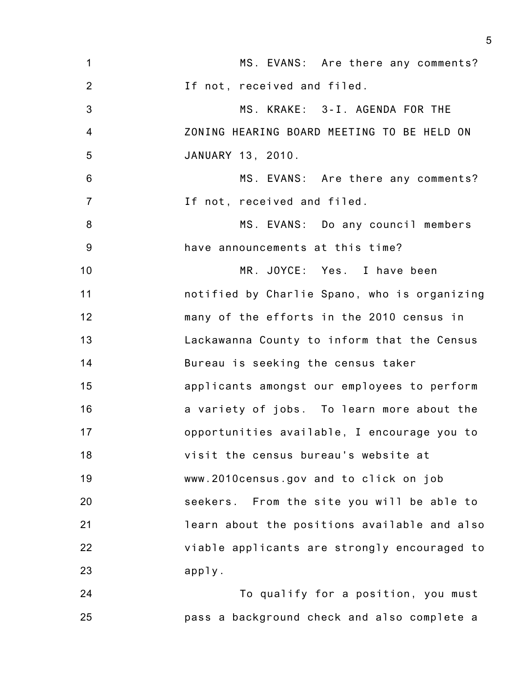| $\mathbf 1$    | MS. EVANS: Are there any comments?           |
|----------------|----------------------------------------------|
| $\overline{2}$ | If not, received and filed.                  |
| 3              | MS. KRAKE: 3-I. AGENDA FOR THE               |
| 4              | ZONING HEARING BOARD MEETING TO BE HELD ON   |
| 5              | JANUARY 13, 2010.                            |
| 6              | MS. EVANS: Are there any comments?           |
| $\overline{7}$ | If not, received and filed.                  |
| 8              | MS. EVANS: Do any council members            |
| $9\,$          | have announcements at this time?             |
| 10             | MR. JOYCE: Yes. I have been                  |
| 11             | notified by Charlie Spano, who is organizing |
| 12             | many of the efforts in the 2010 census in    |
| 13             | Lackawanna County to inform that the Census  |
| 14             | Bureau is seeking the census taker           |
| 15             | applicants amongst our employees to perform  |
| 16             | a variety of jobs. To learn more about the   |
| 17             | opportunities available, I encourage you to  |
| 18             | visit the census bureau's website at         |
| 19             | www.2010census.gov and to click on job       |
| 20             | seekers. From the site you will be able to   |
| 21             | learn about the positions available and also |
| 22             | viable applicants are strongly encouraged to |
| 23             | apply.                                       |
| 24             | To qualify for a position, you must          |

pass a background check and also complete a

25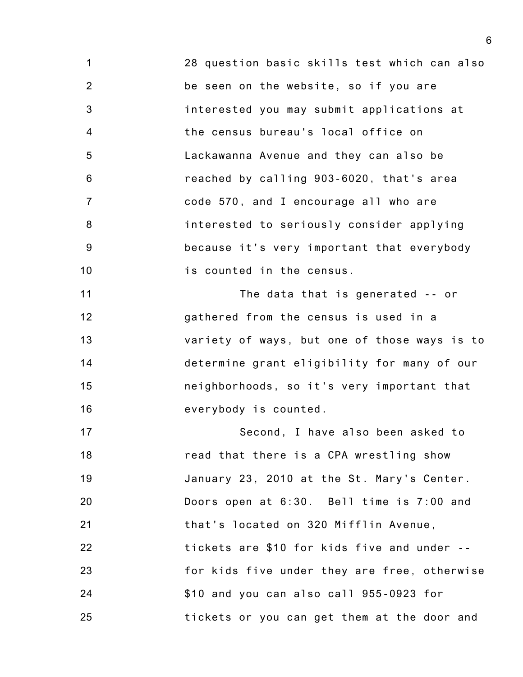1 2 3 4 5 6 7 8 9 10 28 question basic skills test which can also be seen on the website, so if you are interested you may submit applications at the census bureau's local office on Lackawanna Avenue and they can also be reached by calling 903-6020, that's area code 570, and I encourage all who are interested to seriously consider applying because it's very important that everybody is counted in the census.

11 12 13 14 15 16 The data that is generated -- or gathered from the census is used in a variety of ways, but one of those ways is to determine grant eligibility for many of our neighborhoods, so it's very important that everybody is counted.

17 18 19 20 21 22 23 24 25 Second, I have also been asked to read that there is a CPA wrestling show January 23, 2010 at the St. Mary's Center. Doors open at 6:30. Bell time is 7:00 and that's located on 320 Mifflin Avenue, tickets are \$10 for kids five and under - for kids five under they are free, otherwise \$10 and you can also call 955-0923 for tickets or you can get them at the door and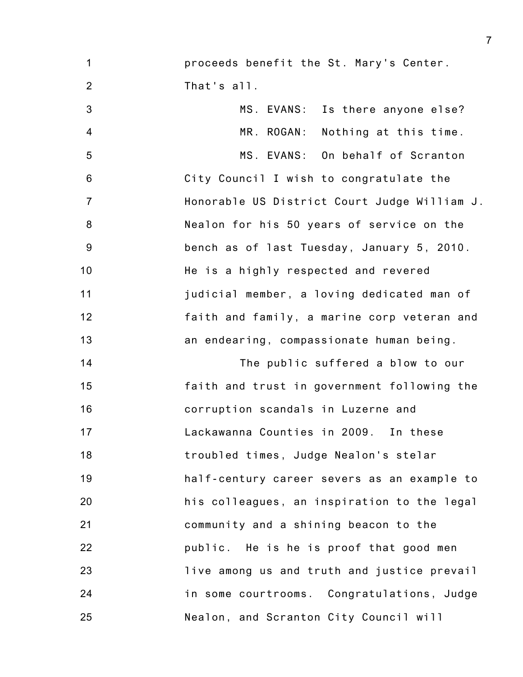1 2 proceeds benefit the St. Mary's Center. That's all.

3 4 5 6 7 8 9 10 11 12 13 MS. EVANS: Is there anyone else? MR. ROGAN: Nothing at this time. MS. EVANS: On behalf of Scranton City Council I wish to congratulate the Honorable US District Court Judge William J. Nealon for his 50 years of service on the bench as of last Tuesday, January 5, 2010. He is a highly respected and revered judicial member, a loving dedicated man of faith and family, a marine corp veteran and an endearing, compassionate human being.

14 15 16 17 18 19 20 21 22 23 24 25 The public suffered a blow to our faith and trust in government following the corruption scandals in Luzerne and Lackawanna Counties in 2009. In these troubled times, Judge Nealon's stelar half-century career severs as an example to his colleagues, an inspiration to the legal community and a shining beacon to the public. He is he is proof that good men live among us and truth and justice prevail in some courtrooms. Congratulations, Judge Nealon, and Scranton City Council will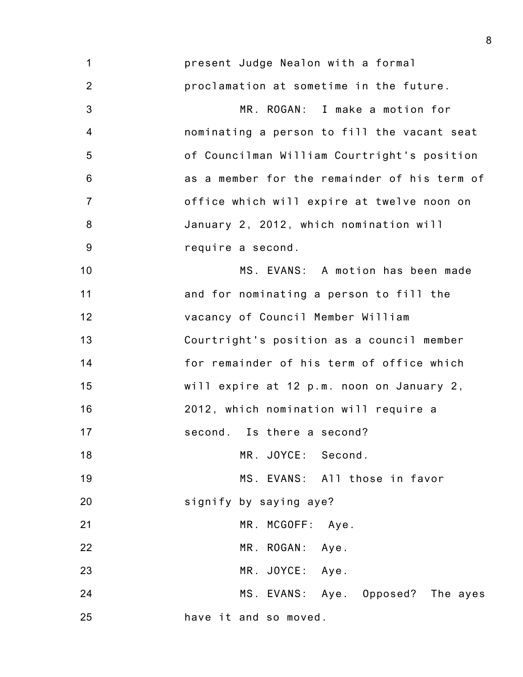1 2 3 4 5 6 7 8 9 10 11 12 13 14 15 16 17 18 19 20 21 22 23 24 25 present Judge Nealon with a formal proclamation at sometime in the future. MR. ROGAN: I make a motion for nominating a person to fill the vacant seat of Councilman William Courtright's position as a member for the remainder of his term of office which will expire at twelve noon on January 2, 2012, which nomination will require a second. MS. EVANS: A motion has been made and for nominating a person to fill the vacancy of Council Member William Courtright's position as a council member for remainder of his term of office which will expire at 12 p.m. noon on January 2, 2012, which nomination will require a second. Is there a second? MR. JOYCE: Second. MS. EVANS: All those in favor signify by saying aye? MR. MCGOFF: Aye. MR. ROGAN: Aye. MR. JOYCE: Aye. MS. EVANS: Aye. Opposed? The ayes have it and so moved.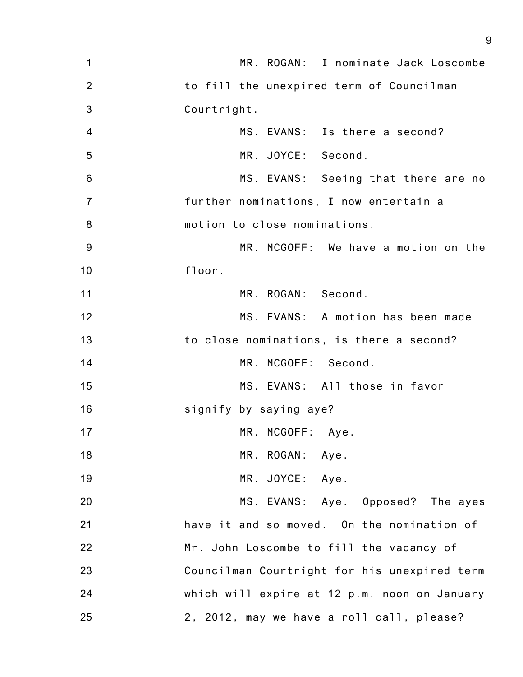| $\mathbf 1$    | MR. ROGAN: I nominate Jack Loscombe          |
|----------------|----------------------------------------------|
| 2              | to fill the unexpired term of Councilman     |
| 3              | Courtright.                                  |
| $\overline{4}$ | MS. EVANS: Is there a second?                |
| 5              | MR. JOYCE: Second.                           |
| $6\,$          | MS. EVANS: Seeing that there are no          |
| $\overline{7}$ | further nominations, I now entertain a       |
| 8              | motion to close nominations.                 |
| 9              | MR. MCGOFF: We have a motion on the          |
| 10             | floor.                                       |
| 11             | MR. ROGAN: Second.                           |
| 12             | MS. EVANS: A motion has been made            |
| 13             | to close nominations, is there a second?     |
| 14             | MR. MCGOFF: Second.                          |
| 15             | MS. EVANS: All those in favor                |
| 16             | signify by saying aye?                       |
| 17             | MR. MCGOFF: Aye.                             |
| 18             | MR. ROGAN: Aye.                              |
| 19             | MR. JOYCE: Aye.                              |
| 20             | MS. EVANS: Aye. Opposed? The ayes            |
| 21             | have it and so moved. On the nomination of   |
| 22             | Mr. John Loscombe to fill the vacancy of     |
| 23             | Councilman Courtright for his unexpired term |
| 24             | which will expire at 12 p.m. noon on January |
| 25             | 2, 2012, may we have a roll call, please?    |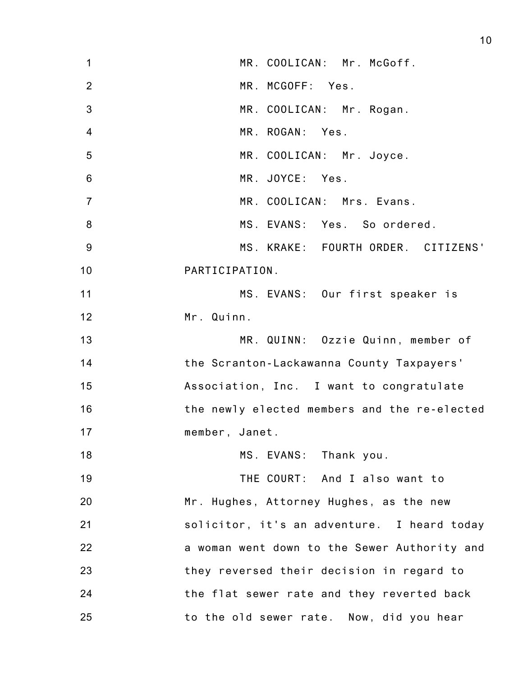1 2 3 4 5 6 7 8 9 10 11 12 13 14 15 16 17 18 19 20 21 22 23 24 25 MR. COOLICAN: Mr. McGoff. MR. MCGOFF: Yes. MR. COOLICAN: Mr. Rogan. MR. ROGAN: Yes. MR. COOLICAN: Mr. Joyce. MR. JOYCE: Yes. MR. COOLICAN: Mrs. Evans. MS. EVANS: Yes. So ordered. MS. KRAKE: FOURTH ORDER. CITIZENS' PARTICIPATION. MS. EVANS: Our first speaker is Mr. Quinn. MR. QUINN: Ozzie Quinn, member of the Scranton-Lackawanna County Taxpayers' Association, Inc. I want to congratulate the newly elected members and the re-elected member, Janet. MS. EVANS: Thank you. THE COURT: And I also want to Mr. Hughes, Attorney Hughes, as the new solicitor, it's an adventure. I heard today a woman went down to the Sewer Authority and they reversed their decision in regard to the flat sewer rate and they reverted back to the old sewer rate. Now, did you hear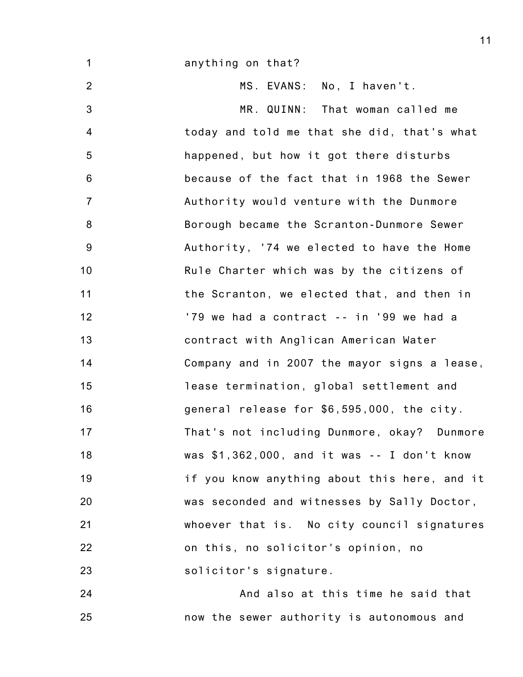| 1              | anything on that?                             |
|----------------|-----------------------------------------------|
| $\overline{2}$ | MS. EVANS: No, I haven't.                     |
| 3              | MR. QUINN: That woman called me               |
| 4              | today and told me that she did, that's what   |
| 5              | happened, but how it got there disturbs       |
| 6              | because of the fact that in 1968 the Sewer    |
| $\overline{7}$ | Authority would venture with the Dunmore      |
| 8              | Borough became the Scranton-Dunmore Sewer     |
| 9              | Authority, '74 we elected to have the Home    |
| 10             | Rule Charter which was by the citizens of     |
| 11             | the Scranton, we elected that, and then in    |
| 12             | '79 we had a contract -- in '99 we had a      |
| 13             | contract with Anglican American Water         |
| 14             | Company and in 2007 the mayor signs a lease,  |
| 15             | lease termination, global settlement and      |
| 16             | general release for \$6,595,000, the city.    |
| 17             | That's not including Dunmore, okay? Dunmore   |
| 18             | was $$1,362,000$ , and it was -- I don't know |
| 19             | if you know anything about this here, and it  |
| 20             | was seconded and witnesses by Sally Doctor,   |
| 21             | whoever that is. No city council signatures   |
| 22             | on this, no solicitor's opinion, no           |
| 23             | solicitor's signature.                        |
| 24             | And also at this time he said that            |

now the sewer authority is autonomous and

11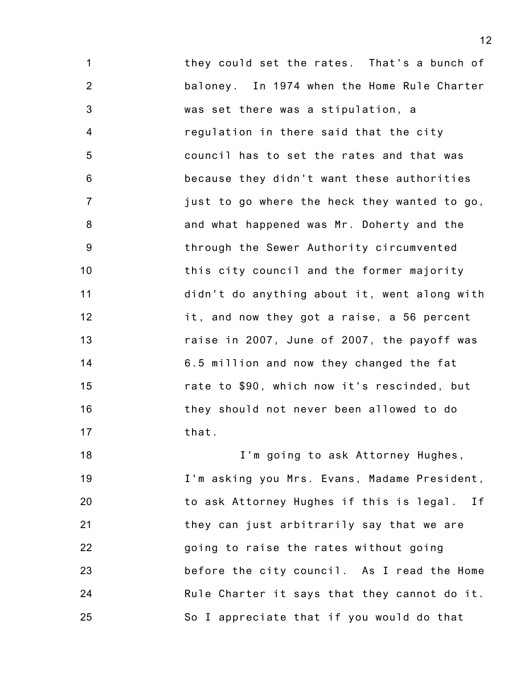1 2 3 4 5 6 7 8 9 10 11 12 13 14 15 16 17 they could set the rates. That's a bunch of baloney. In 1974 when the Home Rule Charter was set there was a stipulation, a regulation in there said that the city council has to set the rates and that was because they didn't want these authorities just to go where the heck they wanted to go, and what happened was Mr. Doherty and the through the Sewer Authority circumvented this city council and the former majority didn't do anything about it, went along with it, and now they got a raise, a 56 percent raise in 2007, June of 2007, the payoff was 6.5 million and now they changed the fat rate to \$90, which now it's rescinded, but they should not never been allowed to do that.

18 19 20 21 22 23 24 25 I'm going to ask Attorney Hughes, I'm asking you Mrs. Evans, Madame President, to ask Attorney Hughes if this is legal. If they can just arbitrarily say that we are going to raise the rates without going before the city council. As I read the Home Rule Charter it says that they cannot do it. So I appreciate that if you would do that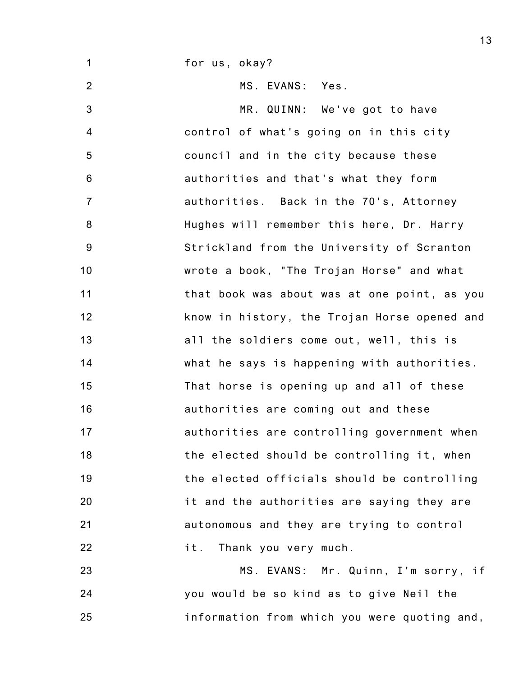| 1              | for us, okay?                                |
|----------------|----------------------------------------------|
| $\overline{2}$ | MS. EVANS: Yes.                              |
| $\mathbf{3}$   | MR. QUINN: We've got to have                 |
| $\overline{4}$ | control of what's going on in this city      |
| 5              | council and in the city because these        |
| $\,6$          | authorities and that's what they form        |
| $\overline{7}$ | authorities. Back in the 70's, Attorney      |
| 8              | Hughes will remember this here, Dr. Harry    |
| $9\,$          | Strickland from the University of Scranton   |
| 10             | wrote a book, "The Trojan Horse" and what    |
| 11             | that book was about was at one point, as you |
| 12             | know in history, the Trojan Horse opened and |
| 13             | all the soldiers come out, well, this is     |
| 14             | what he says is happening with authorities.  |
| 15             | That horse is opening up and all of these    |
| 16             | authorities are coming out and these         |
| 17             | authorities are controlling government when  |
| 18             | the elected should be controlling it, when   |
| 19             | the elected officials should be controlling  |
| 20             | it and the authorities are saying they are   |
| 21             | autonomous and they are trying to control    |
| 22             | it. Thank you very much.                     |
| 23             | MS. EVANS: Mr. Quinn, I'm sorry, if          |
| 24             | you would be so kind as to give Neil the     |

information from which you were quoting and,

25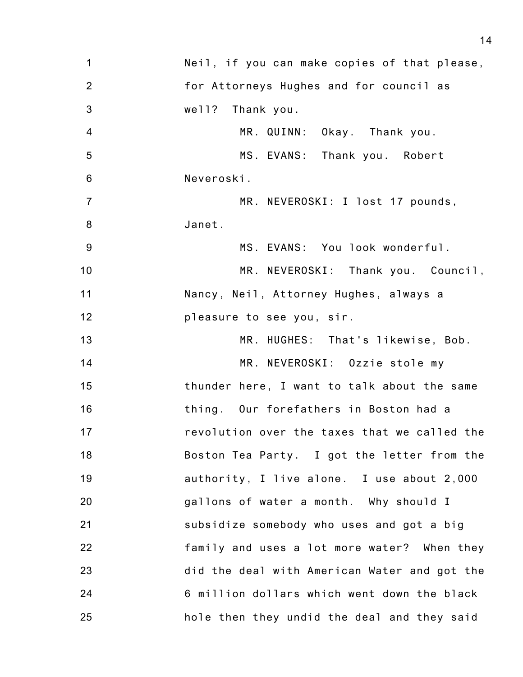| $\mathbf 1$    | Neil, if you can make copies of that please, |
|----------------|----------------------------------------------|
| $\overline{2}$ | for Attorneys Hughes and for council as      |
| 3              | well? Thank you.                             |
| $\overline{4}$ | MR. QUINN: Okay. Thank you.                  |
| 5              | MS. EVANS: Thank you. Robert                 |
| 6              | Neveroski.                                   |
| $\overline{7}$ | MR. NEVEROSKI: I lost 17 pounds,             |
| 8              | Janet.                                       |
| 9              | MS. EVANS: You look wonderful.               |
| 10             | MR. NEVEROSKI: Thank you. Council,           |
| 11             | Nancy, Neil, Attorney Hughes, always a       |
| 12             | pleasure to see you, sir.                    |
| 13             | MR. HUGHES: That's likewise, Bob.            |
| 14             | MR. NEVEROSKI: Ozzie stole my                |
| 15             | thunder here, I want to talk about the same  |
| 16             | thing. Our forefathers in Boston had a       |
| 17             | revolution over the taxes that we called the |
| 18             | Boston Tea Party. I got the letter from the  |
| 19             | authority, I live alone. I use about 2,000   |
| 20             | gallons of water a month. Why should I       |
| 21             | subsidize somebody who uses and got a big    |
| 22             | family and uses a lot more water? When they  |
| 23             | did the deal with American Water and got the |
| 24             | 6 million dollars which went down the black  |
| 25             | hole then they undid the deal and they said  |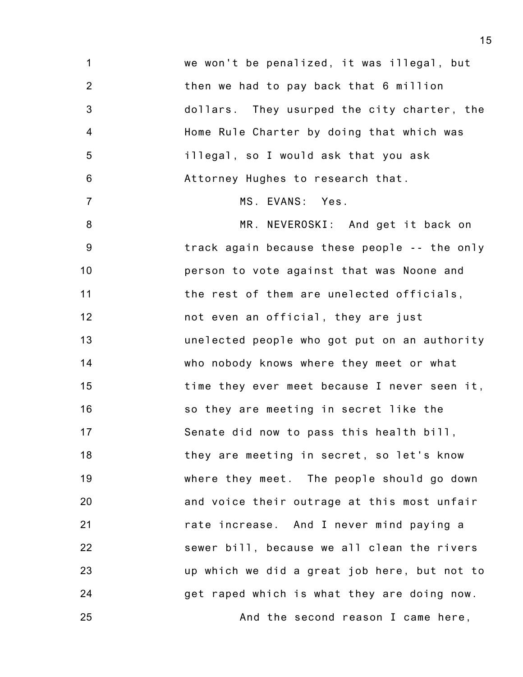1 2 3 4 5 6 7 8 9 10 11 12 13 14 15 16 17 18 19 20 21 22 23 24 25 we won't be penalized, it was illegal, but then we had to pay back that 6 million dollars. They usurped the city charter, the Home Rule Charter by doing that which was illegal, so I would ask that you ask Attorney Hughes to research that. MS. EVANS: Yes. MR. NEVEROSKI: And get it back on track again because these people -- the only person to vote against that was Noone and the rest of them are unelected officials, not even an official, they are just unelected people who got put on an authority who nobody knows where they meet or what time they ever meet because I never seen it, so they are meeting in secret like the Senate did now to pass this health bill, they are meeting in secret, so let's know where they meet. The people should go down and voice their outrage at this most unfair rate increase. And I never mind paying a sewer bill, because we all clean the rivers up which we did a great job here, but not to get raped which is what they are doing now. And the second reason I came here,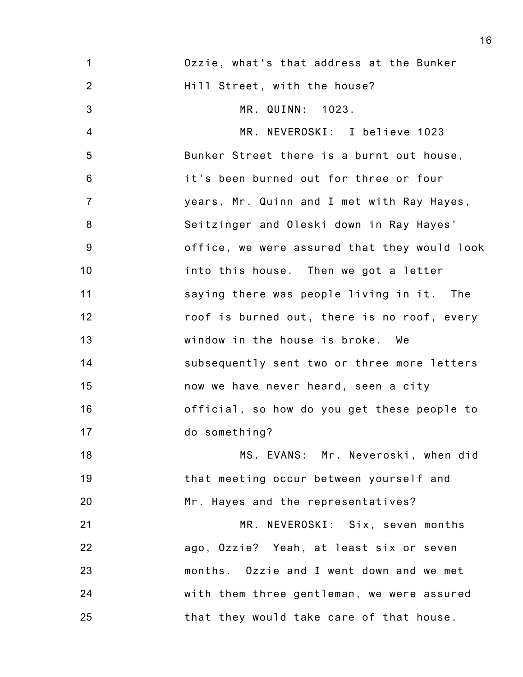| 1              | Ozzie, what's that address at the Bunker     |
|----------------|----------------------------------------------|
| $\overline{2}$ | Hill Street, with the house?                 |
| $\mathfrak{B}$ | MR. QUINN: 1023.                             |
| $\overline{4}$ | MR. NEVEROSKI: I believe 1023                |
| 5              | Bunker Street there is a burnt out house,    |
| $6\phantom{1}$ | it's been burned out for three or four       |
| $\overline{7}$ | years, Mr. Quinn and I met with Ray Hayes,   |
| 8              | Seitzinger and Oleski down in Ray Hayes'     |
| 9              | office, we were assured that they would look |
| 10             | into this house. Then we got a letter        |
| 11             | saying there was people living in it. The    |
| 12             | roof is burned out, there is no roof, every  |
| 13             | window in the house is broke. We             |
| 14             | subsequently sent two or three more letters  |
| 15             | now we have never heard, seen a city         |
| 16             | official, so how do you get these people to  |
| 17             | do something?                                |
| 18             | MS. EVANS: Mr. Neveroski, when did           |
| 19             | that meeting occur between yourself and      |
| 20             | Mr. Hayes and the representatives?           |
| 21             | MR. NEVEROSKI: Six, seven months             |
| 22             | ago, Ozzie? Yeah, at least six or seven      |
| 23             | months. Ozzie and I went down and we met     |
| 24             | with them three gentleman, we were assured   |
| 25             | that they would take care of that house.     |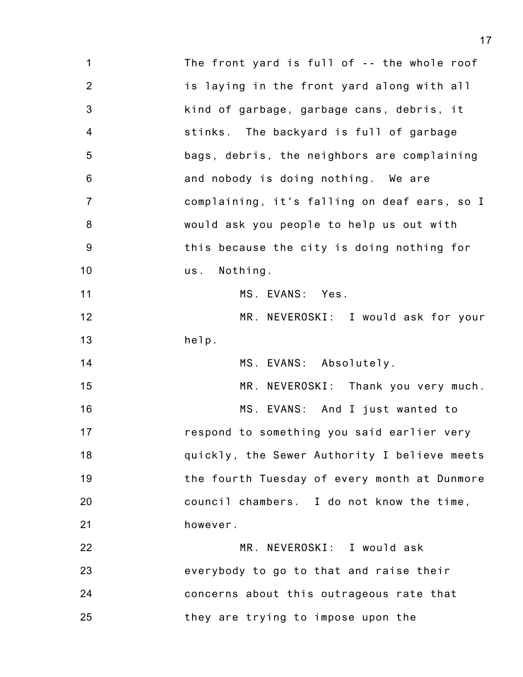1 2 3 4 5 6 7 8 9 10 11 12 13 14 15 16 17 18 19 20 21 22 23 24 25 The front yard is full of -- the whole roof is laying in the front yard along with all kind of garbage, garbage cans, debris, it stinks. The backyard is full of garbage bags, debris, the neighbors are complaining and nobody is doing nothing. We are complaining, it's falling on deaf ears, so I would ask you people to help us out with this because the city is doing nothing for us. Nothing. MS. EVANS: Yes. MR. NEVEROSKI: I would ask for your help. MS. EVANS: Absolutely. MR. NEVEROSKI: Thank you very much. MS. EVANS: And I just wanted to respond to something you said earlier very quickly, the Sewer Authority I believe meets the fourth Tuesday of every month at Dunmore council chambers. I do not know the time, however. MR. NEVEROSKI: I would ask everybody to go to that and raise their concerns about this outrageous rate that they are trying to impose upon the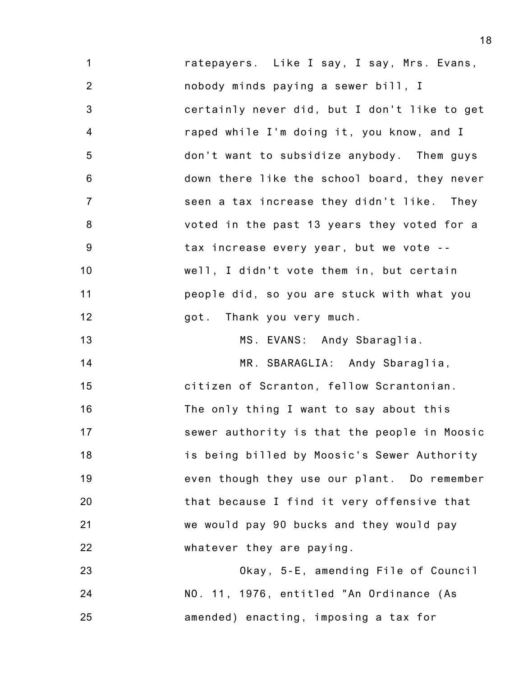1 2 3 4 5 6 7 8 9 10 11 12 13 14 15 16 17 18 19 20 21 22 ratepayers. Like I say, I say, Mrs. Evans, nobody minds paying a sewer bill, I certainly never did, but I don't like to get raped while I'm doing it, you know, and I don't want to subsidize anybody. Them guys down there like the school board, they never seen a tax increase they didn't like. They voted in the past 13 years they voted for a tax increase every year, but we vote - well, I didn't vote them in, but certain people did, so you are stuck with what you got. Thank you very much. MS. EVANS: Andy Sbaraglia. MR. SBARAGLIA: Andy Sbaraglia, citizen of Scranton, fellow Scrantonian. The only thing I want to say about this sewer authority is that the people in Moosic is being billed by Moosic's Sewer Authority even though they use our plant. Do remember that because I find it very offensive that we would pay 90 bucks and they would pay whatever they are paying.

23 24 25 Okay, 5-E, amending File of Council NO. 11, 1976, entitled "An Ordinance (As amended) enacting, imposing a tax for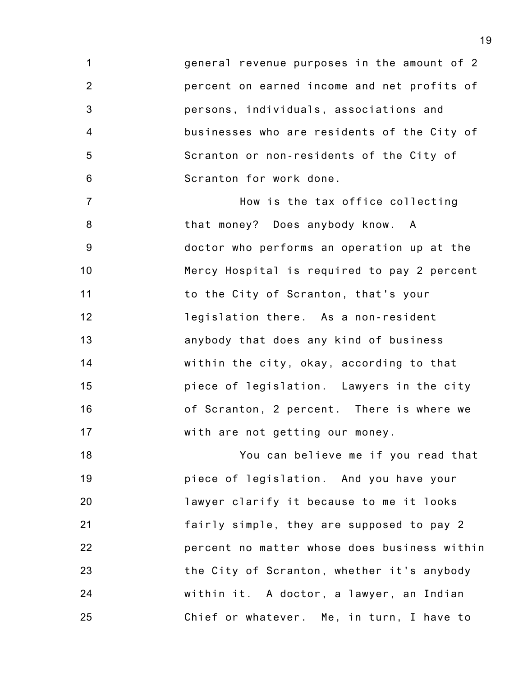1 2 3 4 5 6 general revenue purposes in the amount of 2 percent on earned income and net profits of persons, individuals, associations and businesses who are residents of the City of Scranton or non-residents of the City of Scranton for work done.

7 8 9 10 11 12 13 14 15 16 17 How is the tax office collecting that money? Does anybody know. A doctor who performs an operation up at the Mercy Hospital is required to pay 2 percent to the City of Scranton, that's your legislation there. As a non-resident anybody that does any kind of business within the city, okay, according to that piece of legislation. Lawyers in the city of Scranton, 2 percent. There is where we with are not getting our money.

18 19 20 21 22 23 24 25 You can believe me if you read that piece of legislation. And you have your lawyer clarify it because to me it looks fairly simple, they are supposed to pay 2 percent no matter whose does business within the City of Scranton, whether it's anybody within it. A doctor, a lawyer, an Indian Chief or whatever. Me, in turn, I have to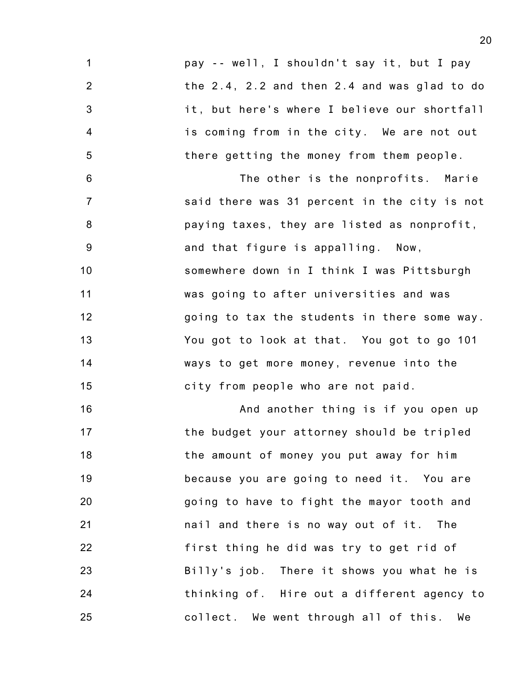1 2 3 4 5 6 7 8 9 10 11 12 13 14 15 16 17 18 19 20 21 22 23 24 25 pay -- well, I shouldn't say it, but I pay the 2.4, 2.2 and then 2.4 and was glad to do it, but here's where I believe our shortfall is coming from in the city. We are not out there getting the money from them people. The other is the nonprofits. Marie said there was 31 percent in the city is not paying taxes, they are listed as nonprofit, and that figure is appalling. Now, somewhere down in I think I was Pittsburgh was going to after universities and was going to tax the students in there some way. You got to look at that. You got to go 101 ways to get more money, revenue into the city from people who are not paid. And another thing is if you open up the budget your attorney should be tripled the amount of money you put away for him because you are going to need it. You are going to have to fight the mayor tooth and nail and there is no way out of it. The first thing he did was try to get rid of Billy's job. There it shows you what he is thinking of. Hire out a different agency to collect. We went through all of this. We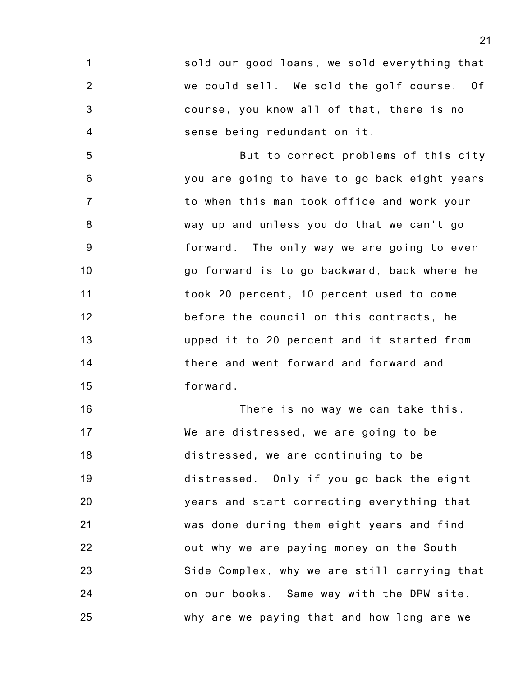1 2 3 4 sold our good loans, we sold everything that we could sell. We sold the golf course. Of course, you know all of that, there is no sense being redundant on it.

5 6 7 8 9 10 11 12 13 14 15 But to correct problems of this city you are going to have to go back eight years to when this man took office and work your way up and unless you do that we can't go forward. The only way we are going to ever go forward is to go backward, back where he took 20 percent, 10 percent used to come before the council on this contracts, he upped it to 20 percent and it started from there and went forward and forward and forward.

16 17 18 19 20 21 22 23 24 25 There is no way we can take this. We are distressed, we are going to be distressed, we are continuing to be distressed. Only if you go back the eight years and start correcting everything that was done during them eight years and find out why we are paying money on the South Side Complex, why we are still carrying that on our books. Same way with the DPW site, why are we paying that and how long are we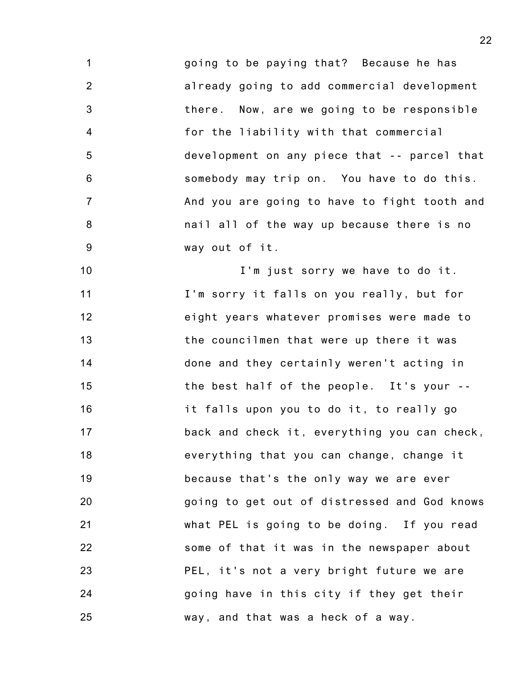1 2 3 4 5 6 7 8 9 going to be paying that? Because he has already going to add commercial development there. Now, are we going to be responsible for the liability with that commercial development on any piece that -- parcel that somebody may trip on. You have to do this. And you are going to have to fight tooth and nail all of the way up because there is no way out of it.

10 11 12 13 14 15 16 17 18 19 20 21 22 23 24 25 I'm just sorry we have to do it. I'm sorry it falls on you really, but for eight years whatever promises were made to the councilmen that were up there it was done and they certainly weren't acting in the best half of the people. It's your - it falls upon you to do it, to really go back and check it, everything you can check, everything that you can change, change it because that's the only way we are ever going to get out of distressed and God knows what PEL is going to be doing. If you read some of that it was in the newspaper about PEL, it's not a very bright future we are going have in this city if they get their way, and that was a heck of a way.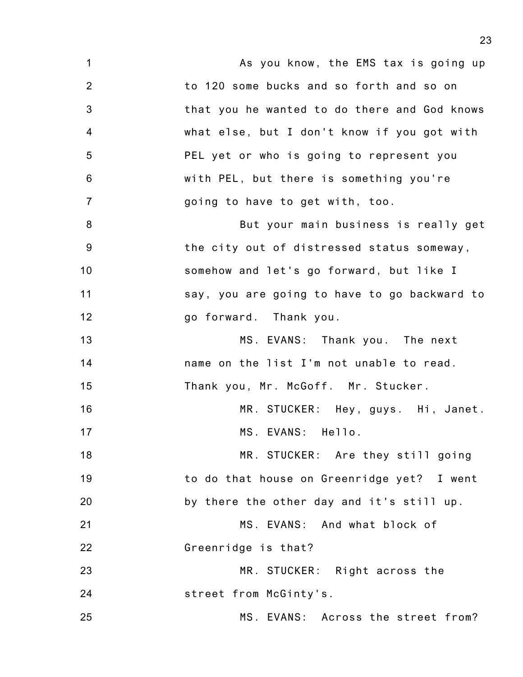1 2 3 4 5 6 7 8 9 10 11 12 13 14 15 16 17 18 19 20 21 22 23 24 25 As you know, the EMS tax is going up to 120 some bucks and so forth and so on that you he wanted to do there and God knows what else, but I don't know if you got with PEL yet or who is going to represent you with PEL, but there is something you're going to have to get with, too. But your main business is really get the city out of distressed status someway, somehow and let's go forward, but like I say, you are going to have to go backward to go forward. Thank you. MS. EVANS: Thank you. The next name on the list I'm not unable to read. Thank you, Mr. McGoff. Mr. Stucker. MR. STUCKER: Hey, guys. Hi, Janet. MS. EVANS: Hello. MR. STUCKER: Are they still going to do that house on Greenridge yet? I went by there the other day and it's still up. MS. EVANS: And what block of Greenridge is that? MR. STUCKER: Right across the street from McGinty's. MS. EVANS: Across the street from?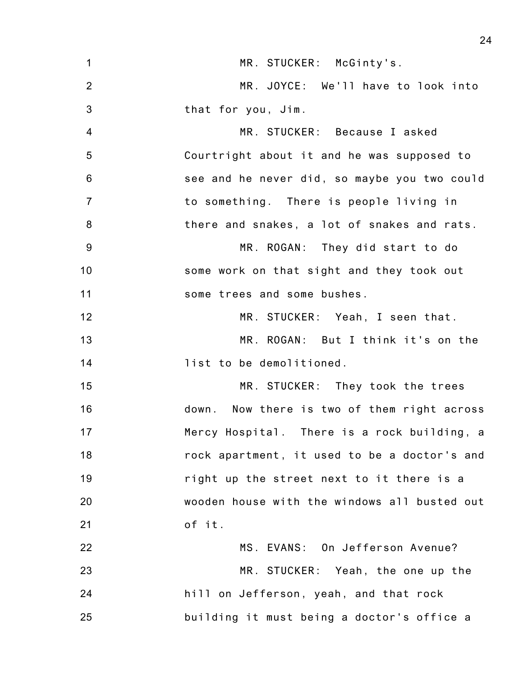| $\mathbf 1$    | MR. STUCKER: McGinty's.                      |
|----------------|----------------------------------------------|
| $\overline{2}$ | MR. JOYCE: We'll have to look into           |
| 3              | that for you, Jim.                           |
| $\overline{4}$ | MR. STUCKER: Because I asked                 |
| 5              | Courtright about it and he was supposed to   |
| 6              | see and he never did, so maybe you two could |
| $\overline{7}$ | to something. There is people living in      |
| 8              | there and snakes, a lot of snakes and rats.  |
| $9\,$          | MR. ROGAN: They did start to do              |
| 10             | some work on that sight and they took out    |
| 11             | some trees and some bushes.                  |
| 12             | MR. STUCKER: Yeah, I seen that.              |
| 13             | MR. ROGAN: But I think it's on the           |
| 14             | list to be demolitioned.                     |
| 15             | MR. STUCKER: They took the trees             |
| 16             | down. Now there is two of them right across  |
| 17             | Mercy Hospital. There is a rock building, a  |
| 18             | rock apartment, it used to be a doctor's and |
| 19             | right up the street next to it there is a    |
| 20             | wooden house with the windows all busted out |
| 21             | of it.                                       |
| 22             | MS. EVANS: On Jefferson Avenue?              |
| 23             | MR. STUCKER: Yeah, the one up the            |
| 24             | hill on Jefferson, yeah, and that rock       |
| 25             | building it must being a doctor's office a   |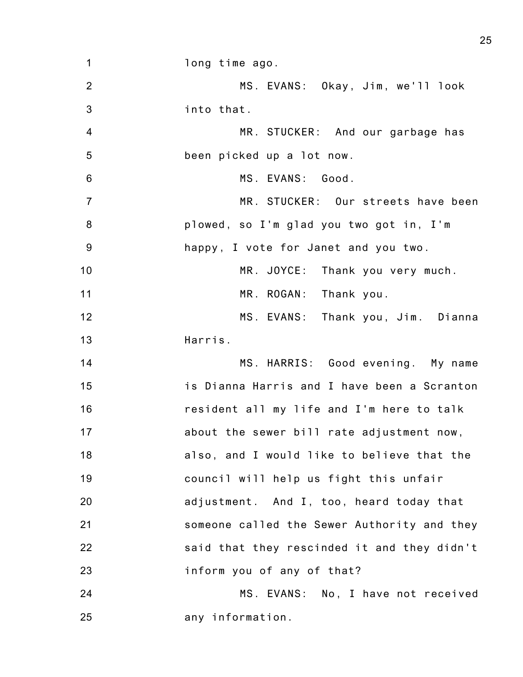1 2 3 4 5 6 7 8 9 10 11 12 13 14 15 16 17 18 19 20 21 22 23 24 25 long time ago. MS. EVANS: Okay, Jim, we'll look into that. MR. STUCKER: And our garbage has been picked up a lot now. MS. EVANS: Good. MR. STUCKER: Our streets have been plowed, so I'm glad you two got in, I'm happy, I vote for Janet and you two. MR. JOYCE: Thank you very much. MR. ROGAN: Thank you. MS. EVANS: Thank you, Jim. Dianna Harris. MS. HARRIS: Good evening. My name is Dianna Harris and I have been a Scranton resident all my life and I'm here to talk about the sewer bill rate adjustment now, also, and I would like to believe that the council will help us fight this unfair adjustment. And I, too, heard today that someone called the Sewer Authority and they said that they rescinded it and they didn't inform you of any of that? MS. EVANS: No, I have not received any information.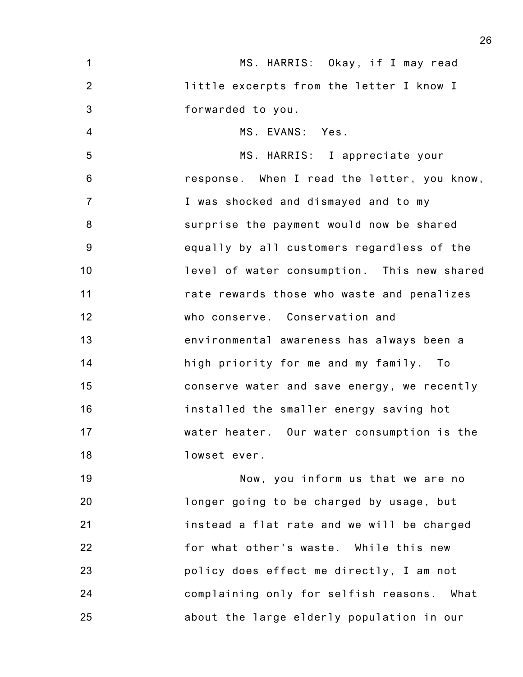| $\mathbf{1}$    | MS. HARRIS: Okay, if I may read             |
|-----------------|---------------------------------------------|
| $\overline{2}$  | little excerpts from the letter I know I    |
| 3               | forwarded to you.                           |
| $\overline{4}$  | MS. EVANS: Yes.                             |
| 5               | MS. HARRIS: I appreciate your               |
| $6\phantom{1}6$ | response. When I read the letter, you know, |
| $\overline{7}$  | I was shocked and dismayed and to my        |
| 8               | surprise the payment would now be shared    |
| 9               | equally by all customers regardless of the  |
| 10              | level of water consumption. This new shared |
| 11              | rate rewards those who waste and penalizes  |
| 12              | who conserve. Conservation and              |
| 13              | environmental awareness has always been a   |
| 14              | high priority for me and my family. To      |
| 15              | conserve water and save energy, we recently |
| 16              | installed the smaller energy saving hot     |
| 17              | water heater. Our water consumption is the  |
| 18              | lowset ever.                                |
| 19              | Now, you inform us that we are no           |
| 20              | longer going to be charged by usage, but    |
| 21              | instead a flat rate and we will be charged  |
| 22              | for what other's waste. While this new      |
| 23              | policy does effect me directly, I am not    |
| 24              | complaining only for selfish reasons. What  |
| 25              | about the large elderly population in our   |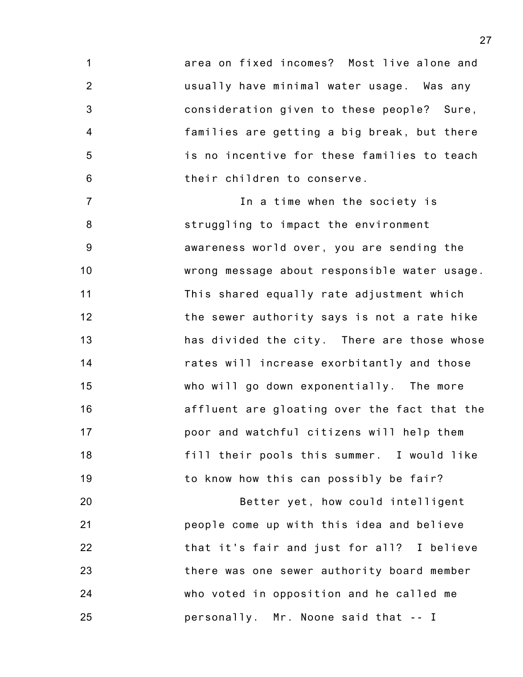1 2 3 4 5 6 area on fixed incomes? Most live alone and usually have minimal water usage. Was any consideration given to these people? Sure, families are getting a big break, but there is no incentive for these families to teach their children to conserve.

7 8 9 10 11 12 13 14 15 16 17 18 19 In a time when the society is struggling to impact the environment awareness world over, you are sending the wrong message about responsible water usage. This shared equally rate adjustment which the sewer authority says is not a rate hike has divided the city. There are those whose rates will increase exorbitantly and those who will go down exponentially. The more affluent are gloating over the fact that the poor and watchful citizens will help them fill their pools this summer. I would like to know how this can possibly be fair?

20 21 22 23 24 25 Better yet, how could intelligent people come up with this idea and believe that it's fair and just for all? I believe there was one sewer authority board member who voted in opposition and he called me personally. Mr. Noone said that -- I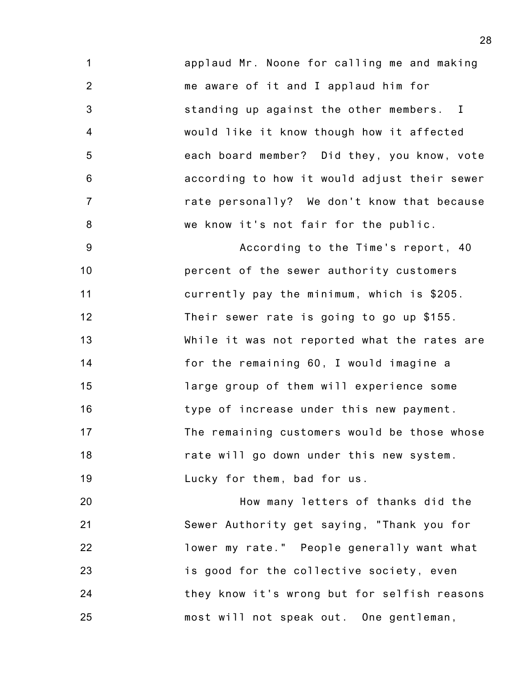1 2 3 4 5 6 7 8 applaud Mr. Noone for calling me and making me aware of it and I applaud him for standing up against the other members. I would like it know though how it affected each board member? Did they, you know, vote according to how it would adjust their sewer rate personally? We don't know that because we know it's not fair for the public.

9 10 11 12 13 14 15 16 17 18 19 According to the Time's report, 40 percent of the sewer authority customers currently pay the minimum, which is \$205. Their sewer rate is going to go up \$155. While it was not reported what the rates are for the remaining 60, I would imagine a large group of them will experience some type of increase under this new payment. The remaining customers would be those whose rate will go down under this new system. Lucky for them, bad for us.

20 21 22 23 24 25 How many letters of thanks did the Sewer Authority get saying, "Thank you for lower my rate." People generally want what is good for the collective society, even they know it's wrong but for selfish reasons most will not speak out. One gentleman,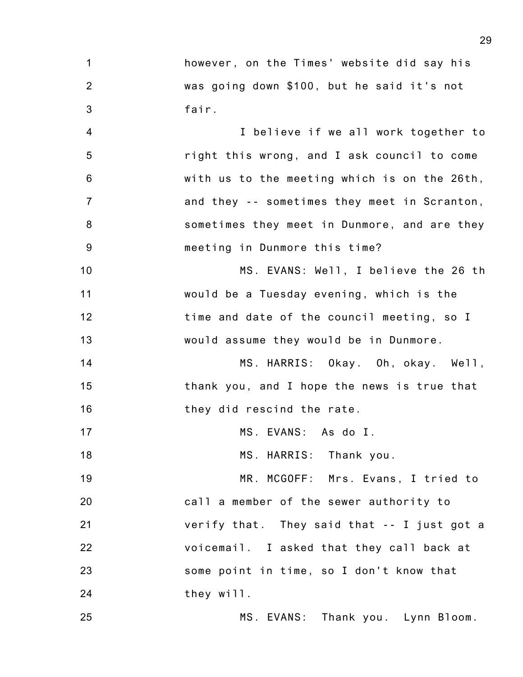1 2 3 however, on the Times' website did say his was going down \$100, but he said it's not fair.

4 5 6 7 8 9 I believe if we all work together to right this wrong, and I ask council to come with us to the meeting which is on the 26th, and they -- sometimes they meet in Scranton, sometimes they meet in Dunmore, and are they meeting in Dunmore this time?

10 11 12 13 MS. EVANS: Well, I believe the 26 th would be a Tuesday evening, which is the time and date of the council meeting, so I would assume they would be in Dunmore.

14 15 16 MS. HARRIS: Okay. Oh, okay. Well, thank you, and I hope the news is true that they did rescind the rate.

17 MS. EVANS: As do I.

18 MS. HARRIS: Thank you.

19 20 21 22 23 24 MR. MCGOFF: Mrs. Evans, I tried to call a member of the sewer authority to verify that. They said that -- I just got a voicemail. I asked that they call back at some point in time, so I don't know that they will.

25 MS. EVANS: Thank you. Lynn Bloom.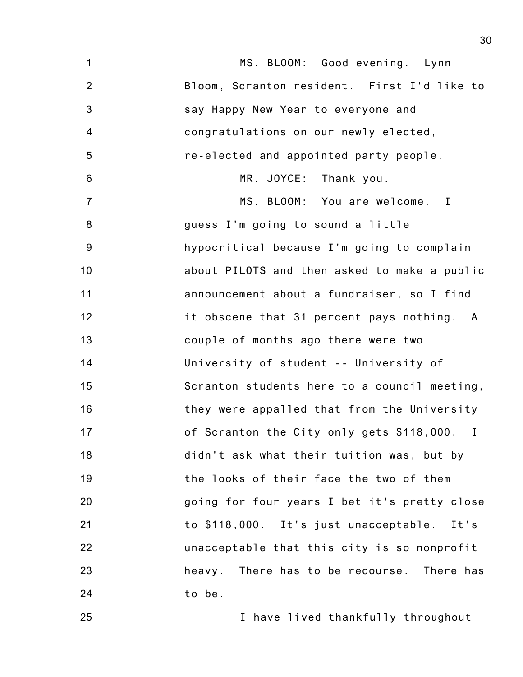1 2 3 4 5 6 7 8 9 10 11 12 13 14 15 16 17 18 19 20 21 22 23 24 MS. BLOOM: Good evening. Lynn Bloom, Scranton resident. First I'd like to say Happy New Year to everyone and congratulations on our newly elected, re-elected and appointed party people. MR. JOYCE: Thank you. MS. BLOOM: You are welcome. I guess I'm going to sound a little hypocritical because I'm going to complain about PILOTS and then asked to make a public announcement about a fundraiser, so I find it obscene that 31 percent pays nothing. A couple of months ago there were two University of student -- University of Scranton students here to a council meeting, they were appalled that from the University of Scranton the City only gets \$118,000. I didn't ask what their tuition was, but by the looks of their face the two of them going for four years I bet it's pretty close to \$118,000. It's just unacceptable. It's unacceptable that this city is so nonprofit heavy. There has to be recourse. There has to be.

I have lived thankfully throughout

30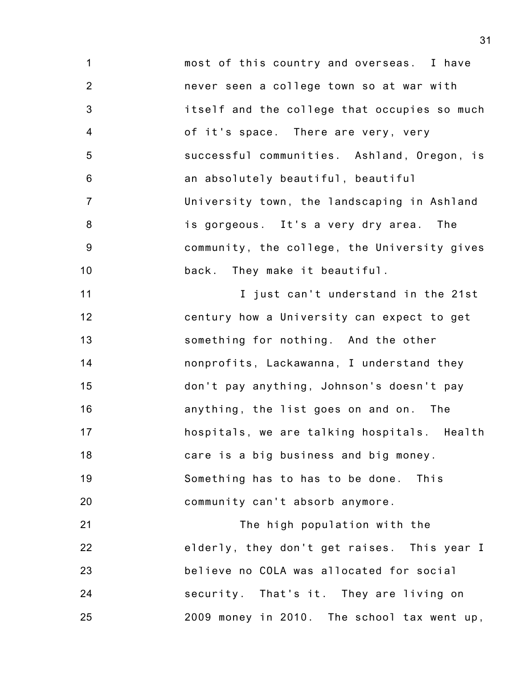1 2 3 4 5 6 7 8 9 10 most of this country and overseas. I have never seen a college town so at war with itself and the college that occupies so much of it's space. There are very, very successful communities. Ashland, Oregon, is an absolutely beautiful, beautiful University town, the landscaping in Ashland is gorgeous. It's a very dry area. The community, the college, the University gives back. They make it beautiful.

11 12 13 14 15 16 17 18 19 20 I just can't understand in the 21st century how a University can expect to get something for nothing. And the other nonprofits, Lackawanna, I understand they don't pay anything, Johnson's doesn't pay anything, the list goes on and on. The hospitals, we are talking hospitals. Health care is a big business and big money. Something has to has to be done. This community can't absorb anymore.

21 22 23 24 25 The high population with the elderly, they don't get raises. This year I believe no COLA was allocated for social security. That's it. They are living on 2009 money in 2010. The school tax went up,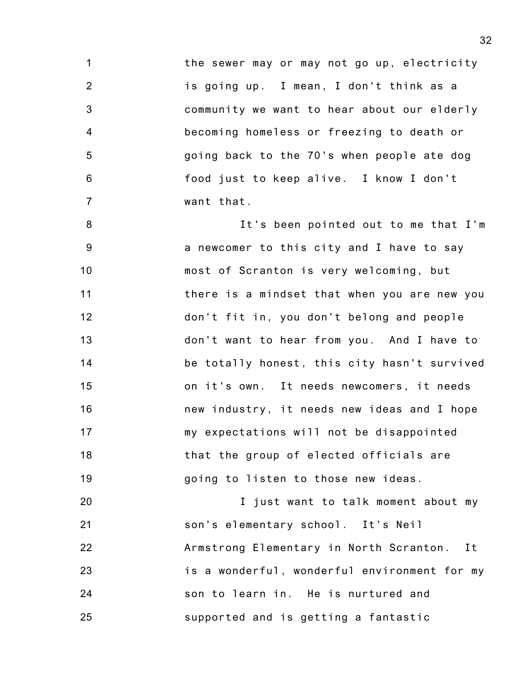1 2 3 4 5 6 7 the sewer may or may not go up, electricity is going up. I mean, I don't think as a community we want to hear about our elderly becoming homeless or freezing to death or going back to the 70's when people ate dog food just to keep alive. I know I don't want that.

8 9 10 11 12 13 14 15 16 17 18 19 It's been pointed out to me that I'm a newcomer to this city and I have to say most of Scranton is very welcoming, but there is a mindset that when you are new you don't fit in, you don't belong and people don't want to hear from you. And I have to be totally honest, this city hasn't survived on it's own. It needs newcomers, it needs new industry, it needs new ideas and I hope my expectations will not be disappointed that the group of elected officials are going to listen to those new ideas.

20 21 22 23 24 25 I just want to talk moment about my son's elementary school. It's Neil Armstrong Elementary in North Scranton. It is a wonderful, wonderful environment for my son to learn in. He is nurtured and supported and is getting a fantastic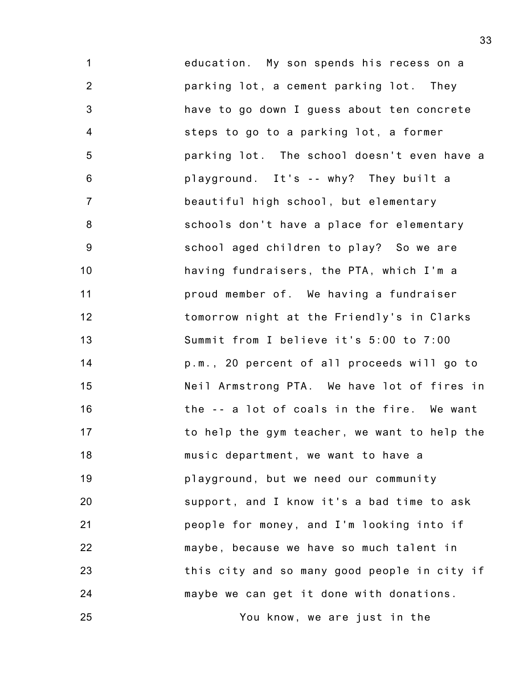1 2 3 4 5 6 7 8 9 10 11 12 13 14 15 16 17 18 19 20 21 22 23 24 education. My son spends his recess on a parking lot, a cement parking lot. They have to go down I guess about ten concrete steps to go to a parking lot, a former parking lot. The school doesn't even have a playground. It's -- why? They built a beautiful high school, but elementary schools don't have a place for elementary school aged children to play? So we are having fundraisers, the PTA, which I'm a proud member of. We having a fundraiser tomorrow night at the Friendly's in Clarks Summit from I believe it's 5:00 to 7:00 p.m., 20 percent of all proceeds will go to Neil Armstrong PTA. We have lot of fires in the -- a lot of coals in the fire. We want to help the gym teacher, we want to help the music department, we want to have a playground, but we need our community support, and I know it's a bad time to ask people for money, and I'm looking into if maybe, because we have so much talent in this city and so many good people in city if maybe we can get it done with donations.

You know, we are just in the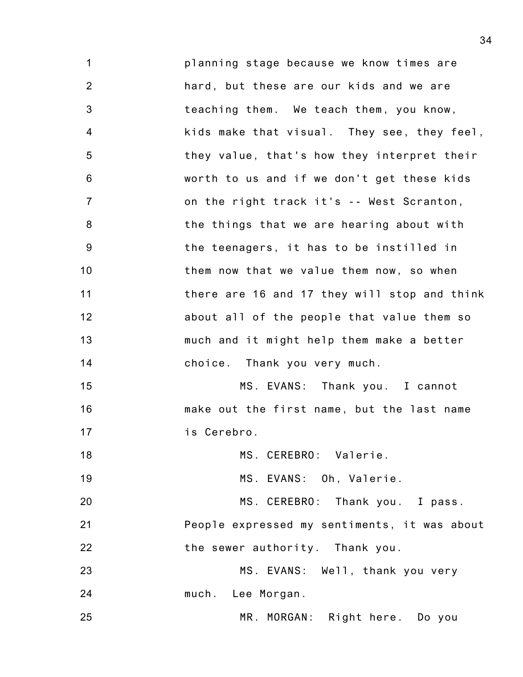1 2 3 4 5 6 7 8 9 10 11 12 13 14 15 16 17 18 19 20 21 22 23 24 25 planning stage because we know times are hard, but these are our kids and we are teaching them. We teach them, you know, kids make that visual. They see, they feel, they value, that's how they interpret their worth to us and if we don't get these kids on the right track it's -- West Scranton, the things that we are hearing about with the teenagers, it has to be instilled in them now that we value them now, so when there are 16 and 17 they will stop and think about all of the people that value them so much and it might help them make a better choice. Thank you very much. MS. EVANS: Thank you. I cannot make out the first name, but the last name is Cerebro. MS. CEREBRO: Valerie. MS. EVANS: Oh, Valerie. MS. CEREBRO: Thank you. I pass. People expressed my sentiments, it was about the sewer authority. Thank you. MS. EVANS: Well, thank you very much. Lee Morgan. MR. MORGAN: Right here. Do you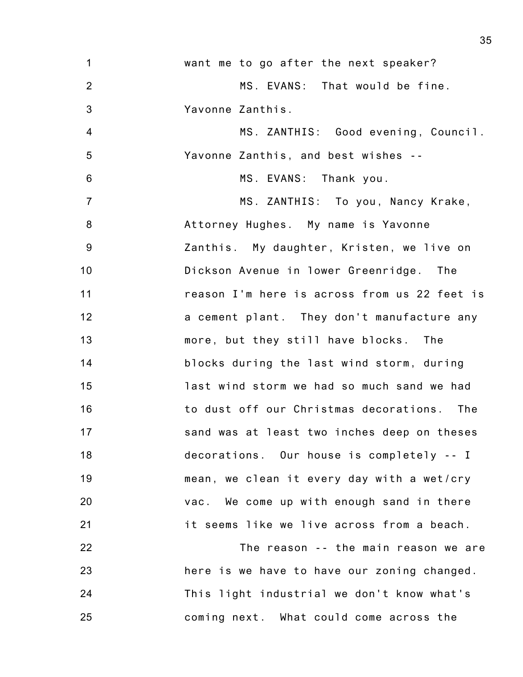| 1              | want me to go after the next speaker?        |
|----------------|----------------------------------------------|
| $\overline{2}$ | MS. EVANS: That would be fine.               |
| $\mathbf{3}$   | Yavonne Zanthis.                             |
| 4              | MS. ZANTHIS: Good evening, Council.          |
| 5              | Yavonne Zanthis, and best wishes --          |
| 6              | MS. EVANS: Thank you.                        |
| $\overline{7}$ | MS. ZANTHIS: To you, Nancy Krake,            |
| 8              | Attorney Hughes. My name is Yavonne          |
| 9              | Zanthis. My daughter, Kristen, we live on    |
| 10             | Dickson Avenue in lower Greenridge. The      |
| 11             | reason I'm here is across from us 22 feet is |
| 12             | a cement plant. They don't manufacture any   |
| 13             | more, but they still have blocks. The        |
| 14             | blocks during the last wind storm, during    |
| 15             | last wind storm we had so much sand we had   |
| 16             | to dust off our Christmas decorations. The   |
| 17             | sand was at least two inches deep on theses  |
| 18             | decorations. Our house is completely -- I    |
| 19             | mean, we clean it every day with a wet/cry   |
| 20             | vac. We come up with enough sand in there    |
| 21             | it seems like we live across from a beach.   |
| 22             | The reason -- the main reason we are         |
| 23             | here is we have to have our zoning changed.  |
| 24             | This light industrial we don't know what's   |
| 25             | coming next. What could come across the      |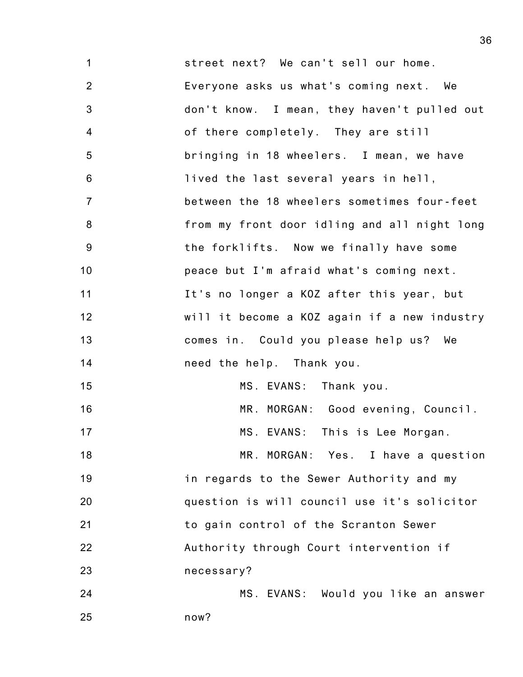1 2 3 4 5 6 7 8 9 10 11 12 13 14 15 16 17 18 19 20 21 22 23 24 street next? We can't sell our home. Everyone asks us what's coming next. We don't know. I mean, they haven't pulled out of there completely. They are still bringing in 18 wheelers. I mean, we have lived the last several years in hell, between the 18 wheelers sometimes four-feet from my front door idling and all night long the forklifts. Now we finally have some peace but I'm afraid what's coming next. It's no longer a KOZ after this year, but will it become a KOZ again if a new industry comes in. Could you please help us? We need the help. Thank you. MS. EVANS: Thank you. MR. MORGAN: Good evening, Council. MS. EVANS: This is Lee Morgan. MR. MORGAN: Yes. I have a question in regards to the Sewer Authority and my question is will council use it's solicitor to gain control of the Scranton Sewer Authority through Court intervention if necessary? MS. EVANS: Would you like an answer

25

now?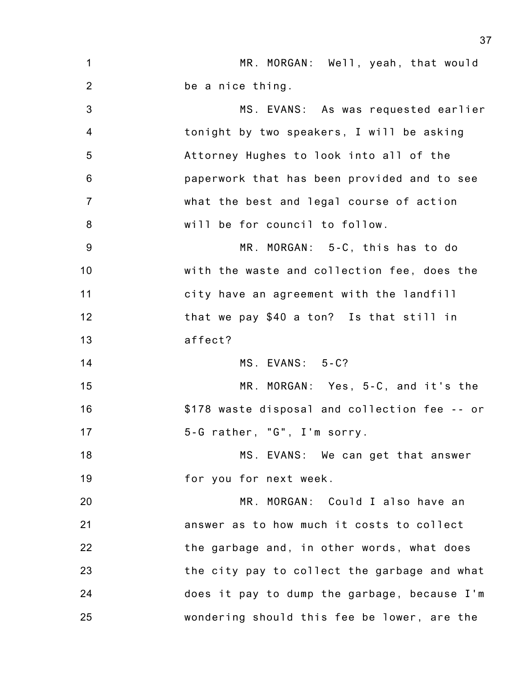| 1                | MR. MORGAN: Well, yeah, that would            |
|------------------|-----------------------------------------------|
| $\overline{2}$   | be a nice thing.                              |
| 3                | MS. EVANS: As was requested earlier           |
| $\overline{4}$   | tonight by two speakers, I will be asking     |
| 5                | Attorney Hughes to look into all of the       |
| $\,6$            | paperwork that has been provided and to see   |
| $\overline{7}$   | what the best and legal course of action      |
| $\bf 8$          | will be for council to follow.                |
| $\boldsymbol{9}$ | MR. MORGAN: 5-C, this has to do               |
| 10               | with the waste and collection fee, does the   |
| 11               | city have an agreement with the landfill      |
| 12               | that we pay \$40 a ton? Is that still in      |
| 13               | affect?                                       |
| 14               | MS. EVANS: 5-C?                               |
| 15               | MR. MORGAN: Yes, 5-C, and it's the            |
| 16               | \$178 waste disposal and collection fee -- or |
| 17               | 5-G rather, "G", I'm sorry.                   |
| 18               | MS. EVANS: We can get that answer             |
| 19               | for you for next week.                        |
| 20               | MR. MORGAN: Could I also have an              |
| 21               | answer as to how much it costs to collect     |
| 22               | the garbage and, in other words, what does    |
| 23               | the city pay to collect the garbage and what  |
| 24               | does it pay to dump the garbage, because I'm  |
| 25               | wondering should this fee be lower, are the   |
|                  |                                               |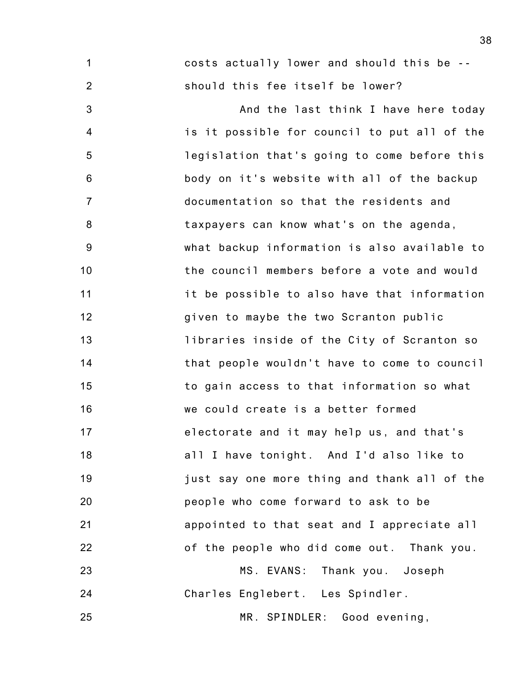1 2 costs actually lower and should this be - should this fee itself be lower?

3 4 5 6 7 8 9 10 11 12 13 14 15 16 17 18 19 20 21 22 23 24 And the last think I have here today is it possible for council to put all of the legislation that's going to come before this body on it's website with all of the backup documentation so that the residents and taxpayers can know what's on the agenda, what backup information is also available to the council members before a vote and would it be possible to also have that information given to maybe the two Scranton public libraries inside of the City of Scranton so that people wouldn't have to come to council to gain access to that information so what we could create is a better formed electorate and it may help us, and that's all I have tonight. And I'd also like to just say one more thing and thank all of the people who come forward to ask to be appointed to that seat and I appreciate all of the people who did come out. Thank you. MS. EVANS: Thank you. Joseph Charles Englebert. Les Spindler.

MR. SPINDLER: Good evening,

25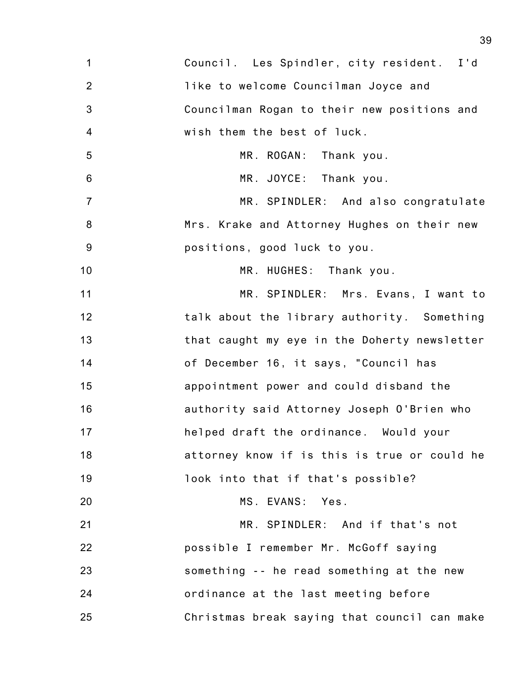| $\mathbf 1$    | Council. Les Spindler, city resident. I'd    |
|----------------|----------------------------------------------|
| $\overline{2}$ | like to welcome Councilman Joyce and         |
| 3              | Councilman Rogan to their new positions and  |
| $\overline{4}$ | wish them the best of luck.                  |
| 5              | MR. ROGAN: Thank you.                        |
| $6\,$          | MR. JOYCE: Thank you.                        |
| $\overline{7}$ | MR. SPINDLER: And also congratulate          |
| 8              | Mrs. Krake and Attorney Hughes on their new  |
| $9$            | positions, good luck to you.                 |
| 10             | MR. HUGHES: Thank you.                       |
| 11             | MR. SPINDLER: Mrs. Evans, I want to          |
| 12             | talk about the library authority. Something  |
| 13             | that caught my eye in the Doherty newsletter |
| 14             | of December 16, it says, "Council has        |
| 15             | appointment power and could disband the      |
| 16             | authority said Attorney Joseph O'Brien who   |
| 17             | helped draft the ordinance. Would your       |
| 18             | attorney know if is this is true or could he |
| 19             | look into that if that's possible?           |
| 20             | MS. EVANS: Yes.                              |
| 21             | MR. SPINDLER: And if that's not              |
| 22             | possible I remember Mr. McGoff saying        |
| 23             | something -- he read something at the new    |
| 24             | ordinance at the last meeting before         |
| 25             | Christmas break saying that council can make |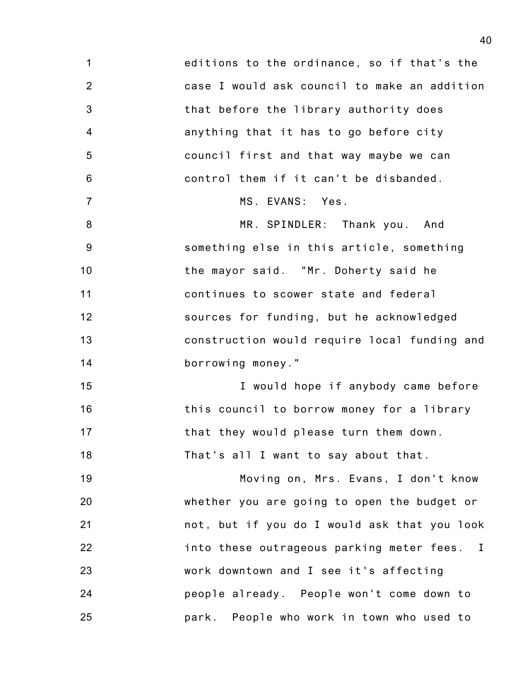1 2 3 4 5 6 7 8 9 10 11 12 13 14 15 16 17 18 19 20 21 22 23 24 25 editions to the ordinance, so if that's the case I would ask council to make an addition that before the library authority does anything that it has to go before city council first and that way maybe we can control them if it can't be disbanded. MS. EVANS: Yes. MR. SPINDLER: Thank you. And something else in this article, something the mayor said. "Mr. Doherty said he continues to scower state and federal sources for funding, but he acknowledged construction would require local funding and borrowing money." I would hope if anybody came before this council to borrow money for a library that they would please turn them down. That's all I want to say about that. Moving on, Mrs. Evans, I don't know whether you are going to open the budget or not, but if you do I would ask that you look into these outrageous parking meter fees. I work downtown and I see it's affecting people already. People won't come down to park. People who work in town who used to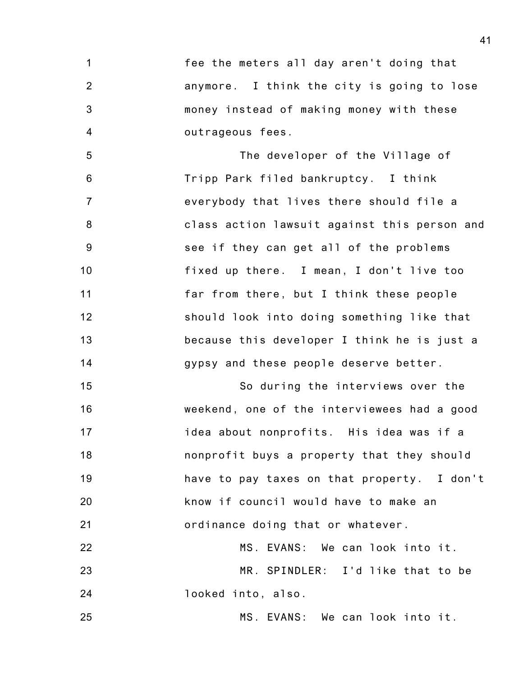1 2 3 4 fee the meters all day aren't doing that anymore. I think the city is going to lose money instead of making money with these outrageous fees.

5 6 7 8 9 10 11 12 13 14 The developer of the Village of Tripp Park filed bankruptcy. I think everybody that lives there should file a class action lawsuit against this person and see if they can get all of the problems fixed up there. I mean, I don't live too far from there, but I think these people should look into doing something like that because this developer I think he is just a gypsy and these people deserve better.

15 16 17 18 19 20 21 So during the interviews over the weekend, one of the interviewees had a good idea about nonprofits. His idea was if a nonprofit buys a property that they should have to pay taxes on that property. I don't know if council would have to make an ordinance doing that or whatever.

22 23 24 MS. EVANS: We can look into it. MR. SPINDLER: I'd like that to be looked into, also.

25

MS. EVANS: We can look into it.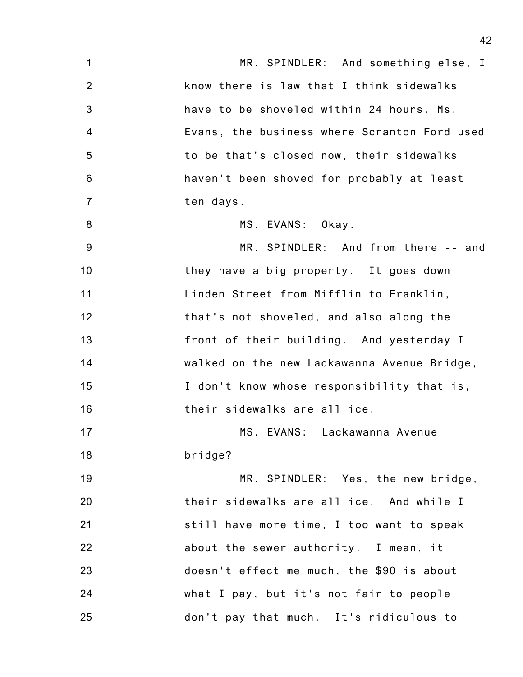1 2 3 4 5 6 7 8 9 10 11 12 13 14 15 16 17 18 19 20 21 22 23 24 25 MR. SPINDLER: And something else, I know there is law that I think sidewalks have to be shoveled within 24 hours, Ms. Evans, the business where Scranton Ford used to be that's closed now, their sidewalks haven't been shoved for probably at least ten days. MS. EVANS: Okay. MR. SPINDLER: And from there -- and they have a big property. It goes down Linden Street from Mifflin to Franklin, that's not shoveled, and also along the front of their building. And yesterday I walked on the new Lackawanna Avenue Bridge, I don't know whose responsibility that is, their sidewalks are all ice. MS. EVANS: Lackawanna Avenue bridge? MR. SPINDLER: Yes, the new bridge, their sidewalks are all ice. And while I still have more time, I too want to speak about the sewer authority. I mean, it doesn't effect me much, the \$90 is about what I pay, but it's not fair to people don't pay that much. It's ridiculous to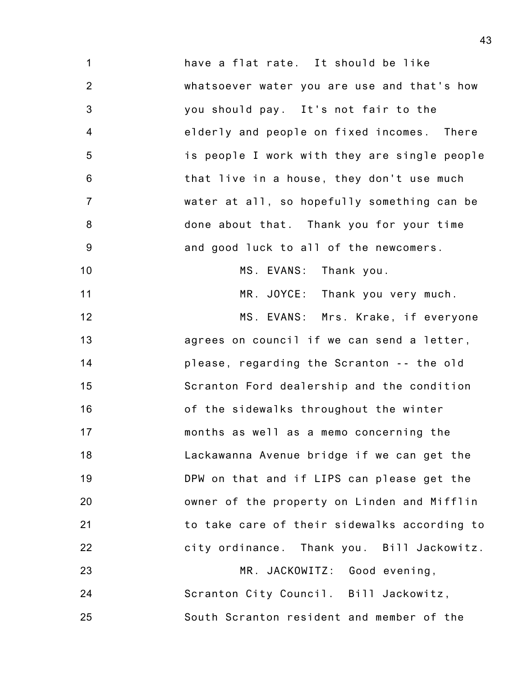1 2 3 4 5 6 7 8 9 10 11 12 13 14 15 16 17 18 19 20 21 22 23 24 25 have a flat rate. It should be like whatsoever water you are use and that's how you should pay. It's not fair to the elderly and people on fixed incomes. There is people I work with they are single people that live in a house, they don't use much water at all, so hopefully something can be done about that. Thank you for your time and good luck to all of the newcomers. MS. EVANS: Thank you. MR. JOYCE: Thank you very much. MS. EVANS: Mrs. Krake, if everyone agrees on council if we can send a letter, please, regarding the Scranton -- the old Scranton Ford dealership and the condition of the sidewalks throughout the winter months as well as a memo concerning the Lackawanna Avenue bridge if we can get the DPW on that and if LIPS can please get the owner of the property on Linden and Mifflin to take care of their sidewalks according to city ordinance. Thank you. Bill Jackowitz. MR. JACKOWITZ: Good evening, Scranton City Council. Bill Jackowitz, South Scranton resident and member of the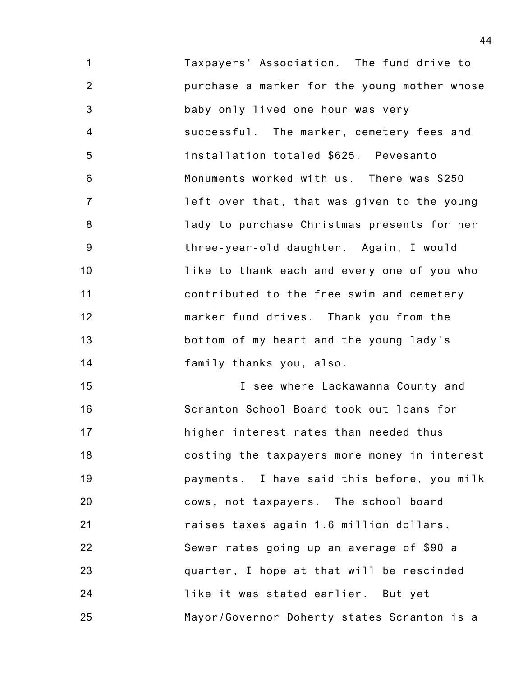1 2 3 4 5 6 7 8 9 10 11 12 13 14 Taxpayers' Association. The fund drive to purchase a marker for the young mother whose baby only lived one hour was very successful. The marker, cemetery fees and installation totaled \$625. Pevesanto Monuments worked with us. There was \$250 left over that, that was given to the young lady to purchase Christmas presents for her three-year-old daughter. Again, I would like to thank each and every one of you who contributed to the free swim and cemetery marker fund drives. Thank you from the bottom of my heart and the young lady's family thanks you, also.

15 16 17 18 19 20 21 22 23 24 25 I see where Lackawanna County and Scranton School Board took out loans for higher interest rates than needed thus costing the taxpayers more money in interest payments. I have said this before, you milk cows, not taxpayers. The school board raises taxes again 1.6 million dollars. Sewer rates going up an average of \$90 a quarter, I hope at that will be rescinded like it was stated earlier. But yet Mayor/Governor Doherty states Scranton is a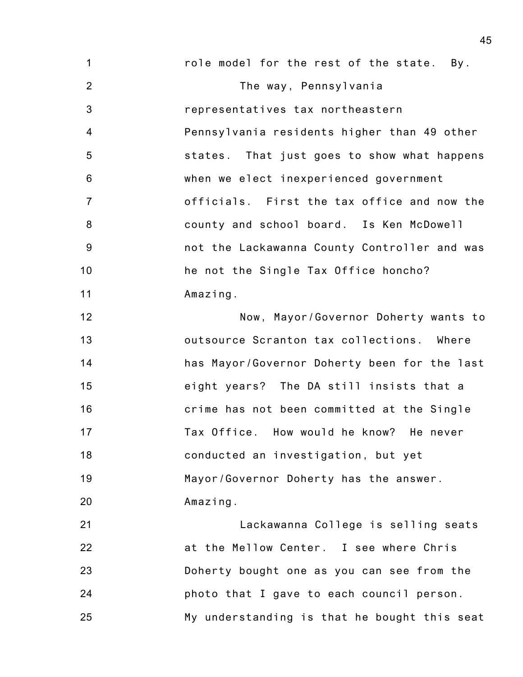1 2 3 4 5 6 7 8 9 10 11 12 13 14 15 16 17 18 19 20 21 22 23 24 25 role model for the rest of the state. By. The way, Pennsylvania representatives tax northeastern Pennsylvania residents higher than 49 other states. That just goes to show what happens when we elect inexperienced government officials. First the tax office and now the county and school board. Is Ken McDowell not the Lackawanna County Controller and was he not the Single Tax Office honcho? Amazing. Now, Mayor/Governor Doherty wants to outsource Scranton tax collections. Where has Mayor/Governor Doherty been for the last eight years? The DA still insists that a crime has not been committed at the Single Tax Office. How would he know? He never conducted an investigation, but yet Mayor/Governor Doherty has the answer. Amazing. Lackawanna College is selling seats at the Mellow Center. I see where Chris Doherty bought one as you can see from the photo that I gave to each council person. My understanding is that he bought this seat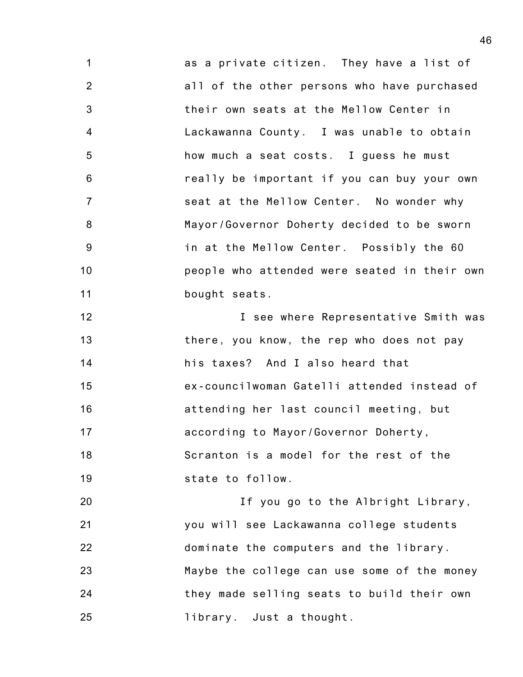1 2 3 4 5 6 7 8 9 10 11 as a private citizen. They have a list of all of the other persons who have purchased their own seats at the Mellow Center in Lackawanna County. I was unable to obtain how much a seat costs. I guess he must really be important if you can buy your own seat at the Mellow Center. No wonder why Mayor/Governor Doherty decided to be sworn in at the Mellow Center. Possibly the 60 people who attended were seated in their own bought seats.

12 13 14 15 16 17 18 19 I see where Representative Smith was there, you know, the rep who does not pay his taxes? And I also heard that ex-councilwoman Gatelli attended instead of attending her last council meeting, but according to Mayor/Governor Doherty, Scranton is a model for the rest of the state to follow.

20 21 22 23 24 25 If you go to the Albright Library, you will see Lackawanna college students dominate the computers and the library. Maybe the college can use some of the money they made selling seats to build their own library. Just a thought.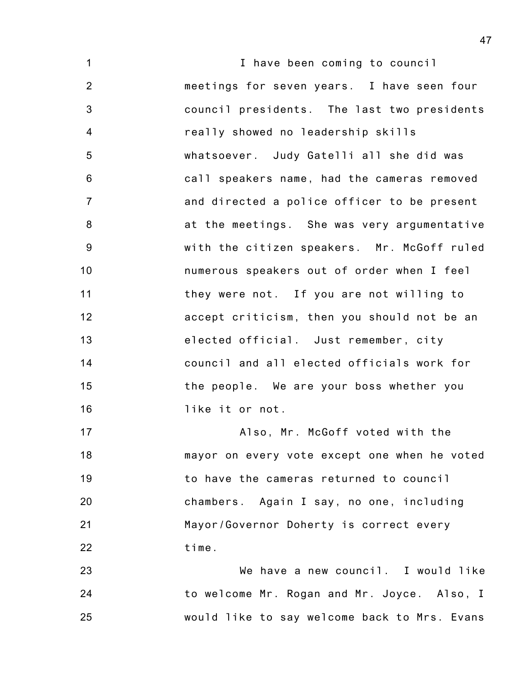1 2 3 4 5 6 7 8 9 10 11 12 13 14 15 16 I have been coming to council meetings for seven years. I have seen four council presidents. The last two presidents really showed no leadership skills whatsoever. Judy Gatelli all she did was call speakers name, had the cameras removed and directed a police officer to be present at the meetings. She was very argumentative with the citizen speakers. Mr. McGoff ruled numerous speakers out of order when I feel they were not. If you are not willing to accept criticism, then you should not be an elected official. Just remember, city council and all elected officials work for the people. We are your boss whether you like it or not.

17 18 19 20 21 22 Also, Mr. McGoff voted with the mayor on every vote except one when he voted to have the cameras returned to council chambers. Again I say, no one, including Mayor/Governor Doherty is correct every time.

23 24 25 We have a new council. I would like to welcome Mr. Rogan and Mr. Joyce. Also, I would like to say welcome back to Mrs. Evans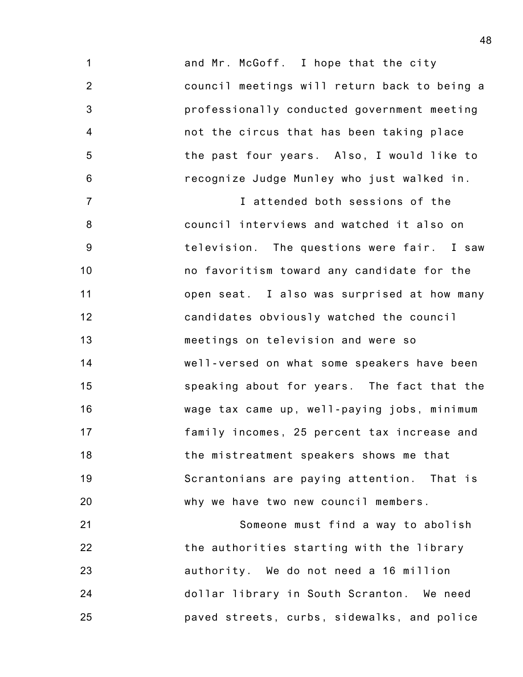1 2 3 4 5 6 and Mr. McGoff. I hope that the city council meetings will return back to being a professionally conducted government meeting not the circus that has been taking place the past four years. Also, I would like to recognize Judge Munley who just walked in.

7 8 9 10 11 12 13 14 15 16 17 18 19 20 I attended both sessions of the council interviews and watched it also on television. The questions were fair. I saw no favoritism toward any candidate for the open seat. I also was surprised at how many candidates obviously watched the council meetings on television and were so well-versed on what some speakers have been speaking about for years. The fact that the wage tax came up, well-paying jobs, minimum family incomes, 25 percent tax increase and the mistreatment speakers shows me that Scrantonians are paying attention. That is why we have two new council members.

21 22 23 24 25 Someone must find a way to abolish the authorities starting with the library authority. We do not need a 16 million dollar library in South Scranton. We need paved streets, curbs, sidewalks, and police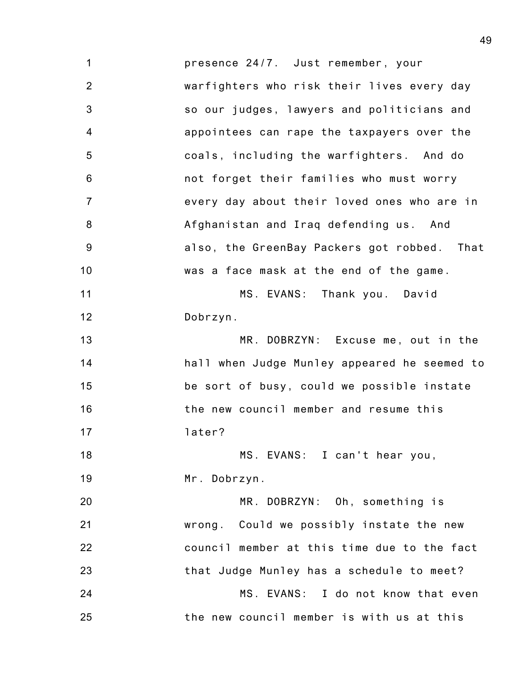1 2 3 4 5 6 7 8 9 10 11 12 13 14 15 16 17 18 19 20 21 22 23 24 25 presence 24/7. Just remember, your warfighters who risk their lives every day so our judges, lawyers and politicians and appointees can rape the taxpayers over the coals, including the warfighters. And do not forget their families who must worry every day about their loved ones who are in Afghanistan and Iraq defending us. And also, the GreenBay Packers got robbed. That was a face mask at the end of the game. MS. EVANS: Thank you. David Dobrzyn. MR. DOBRZYN: Excuse me, out in the hall when Judge Munley appeared he seemed to be sort of busy, could we possible instate the new council member and resume this later? MS. EVANS: I can't hear you, Mr. Dobrzyn. MR. DOBRZYN: Oh, something is wrong. Could we possibly instate the new council member at this time due to the fact that Judge Munley has a schedule to meet? MS. EVANS: I do not know that even the new council member is with us at this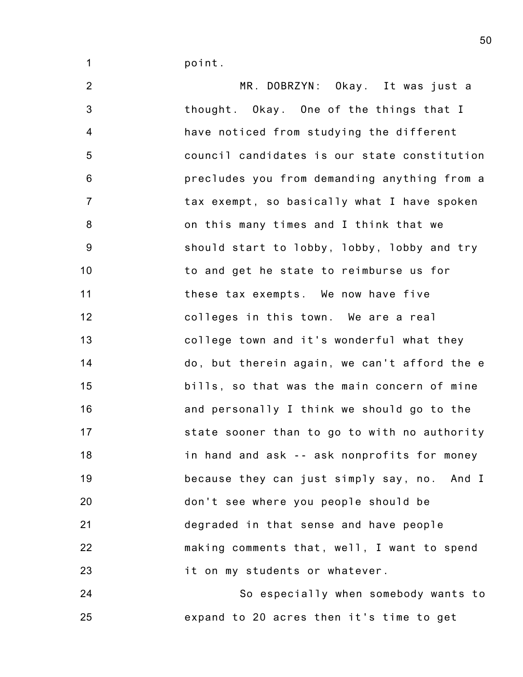point.

1

2 3 4 5 6 7 8 9 10 11 12 13 14 15 16 17 18 19 20 21 22 23 MR. DOBRZYN: Okay. It was just a thought. Okay. One of the things that I have noticed from studying the different council candidates is our state constitution precludes you from demanding anything from a tax exempt, so basically what I have spoken on this many times and I think that we should start to lobby, lobby, lobby and try to and get he state to reimburse us for these tax exempts. We now have five colleges in this town. We are a real college town and it's wonderful what they do, but therein again, we can't afford the e bills, so that was the main concern of mine and personally I think we should go to the state sooner than to go to with no authority in hand and ask -- ask nonprofits for money because they can just simply say, no. And I don't see where you people should be degraded in that sense and have people making comments that, well, I want to spend it on my students or whatever.

24 25 So especially when somebody wants to expand to 20 acres then it's time to get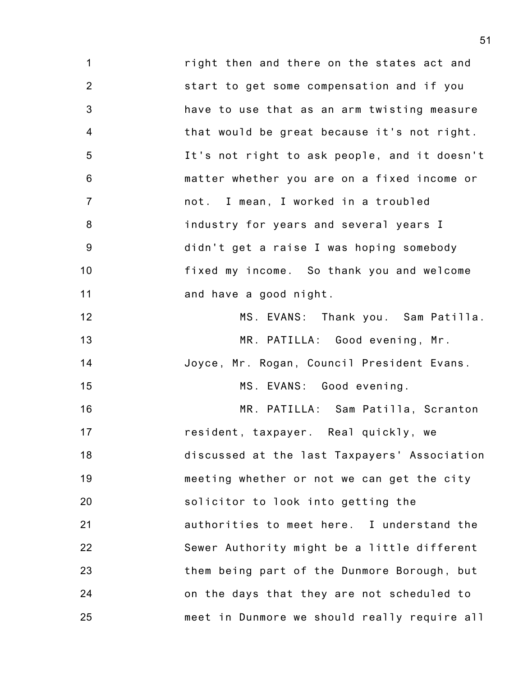1 2 3 4 5 6 7 8 9 10 11 12 13 14 15 16 17 18 19 20 21 22 23 24 25 right then and there on the states act and start to get some compensation and if you have to use that as an arm twisting measure that would be great because it's not right. It's not right to ask people, and it doesn't matter whether you are on a fixed income or not. I mean, I worked in a troubled industry for years and several years I didn't get a raise I was hoping somebody fixed my income. So thank you and welcome and have a good night. MS. EVANS: Thank you. Sam Patilla. MR. PATILLA: Good evening, Mr. Joyce, Mr. Rogan, Council President Evans. MS. EVANS: Good evening. MR. PATILLA: Sam Patilla, Scranton resident, taxpayer. Real quickly, we discussed at the last Taxpayers' Association meeting whether or not we can get the city solicitor to look into getting the authorities to meet here. I understand the Sewer Authority might be a little different them being part of the Dunmore Borough, but on the days that they are not scheduled to meet in Dunmore we should really require all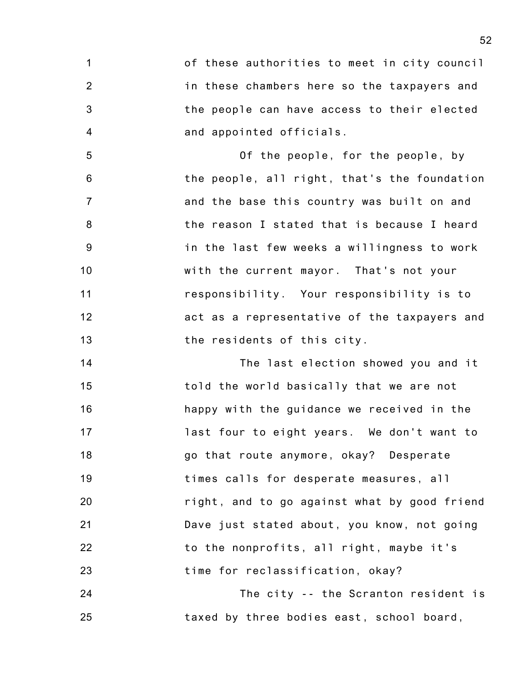1 2 3 4 of these authorities to meet in city council in these chambers here so the taxpayers and the people can have access to their elected and appointed officials.

5 6 7 8 9 10 11 12 13 Of the people, for the people, by the people, all right, that's the foundation and the base this country was built on and the reason I stated that is because I heard in the last few weeks a willingness to work with the current mayor. That's not your responsibility. Your responsibility is to act as a representative of the taxpayers and the residents of this city.

14 15 16 17 18 19 20 21 22 23 The last election showed you and it told the world basically that we are not happy with the guidance we received in the last four to eight years. We don't want to go that route anymore, okay? Desperate times calls for desperate measures, all right, and to go against what by good friend Dave just stated about, you know, not going to the nonprofits, all right, maybe it's time for reclassification, okay?

24 25 The city -- the Scranton resident is taxed by three bodies east, school board,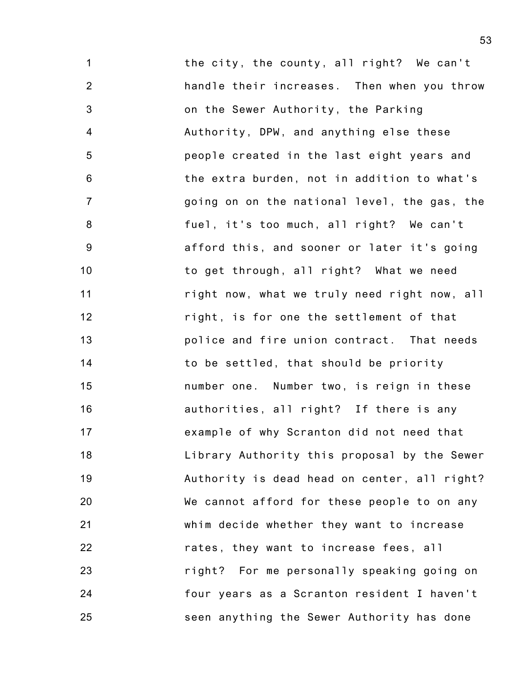1 2 3 4 5 6 7 8 9 10 11 12 13 14 15 16 17 18 19 20 21 22 23 24 25 the city, the county, all right? We can't handle their increases. Then when you throw on the Sewer Authority, the Parking Authority, DPW, and anything else these people created in the last eight years and the extra burden, not in addition to what's going on on the national level, the gas, the fuel, it's too much, all right? We can't afford this, and sooner or later it's going to get through, all right? What we need right now, what we truly need right now, all right, is for one the settlement of that police and fire union contract. That needs to be settled, that should be priority number one. Number two, is reign in these authorities, all right? If there is any example of why Scranton did not need that Library Authority this proposal by the Sewer Authority is dead head on center, all right? We cannot afford for these people to on any whim decide whether they want to increase rates, they want to increase fees, all right? For me personally speaking going on four years as a Scranton resident I haven't seen anything the Sewer Authority has done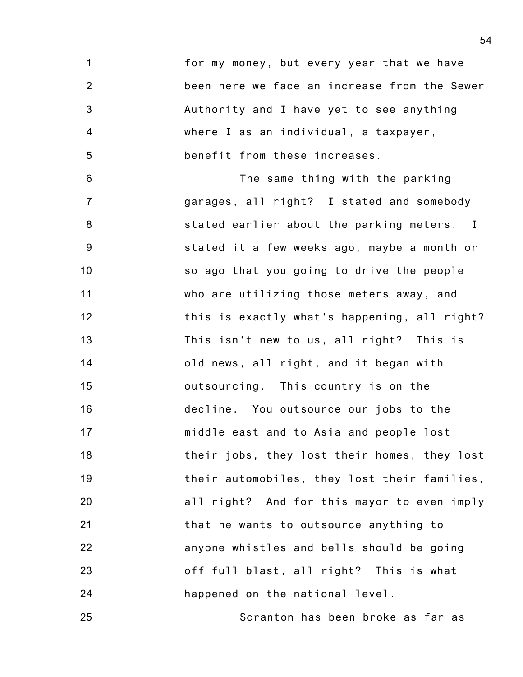1 2 3 4 5 6 7 8 9 10 11 12 13 14 15 16 17 18 19 20 21 22 23 24 25 for my money, but every year that we have been here we face an increase from the Sewer Authority and I have yet to see anything where I as an individual, a taxpayer, benefit from these increases. The same thing with the parking garages, all right? I stated and somebody stated earlier about the parking meters. I stated it a few weeks ago, maybe a month or so ago that you going to drive the people who are utilizing those meters away, and this is exactly what's happening, all right? This isn't new to us, all right? This is old news, all right, and it began with outsourcing. This country is on the decline. You outsource our jobs to the middle east and to Asia and people lost their jobs, they lost their homes, they lost their automobiles, they lost their families, all right? And for this mayor to even imply that he wants to outsource anything to anyone whistles and bells should be going off full blast, all right? This is what happened on the national level.

Scranton has been broke as far as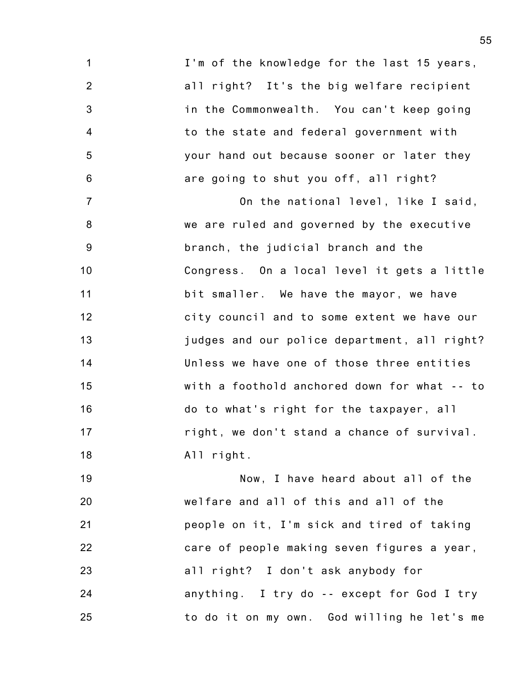1 2 3 4 5 6 I'm of the knowledge for the last 15 years, all right? It's the big welfare recipient in the Commonwealth. You can't keep going to the state and federal government with your hand out because sooner or later they are going to shut you off, all right?

7 8 9 10 11 12 13 14 15 16 17 18 On the national level, like I said, we are ruled and governed by the executive branch, the judicial branch and the Congress. On a local level it gets a little bit smaller. We have the mayor, we have city council and to some extent we have our judges and our police department, all right? Unless we have one of those three entities with a foothold anchored down for what -- to do to what's right for the taxpayer, all right, we don't stand a chance of survival. All right.

19 20 21 22 23 24 25 Now, I have heard about all of the welfare and all of this and all of the people on it, I'm sick and tired of taking care of people making seven figures a year, all right? I don't ask anybody for anything. I try do -- except for God I try to do it on my own. God willing he let's me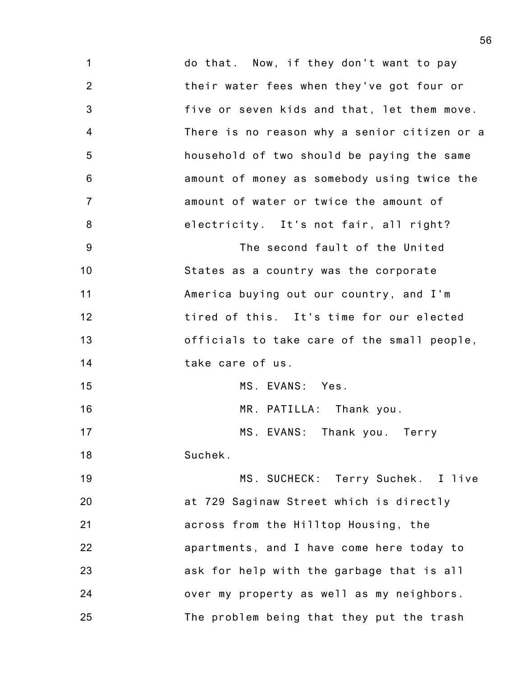1 2 3 4 5 6 7 8 9 10 11 12 13 14 15 16 17 18 19 20 21 22 23 24 25 do that. Now, if they don't want to pay their water fees when they've got four or five or seven kids and that, let them move. There is no reason why a senior citizen or a household of two should be paying the same amount of money as somebody using twice the amount of water or twice the amount of electricity. It's not fair, all right? The second fault of the United States as a country was the corporate America buying out our country, and I'm tired of this. It's time for our elected officials to take care of the small people, take care of us. MS. EVANS: Yes. MR. PATILLA: Thank you. MS. EVANS: Thank you. Terry Suchek. MS. SUCHECK: Terry Suchek. I live at 729 Saginaw Street which is directly across from the Hilltop Housing, the apartments, and I have come here today to ask for help with the garbage that is all over my property as well as my neighbors. The problem being that they put the trash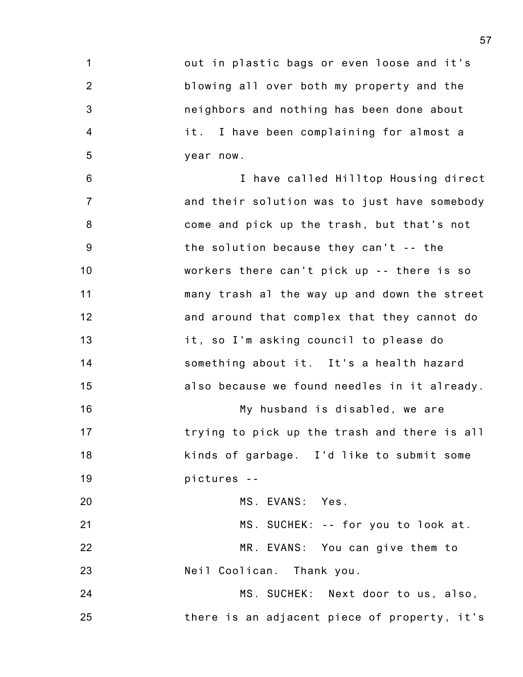1 2 3 4 5 out in plastic bags or even loose and it's blowing all over both my property and the neighbors and nothing has been done about it. I have been complaining for almost a year now.

6 7 8 9 10 11 12 13 14 15 I have called Hilltop Housing direct and their solution was to just have somebody come and pick up the trash, but that's not the solution because they can't -- the workers there can't pick up -- there is so many trash al the way up and down the street and around that complex that they cannot do it, so I'm asking council to please do something about it. It's a health hazard also because we found needles in it already.

16 17 18 19 My husband is disabled, we are trying to pick up the trash and there is all kinds of garbage. I'd like to submit some pictures --

20 21 22 23 24 MS. EVANS: Yes. MS. SUCHEK: -- for you to look at. MR. EVANS: You can give them to Neil Coolican. Thank you.

25 MS. SUCHEK: Next door to us, also, there is an adjacent piece of property, it's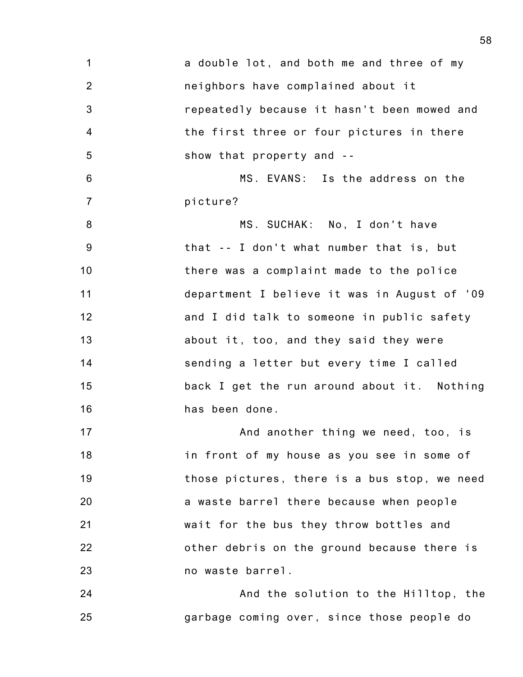1 2 3 4 5 6 7 8 9 10 11 12 13 14 15 16 17 18 19 20 21 22 23 24 25 a double lot, and both me and three of my neighbors have complained about it repeatedly because it hasn't been mowed and the first three or four pictures in there show that property and -- MS. EVANS: Is the address on the picture? MS. SUCHAK: No, I don't have that -- I don't what number that is, but there was a complaint made to the police department I believe it was in August of '09 and I did talk to someone in public safety about it, too, and they said they were sending a letter but every time I called back I get the run around about it. Nothing has been done. And another thing we need, too, is in front of my house as you see in some of those pictures, there is a bus stop, we need a waste barrel there because when people wait for the bus they throw bottles and other debris on the ground because there is no waste barrel. And the solution to the Hilltop, the garbage coming over, since those people do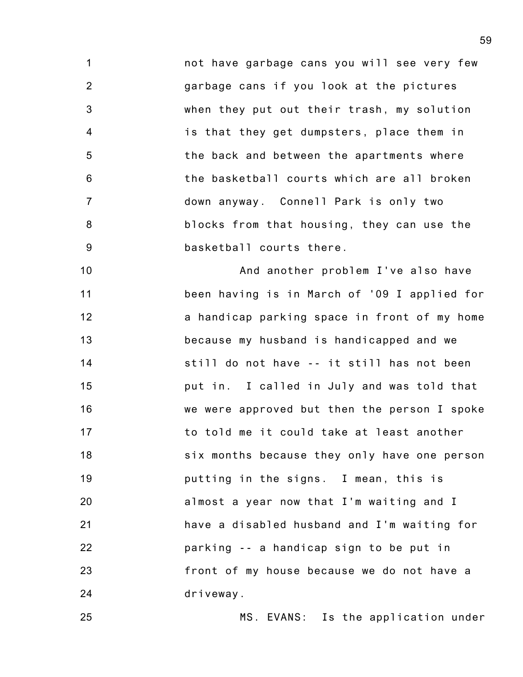1 2 3 4 5 6 7 8 9 not have garbage cans you will see very few garbage cans if you look at the pictures when they put out their trash, my solution is that they get dumpsters, place them in the back and between the apartments where the basketball courts which are all broken down anyway. Connell Park is only two blocks from that housing, they can use the basketball courts there.

10 11 12 13 14 15 16 17 18 19 20 21 22 23 24 And another problem I've also have been having is in March of '09 I applied for a handicap parking space in front of my home because my husband is handicapped and we still do not have -- it still has not been put in. I called in July and was told that we were approved but then the person I spoke to told me it could take at least another six months because they only have one person putting in the signs. I mean, this is almost a year now that I'm waiting and I have a disabled husband and I'm waiting for parking -- a handicap sign to be put in front of my house because we do not have a driveway.

MS. EVANS: Is the application under

25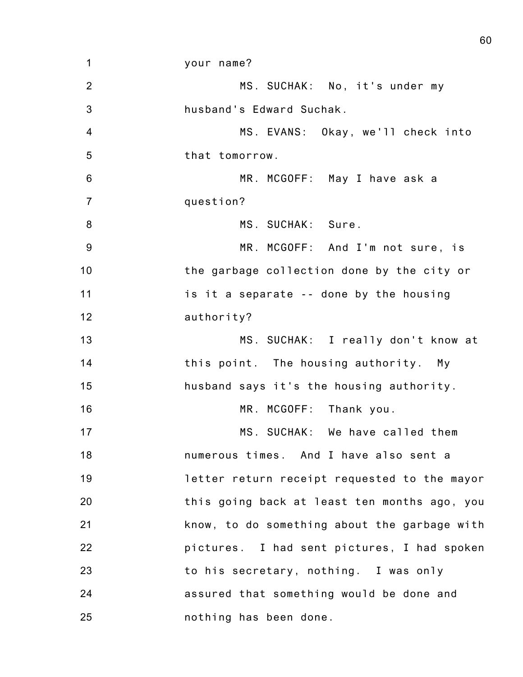| $\mathbf 1$    | your name?                                   |
|----------------|----------------------------------------------|
| $\overline{2}$ | MS. SUCHAK: No, it's under my                |
| 3              | husband's Edward Suchak.                     |
| 4              | MS. EVANS: Okay, we'll check into            |
| 5              | that tomorrow.                               |
| 6              | MR. MCGOFF: May I have ask a                 |
| $\overline{7}$ | question?                                    |
| 8              | MS. SUCHAK: Sure.                            |
| 9              | MR. MCGOFF: And I'm not sure, is             |
| 10             | the garbage collection done by the city or   |
| 11             | is it a separate -- done by the housing      |
| 12             | authority?                                   |
| 13             | MS. SUCHAK: I really don't know at           |
| 14             | this point. The housing authority. My        |
| 15             | husband says it's the housing authority.     |
| 16             | MR. MCGOFF: Thank you.                       |
| 17             | MS. SUCHAK: We have called them              |
| 18             | numerous times. And I have also sent a       |
| 19             | letter return receipt requested to the mayor |
| 20             | this going back at least ten months ago, you |
| 21             | know, to do something about the garbage with |
| 22             | pictures. I had sent pictures, I had spoken  |
| 23             | to his secretary, nothing. I was only        |
| 24             | assured that something would be done and     |
| 25             | nothing has been done.                       |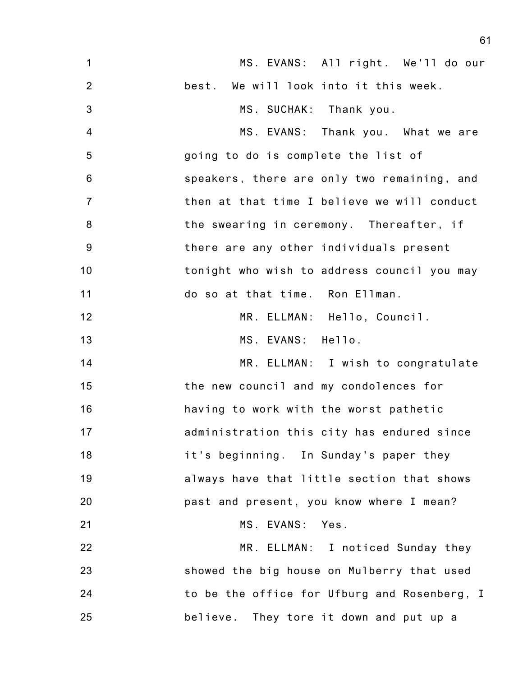| $\mathbf 1$    | MS. EVANS: All right. We'll do our           |
|----------------|----------------------------------------------|
| $\overline{2}$ | best. We will look into it this week.        |
| 3              | MS. SUCHAK: Thank you.                       |
| $\overline{4}$ | MS. EVANS: Thank you. What we are            |
| 5              | going to do is complete the list of          |
| 6              | speakers, there are only two remaining, and  |
| $\overline{7}$ | then at that time I believe we will conduct  |
| 8              | the swearing in ceremony. Thereafter, if     |
| 9              | there are any other individuals present      |
| 10             | tonight who wish to address council you may  |
| 11             | do so at that time. Ron Ellman.              |
| 12             | MR. ELLMAN: Hello, Council.                  |
| 13             | MS. EVANS: Hello.                            |
| 14             | MR. ELLMAN: I wish to congratulate           |
| 15             | the new council and my condolences for       |
| 16             | having to work with the worst pathetic       |
| 17             | administration this city has endured since   |
| 18             | it's beginning. In Sunday's paper they       |
| 19             | always have that little section that shows   |
| 20             | past and present, you know where I mean?     |
| 21             | MS. EVANS: Yes.                              |
| 22             | MR. ELLMAN: I noticed Sunday they            |
| 23             | showed the big house on Mulberry that used   |
| 24             | to be the office for Ufburg and Rosenberg, I |
| 25             | believe. They tore it down and put up a      |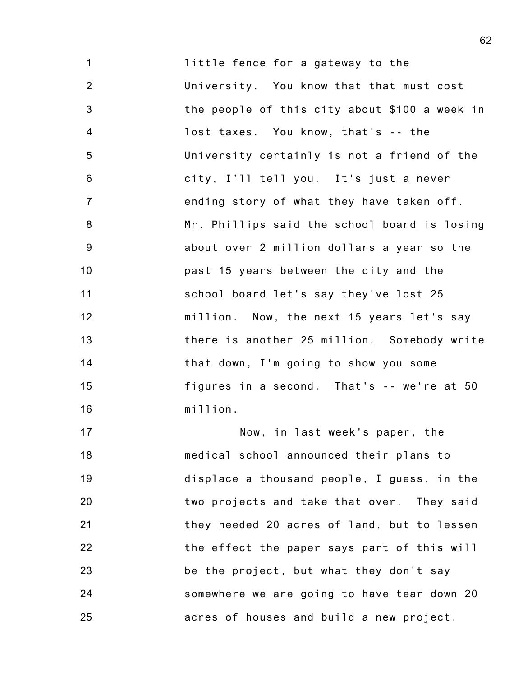1 2 3 4 5 6 7 8 9 10 11 12 13 14 15 16 little fence for a gateway to the University. You know that that must cost the people of this city about \$100 a week in lost taxes. You know, that's -- the University certainly is not a friend of the city, I'll tell you. It's just a never ending story of what they have taken off. Mr. Phillips said the school board is losing about over 2 million dollars a year so the past 15 years between the city and the school board let's say they've lost 25 million. Now, the next 15 years let's say there is another 25 million. Somebody write that down, I'm going to show you some figures in a second. That's -- we're at 50 million.

17 18 19 20 21 22 23 24 25 Now, in last week's paper, the medical school announced their plans to displace a thousand people, I guess, in the two projects and take that over. They said they needed 20 acres of land, but to lessen the effect the paper says part of this will be the project, but what they don't say somewhere we are going to have tear down 20 acres of houses and build a new project.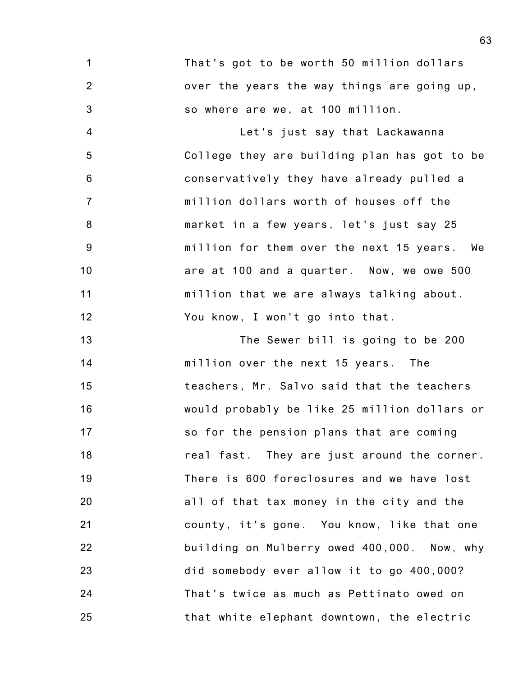1 2 3 That's got to be worth 50 million dollars over the years the way things are going up, so where are we, at 100 million.

4 5 6 7 8 9 10 11 12 Let's just say that Lackawanna College they are building plan has got to be conservatively they have already pulled a million dollars worth of houses off the market in a few years, let's just say 25 million for them over the next 15 years. We are at 100 and a quarter. Now, we owe 500 million that we are always talking about. You know, I won't go into that.

13 14 15 16 17 18 19 20 21 22 23 24 25 The Sewer bill is going to be 200 million over the next 15 years. The teachers, Mr. Salvo said that the teachers would probably be like 25 million dollars or so for the pension plans that are coming real fast. They are just around the corner. There is 600 foreclosures and we have lost all of that tax money in the city and the county, it's gone. You know, like that one building on Mulberry owed 400,000. Now, why did somebody ever allow it to go 400,000? That's twice as much as Pettinato owed on that white elephant downtown, the electric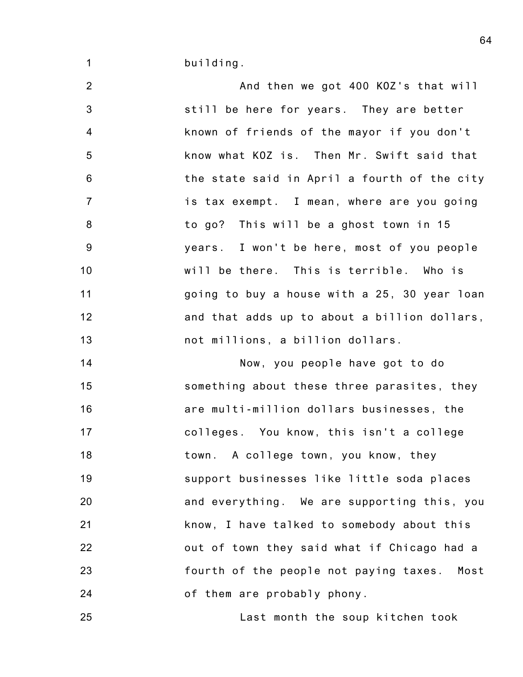building.

1

2 3 4 5 6 7 8 9 10 11 12 13 And then we got 400 KOZ's that will still be here for years. They are better known of friends of the mayor if you don't know what KOZ is. Then Mr. Swift said that the state said in April a fourth of the city is tax exempt. I mean, where are you going to go? This will be a ghost town in 15 years. I won't be here, most of you people will be there. This is terrible. Who is going to buy a house with a 25, 30 year loan and that adds up to about a billion dollars, not millions, a billion dollars.

14 15 16 17 18 19 20 21 22 23 24 Now, you people have got to do something about these three parasites, they are multi-million dollars businesses, the colleges. You know, this isn't a college town. A college town, you know, they support businesses like little soda places and everything. We are supporting this, you know, I have talked to somebody about this out of town they said what if Chicago had a fourth of the people not paying taxes. Most of them are probably phony.

25 Last month the soup kitchen took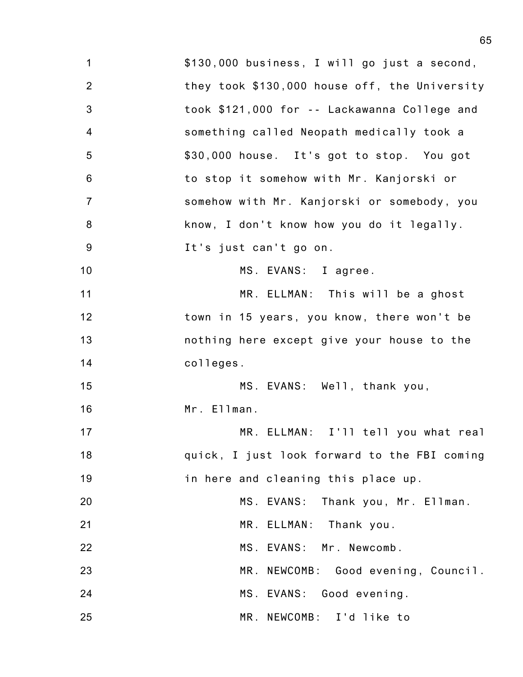1 2 3 4 5 6 7 8 9 10 11 12 13 14 15 16 17 18 19 20 21 22 23 24 25 \$130,000 business, I will go just a second, they took \$130,000 house off, the University took \$121,000 for -- Lackawanna College and something called Neopath medically took a \$30,000 house. It's got to stop. You got to stop it somehow with Mr. Kanjorski or somehow with Mr. Kanjorski or somebody, you know, I don't know how you do it legally. It's just can't go on. MS. EVANS: I agree. MR. ELLMAN: This will be a ghost town in 15 years, you know, there won't be nothing here except give your house to the colleges. MS. EVANS: Well, thank you, Mr. Ellman. MR. ELLMAN: I'll tell you what real quick, I just look forward to the FBI coming in here and cleaning this place up. MS. EVANS: Thank you, Mr. Ellman. MR. ELLMAN: Thank you. MS. EVANS: Mr. Newcomb. MR. NEWCOMB: Good evening, Council. MS. EVANS: Good evening. MR. NEWCOMB: I'd like to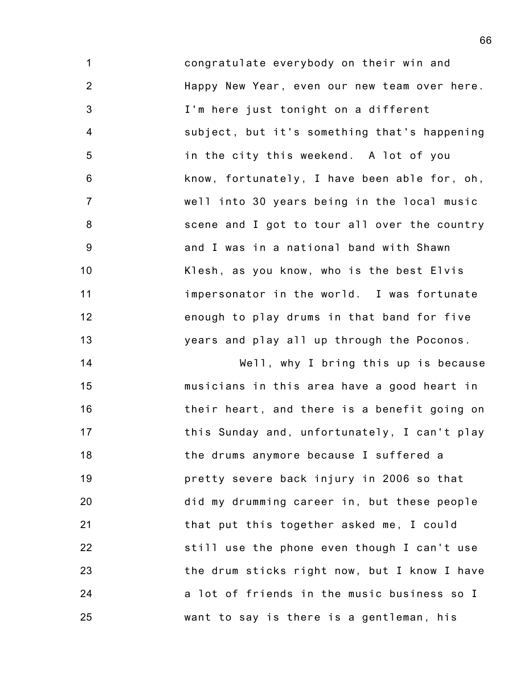1 2 3 4 5 6 7 8 9 10 11 12 13 congratulate everybody on their win and Happy New Year, even our new team over here. I'm here just tonight on a different subject, but it's something that's happening in the city this weekend. A lot of you know, fortunately, I have been able for, oh, well into 30 years being in the local music scene and I got to tour all over the country and I was in a national band with Shawn Klesh, as you know, who is the best Elvis impersonator in the world. I was fortunate enough to play drums in that band for five years and play all up through the Poconos.

14 15 16 17 18 19 20 21 22 23 24 25 Well, why I bring this up is because musicians in this area have a good heart in their heart, and there is a benefit going on this Sunday and, unfortunately, I can't play the drums anymore because I suffered a pretty severe back injury in 2006 so that did my drumming career in, but these people that put this together asked me, I could still use the phone even though I can't use the drum sticks right now, but I know I have a lot of friends in the music business so I want to say is there is a gentleman, his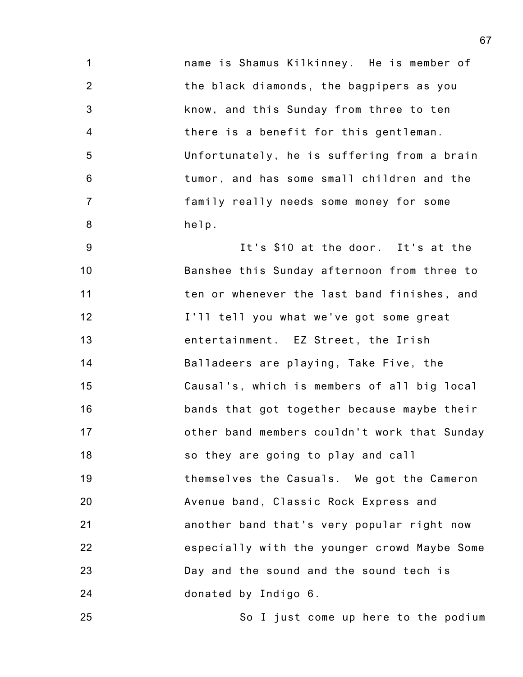1 2 3 4 5 6 7 8 name is Shamus Kilkinney. He is member of the black diamonds, the bagpipers as you know, and this Sunday from three to ten there is a benefit for this gentleman. Unfortunately, he is suffering from a brain tumor, and has some small children and the family really needs some money for some help.

9 10 11 12 13 14 15 16 17 18 19 20 21 22 23 24 It's \$10 at the door. It's at the Banshee this Sunday afternoon from three to ten or whenever the last band finishes, and I'll tell you what we've got some great entertainment. EZ Street, the Irish Balladeers are playing, Take Five, the Causal's, which is members of all big local bands that got together because maybe their other band members couldn't work that Sunday so they are going to play and call themselves the Casuals. We got the Cameron Avenue band, Classic Rock Express and another band that's very popular right now especially with the younger crowd Maybe Some Day and the sound and the sound tech is donated by Indigo 6.

25 So I just come up here to the podium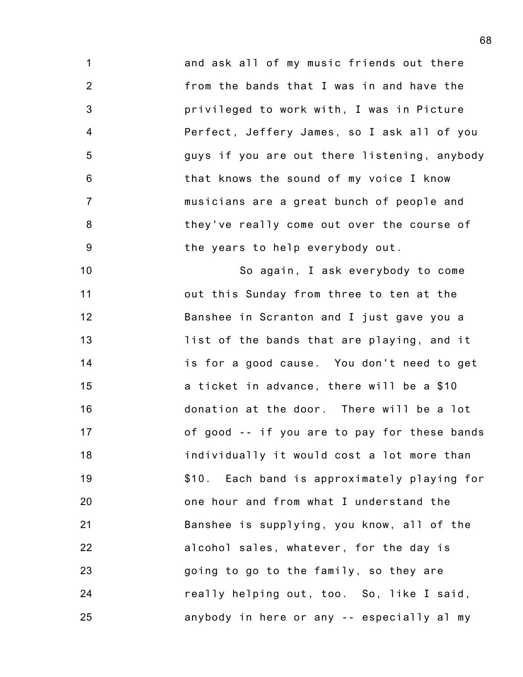1 2 3 4 5 6 7 8 9 and ask all of my music friends out there from the bands that I was in and have the privileged to work with, I was in Picture Perfect, Jeffery James, so I ask all of you guys if you are out there listening, anybody that knows the sound of my voice I know musicians are a great bunch of people and they've really come out over the course of the years to help everybody out.

10 11 12 13 14 15 16 17 18 19 20 21 22 23 24 25 So again, I ask everybody to come out this Sunday from three to ten at the Banshee in Scranton and I just gave you a list of the bands that are playing, and it is for a good cause. You don't need to get a ticket in advance, there will be a \$10 donation at the door. There will be a lot of good -- if you are to pay for these bands individually it would cost a lot more than \$10. Each band is approximately playing for one hour and from what I understand the Banshee is supplying, you know, all of the alcohol sales, whatever, for the day is going to go to the family, so they are really helping out, too. So, like I said, anybody in here or any -- especially al my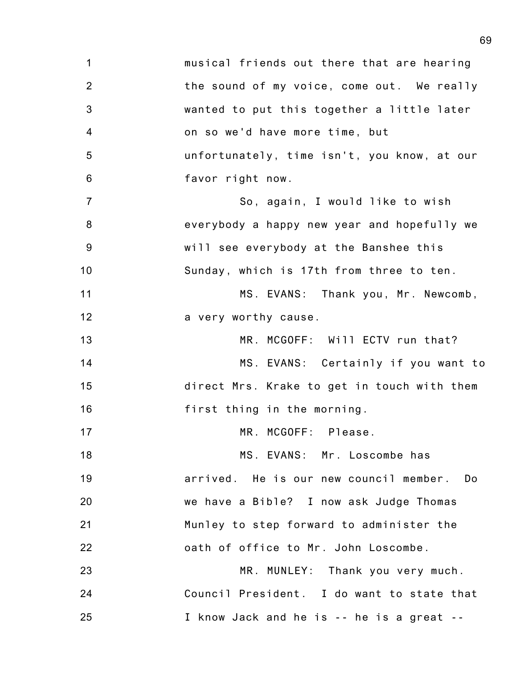1 2 3 4 5 6 7 8 9 10 11 12 13 14 15 16 17 18 19 20 21 22 23 24 25 musical friends out there that are hearing the sound of my voice, come out. We really wanted to put this together a little later on so we'd have more time, but unfortunately, time isn't, you know, at our favor right now. So, again, I would like to wish everybody a happy new year and hopefully we will see everybody at the Banshee this Sunday, which is 17th from three to ten. MS. EVANS: Thank you, Mr. Newcomb, a very worthy cause. MR. MCGOFF: Will ECTV run that? MS. EVANS: Certainly if you want to direct Mrs. Krake to get in touch with them first thing in the morning. MR. MCGOFF: Please. MS. EVANS: Mr. Loscombe has arrived. He is our new council member. Do we have a Bible? I now ask Judge Thomas Munley to step forward to administer the oath of office to Mr. John Loscombe. MR. MUNLEY: Thank you very much. Council President. I do want to state that I know Jack and he is -- he is a great --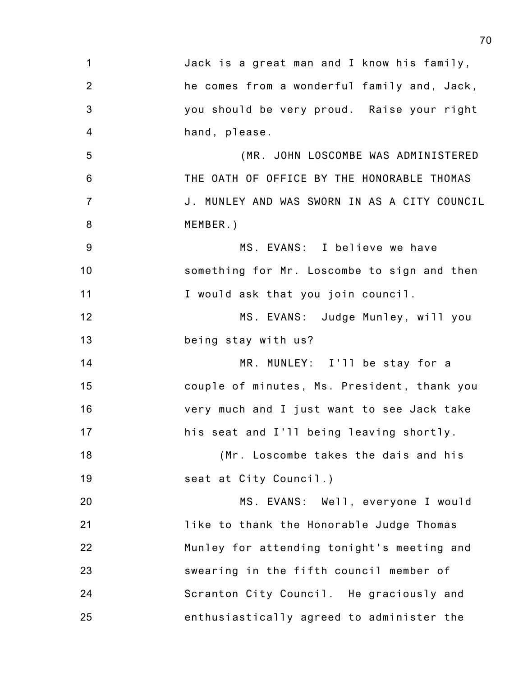| $\mathbf{1}$   | Jack is a great man and I know his family,   |
|----------------|----------------------------------------------|
| $\overline{2}$ | he comes from a wonderful family and, Jack,  |
| 3              | you should be very proud. Raise your right   |
| $\overline{4}$ | hand, please.                                |
| 5              | (MR. JOHN LOSCOMBE WAS ADMINISTERED          |
| 6              | THE OATH OF OFFICE BY THE HONORABLE THOMAS   |
| $\overline{7}$ | J. MUNLEY AND WAS SWORN IN AS A CITY COUNCIL |
| 8              | MEMBER.)                                     |
| $9\,$          | MS. EVANS: I believe we have                 |
| 10             | something for Mr. Loscombe to sign and then  |
| 11             | I would ask that you join council.           |
| 12             | MS. EVANS: Judge Munley, will you            |
| 13             | being stay with us?                          |
| 14             | MR. MUNLEY: I'll be stay for a               |
| 15             | couple of minutes, Ms. President, thank you  |
| 16             | very much and I just want to see Jack take   |
| 17             | his seat and I'll being leaving shortly.     |
| 18             | (Mr. Loscombe takes the dais and his         |
| 19             | seat at City Council.)                       |
| 20             | MS. EVANS: Well, everyone I would            |
| 21             | like to thank the Honorable Judge Thomas     |
| 22             | Munley for attending tonight's meeting and   |
| 23             | swearing in the fifth council member of      |
| 24             | Scranton City Council. He graciously and     |
| 25             | enthusiastically agreed to administer the    |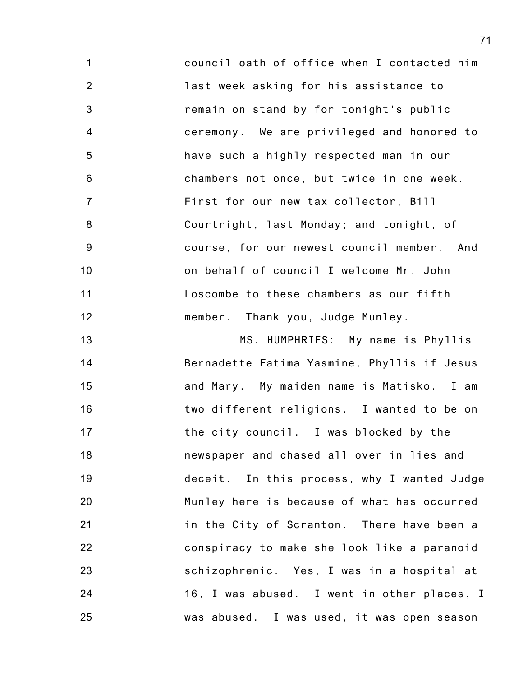1 2 3 4 5 6 7 8 9 10 11 12 council oath of office when I contacted him last week asking for his assistance to remain on stand by for tonight's public ceremony. We are privileged and honored to have such a highly respected man in our chambers not once, but twice in one week. First for our new tax collector, Bill Courtright, last Monday; and tonight, of course, for our newest council member. And on behalf of council I welcome Mr. John Loscombe to these chambers as our fifth member. Thank you, Judge Munley.

13 14 15 16 17 18 19 20 21 22 23 24 25 MS. HUMPHRIES: My name is Phyllis Bernadette Fatima Yasmine, Phyllis if Jesus and Mary. My maiden name is Matisko. I am two different religions. I wanted to be on the city council. I was blocked by the newspaper and chased all over in lies and deceit. In this process, why I wanted Judge Munley here is because of what has occurred in the City of Scranton. There have been a conspiracy to make she look like a paranoid schizophrenic. Yes, I was in a hospital at 16, I was abused. I went in other places, I was abused. I was used, it was open season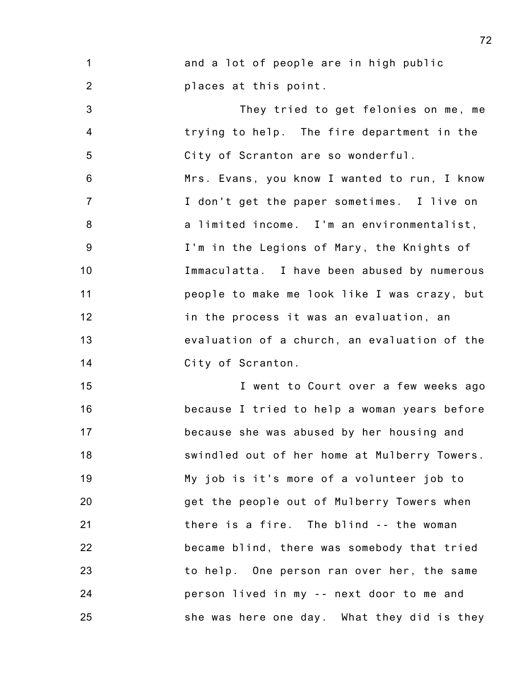1 2 and a lot of people are in high public places at this point.

3 4 5 6 7 8 9 10 11 12 13 14 They tried to get felonies on me, me trying to help. The fire department in the City of Scranton are so wonderful. Mrs. Evans, you know I wanted to run, I know I don't get the paper sometimes. I live on a limited income. I'm an environmentalist, I'm in the Legions of Mary, the Knights of Immaculatta. I have been abused by numerous people to make me look like I was crazy, but in the process it was an evaluation, an evaluation of a church, an evaluation of the City of Scranton.

15 16 17 18 19 20 21 22 23 24 25 I went to Court over a few weeks ago because I tried to help a woman years before because she was abused by her housing and swindled out of her home at Mulberry Towers. My job is it's more of a volunteer job to get the people out of Mulberry Towers when there is a fire. The blind -- the woman became blind, there was somebody that tried to help. One person ran over her, the same person lived in my -- next door to me and she was here one day. What they did is they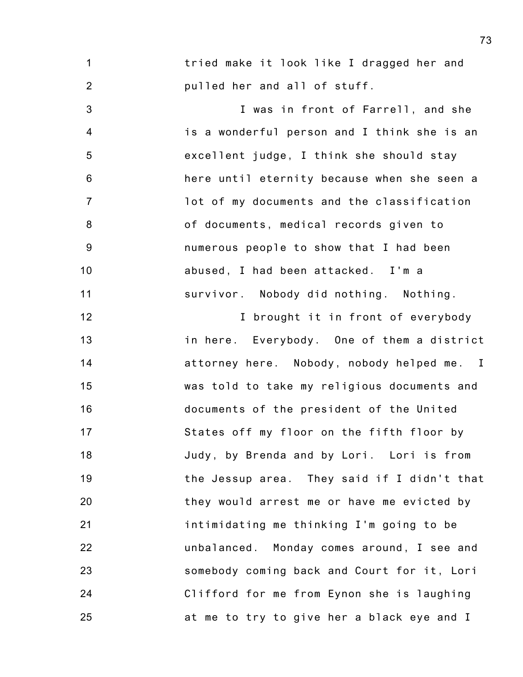1 2 tried make it look like I dragged her and pulled her and all of stuff.

3 4 5 6 7 8 9 10 11 I was in front of Farrell, and she is a wonderful person and I think she is an excellent judge, I think she should stay here until eternity because when she seen a lot of my documents and the classification of documents, medical records given to numerous people to show that I had been abused, I had been attacked. I'm a survivor. Nobody did nothing. Nothing.

12 13 14 15 16 17 18 19 20 21 22 23 24 25 I brought it in front of everybody in here. Everybody. One of them a district attorney here. Nobody, nobody helped me. I was told to take my religious documents and documents of the president of the United States off my floor on the fifth floor by Judy, by Brenda and by Lori. Lori is from the Jessup area. They said if I didn't that they would arrest me or have me evicted by intimidating me thinking I'm going to be unbalanced. Monday comes around, I see and somebody coming back and Court for it, Lori Clifford for me from Eynon she is laughing at me to try to give her a black eye and I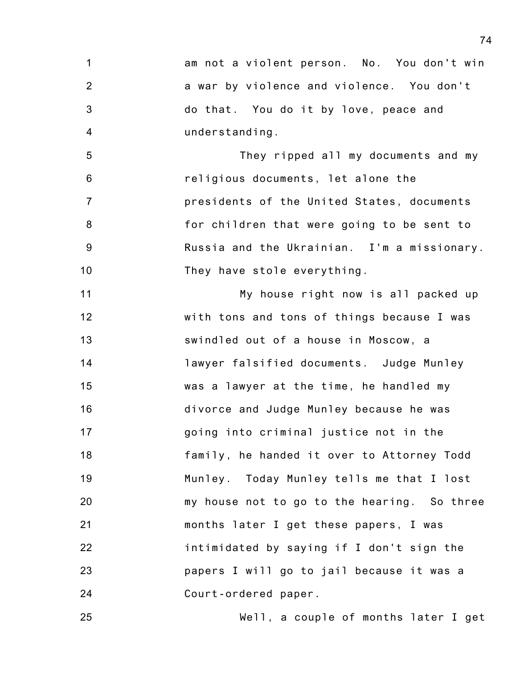1 2 3 4 am not a violent person. No. You don't win a war by violence and violence. You don't do that. You do it by love, peace and understanding.

5 6 7 8 9 10 They ripped all my documents and my religious documents, let alone the presidents of the United States, documents for children that were going to be sent to Russia and the Ukrainian. I'm a missionary. They have stole everything.

11 12 13 14 15 16 17 18 19 20 21 22 23 24 My house right now is all packed up with tons and tons of things because I was swindled out of a house in Moscow, a lawyer falsified documents. Judge Munley was a lawyer at the time, he handled my divorce and Judge Munley because he was going into criminal justice not in the family, he handed it over to Attorney Todd Munley. Today Munley tells me that I lost my house not to go to the hearing. So three months later I get these papers, I was intimidated by saying if I don't sign the papers I will go to jail because it was a Court-ordered paper.

Well, a couple of months later I get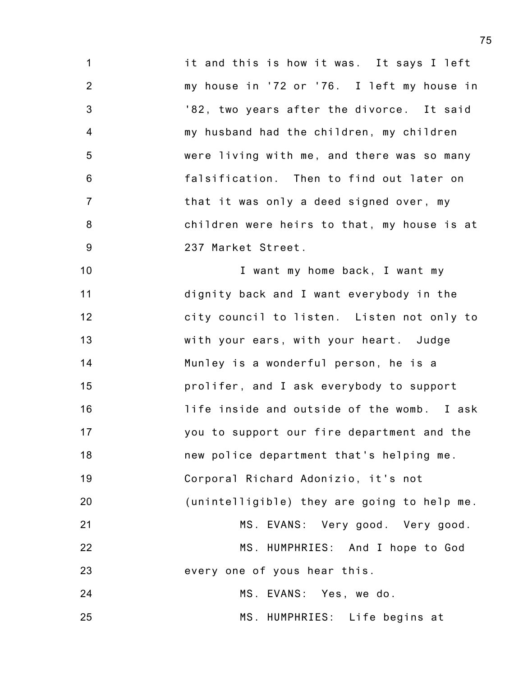1 2 3 4 5 6 7 8 9 it and this is how it was. It says I left my house in '72 or '76. I left my house in '82, two years after the divorce. It said my husband had the children, my children were living with me, and there was so many falsification. Then to find out later on that it was only a deed signed over, my children were heirs to that, my house is at 237 Market Street.

10 11 12 13 14 15 16 17 18 19 20 21 22 23 24 I want my home back, I want my dignity back and I want everybody in the city council to listen. Listen not only to with your ears, with your heart. Judge Munley is a wonderful person, he is a prolifer, and I ask everybody to support life inside and outside of the womb. I ask you to support our fire department and the new police department that's helping me. Corporal Richard Adonizio, it's not (unintelligible) they are going to help me. MS. EVANS: Very good. Very good. MS. HUMPHRIES: And I hope to God every one of yous hear this. MS. EVANS: Yes, we do.

MS. HUMPHRIES: Life begins at

25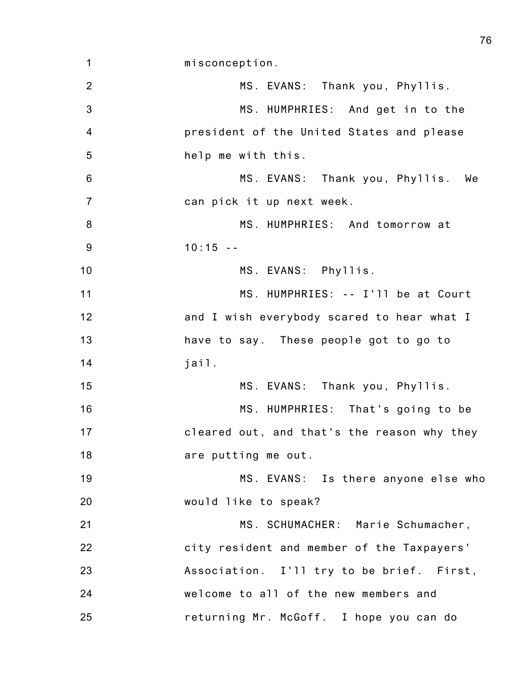1 2 3 4 5 6 7 8 9 10 11 12 13 14 15 16 17 18 19 20 21 22 23 24 25 misconception. MS. EVANS: Thank you, Phyllis. MS. HUMPHRIES: And get in to the president of the United States and please help me with this. MS. EVANS: Thank you, Phyllis. We can pick it up next week. MS. HUMPHRIES: And tomorrow at  $10:15 - -$ MS. EVANS: Phyllis. MS. HUMPHRIES: -- I'll be at Court and I wish everybody scared to hear what I have to say. These people got to go to jail. MS. EVANS: Thank you, Phyllis. MS. HUMPHRIES: That's going to be cleared out, and that's the reason why they are putting me out. MS. EVANS: Is there anyone else who would like to speak? MS. SCHUMACHER: Marie Schumacher, city resident and member of the Taxpayers' Association. I'll try to be brief. First, welcome to all of the new members and returning Mr. McGoff. I hope you can do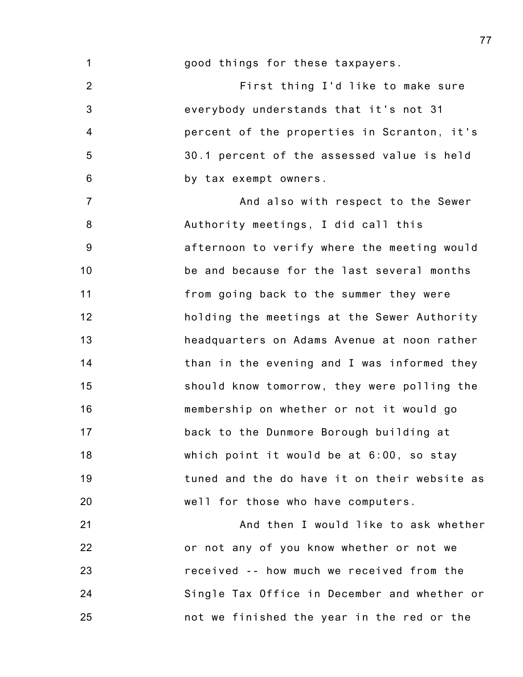1 good things for these taxpayers.

2 3 4 5 6 First thing I'd like to make sure everybody understands that it's not 31 percent of the properties in Scranton, it's 30.1 percent of the assessed value is held by tax exempt owners.

7 8 9 10 11 12 13 14 15 16 17 18 19 20 And also with respect to the Sewer Authority meetings, I did call this afternoon to verify where the meeting would be and because for the last several months from going back to the summer they were holding the meetings at the Sewer Authority headquarters on Adams Avenue at noon rather than in the evening and I was informed they should know tomorrow, they were polling the membership on whether or not it would go back to the Dunmore Borough building at which point it would be at 6:00, so stay tuned and the do have it on their website as well for those who have computers.

21 22 23 24 25 And then I would like to ask whether or not any of you know whether or not we received -- how much we received from the Single Tax Office in December and whether or not we finished the year in the red or the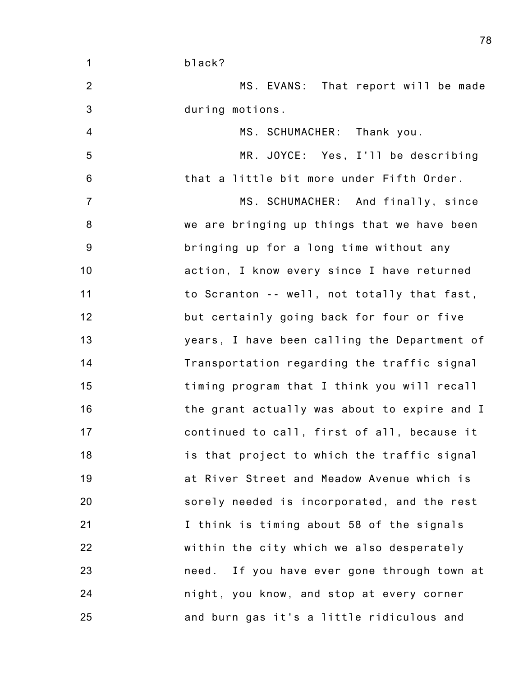1 2 3 4 5 6 7 8 9 10 11 12 13 14 15 16 17 18 19 20 21 22 23 24 25 black? MS. EVANS: That report will be made during motions. MS. SCHUMACHER: Thank you. MR. JOYCE: Yes, I'll be describing that a little bit more under Fifth Order. MS. SCHUMACHER: And finally, since we are bringing up things that we have been bringing up for a long time without any action, I know every since I have returned to Scranton -- well, not totally that fast, but certainly going back for four or five years, I have been calling the Department of Transportation regarding the traffic signal timing program that I think you will recall the grant actually was about to expire and I continued to call, first of all, because it is that project to which the traffic signal at River Street and Meadow Avenue which is sorely needed is incorporated, and the rest I think is timing about 58 of the signals within the city which we also desperately need. If you have ever gone through town at night, you know, and stop at every corner and burn gas it's a little ridiculous and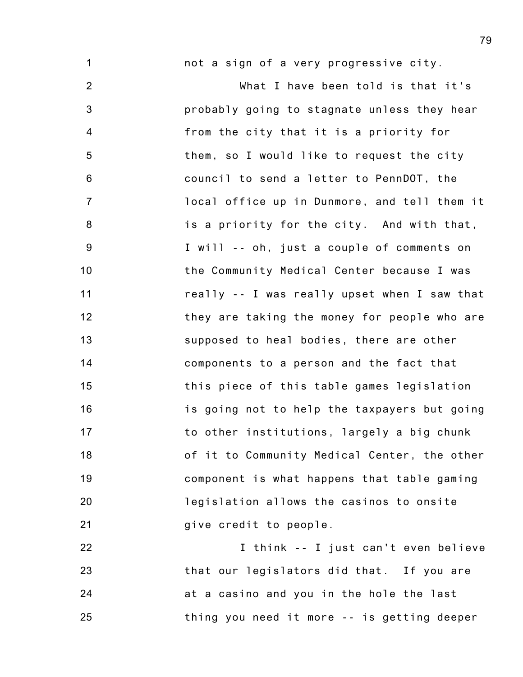not a sign of a very progressive city.

1

2 3 4 5 6 7 8 9 10 11 12 13 14 15 16 17 18 19 20 21 What I have been told is that it's probably going to stagnate unless they hear from the city that it is a priority for them, so I would like to request the city council to send a letter to PennDOT, the local office up in Dunmore, and tell them it is a priority for the city. And with that, I will -- oh, just a couple of comments on the Community Medical Center because I was really -- I was really upset when I saw that they are taking the money for people who are supposed to heal bodies, there are other components to a person and the fact that this piece of this table games legislation is going not to help the taxpayers but going to other institutions, largely a big chunk of it to Community Medical Center, the other component is what happens that table gaming legislation allows the casinos to onsite give credit to people.

22 23 24 25 I think -- I just can't even believe that our legislators did that. If you are at a casino and you in the hole the last thing you need it more -- is getting deeper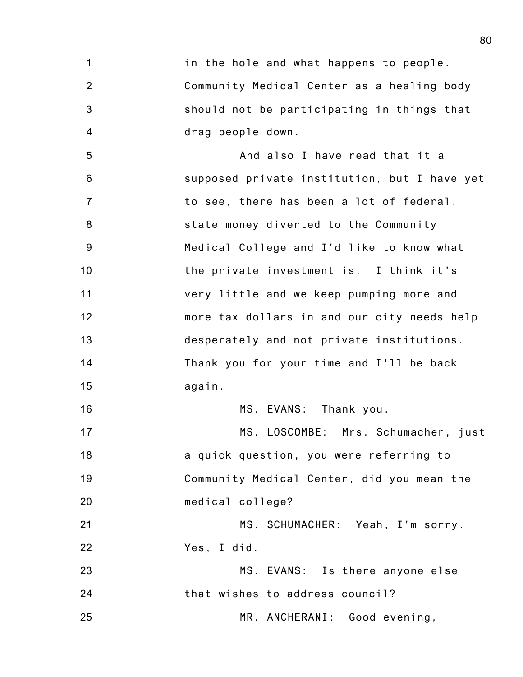1 2 3 4 in the hole and what happens to people. Community Medical Center as a healing body should not be participating in things that drag people down.

5 6 7 8 9 10 11 12 13 14 15 And also I have read that it a supposed private institution, but I have yet to see, there has been a lot of federal, state money diverted to the Community Medical College and I'd like to know what the private investment is. I think it's very little and we keep pumping more and more tax dollars in and our city needs help desperately and not private institutions. Thank you for your time and I'll be back again.

16

17 18 19 20 MS. LOSCOMBE: Mrs. Schumacher, just a quick question, you were referring to Community Medical Center, did you mean the medical college?

MS. EVANS: Thank you.

21 22 MS. SCHUMACHER: Yeah, I'm sorry. Yes, I did.

23 24 25 MS. EVANS: Is there anyone else that wishes to address council? MR. ANCHERANI: Good evening,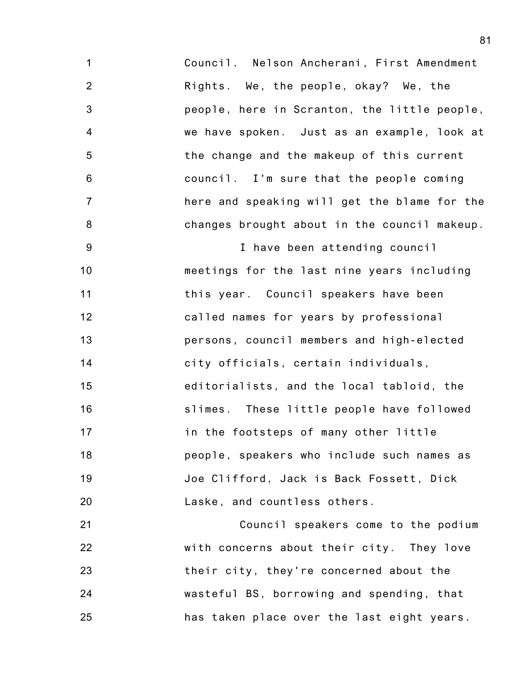1 2 3 4 5 6 7 8 Council. Nelson Ancherani, First Amendment Rights. We, the people, okay? We, the people, here in Scranton, the little people, we have spoken. Just as an example, look at the change and the makeup of this current council. I'm sure that the people coming here and speaking will get the blame for the changes brought about in the council makeup.

9 10 11 12 13 14 15 16 17 18 19 20 I have been attending council meetings for the last nine years including this year. Council speakers have been called names for years by professional persons, council members and high-elected city officials, certain individuals, editorialists, and the local tabloid, the slimes. These little people have followed in the footsteps of many other little people, speakers who include such names as Joe Clifford, Jack is Back Fossett, Dick Laske, and countless others.

21 22 23 24 25 Council speakers come to the podium with concerns about their city. They love their city, they're concerned about the wasteful BS, borrowing and spending, that has taken place over the last eight years.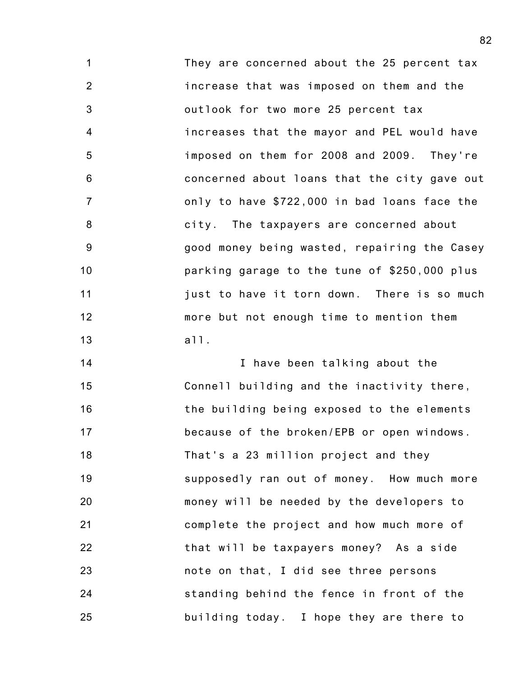1 2 3 4 5 6 7 8 9 10 11 12 13 They are concerned about the 25 percent tax increase that was imposed on them and the outlook for two more 25 percent tax increases that the mayor and PEL would have imposed on them for 2008 and 2009. They're concerned about loans that the city gave out only to have \$722,000 in bad loans face the city. The taxpayers are concerned about good money being wasted, repairing the Casey parking garage to the tune of \$250,000 plus just to have it torn down. There is so much more but not enough time to mention them all.

14 15 16 17 18 19 20 21 22 23 24 25 I have been talking about the Connell building and the inactivity there, the building being exposed to the elements because of the broken/EPB or open windows. That's a 23 million project and they supposedly ran out of money. How much more money will be needed by the developers to complete the project and how much more of that will be taxpayers money? As a side note on that, I did see three persons standing behind the fence in front of the building today. I hope they are there to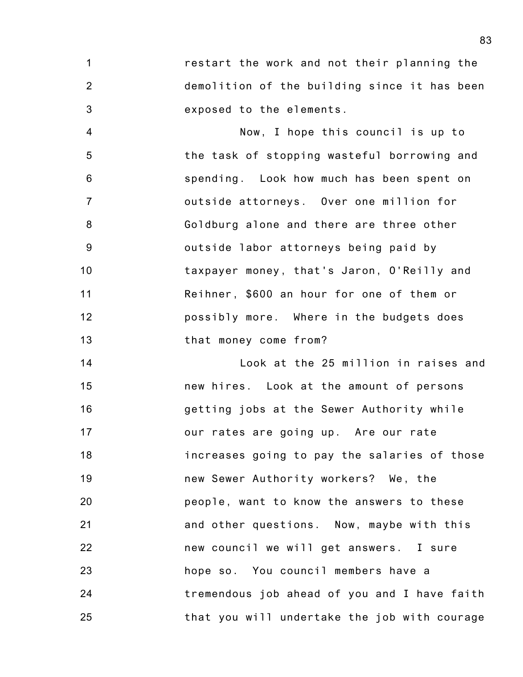1 2 3 restart the work and not their planning the demolition of the building since it has been exposed to the elements.

4 5 6 7 8 9 10 11 12 13 Now, I hope this council is up to the task of stopping wasteful borrowing and spending. Look how much has been spent on outside attorneys. Over one million for Goldburg alone and there are three other outside labor attorneys being paid by taxpayer money, that's Jaron, O'Reilly and Reihner, \$600 an hour for one of them or possibly more. Where in the budgets does that money come from?

14 15 16 17 18 19 20 21 22 23 24 25 Look at the 25 million in raises and new hires. Look at the amount of persons getting jobs at the Sewer Authority while our rates are going up. Are our rate increases going to pay the salaries of those new Sewer Authority workers? We, the people, want to know the answers to these and other questions. Now, maybe with this new council we will get answers. I sure hope so. You council members have a tremendous job ahead of you and I have faith that you will undertake the job with courage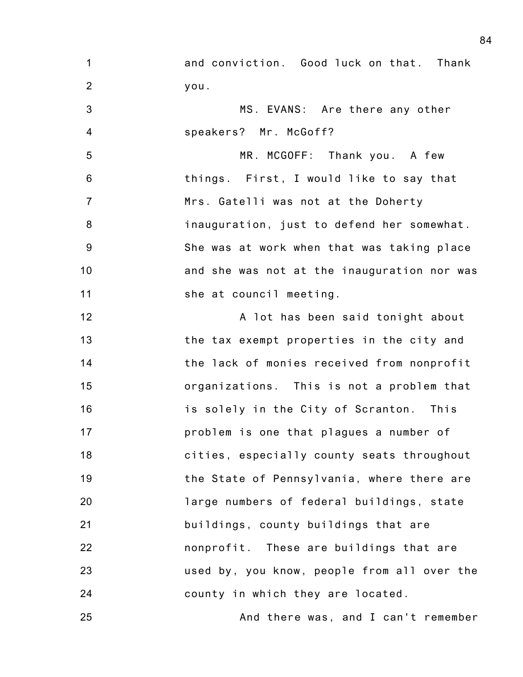1 2 and conviction. Good luck on that. Thank you.

3 4 MS. EVANS: Are there any other speakers? Mr. McGoff?

5 6 7 8 9 10 11 MR. MCGOFF: Thank you. A few things. First, I would like to say that Mrs. Gatelli was not at the Doherty inauguration, just to defend her somewhat. She was at work when that was taking place and she was not at the inauguration nor was she at council meeting.

12 13 14 15 16 17 18 19 20 21 22 23 24 A lot has been said tonight about the tax exempt properties in the city and the lack of monies received from nonprofit organizations. This is not a problem that is solely in the City of Scranton. This problem is one that plagues a number of cities, especially county seats throughout the State of Pennsylvania, where there are large numbers of federal buildings, state buildings, county buildings that are nonprofit. These are buildings that are used by, you know, people from all over the county in which they are located.

25 And there was, and I can't remember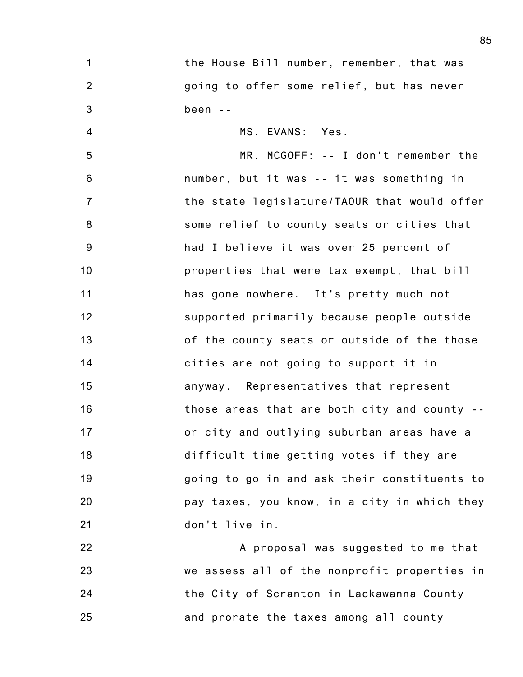| $\mathbf 1$    | the House Bill number, remember, that was    |
|----------------|----------------------------------------------|
| $\overline{2}$ | going to offer some relief, but has never    |
| 3              | been --                                      |
| 4              | MS. EVANS: Yes.                              |
| 5              | MR. MCGOFF: -- I don't remember the          |
| 6              | number, but it was -- it was something in    |
| $\overline{7}$ | the state legislature/TAOUR that would offer |
| 8              | some relief to county seats or cities that   |
| 9              | had I believe it was over 25 percent of      |
| 10             | properties that were tax exempt, that bill   |
| 11             | has gone nowhere. It's pretty much not       |
| 12             | supported primarily because people outside   |
| 13             | of the county seats or outside of the those  |
| 14             | cities are not going to support it in        |
| 15             | anyway. Representatives that represent       |
| 16             | those areas that are both city and county -- |
| 17             | or city and outlying suburban areas have a   |
| 18             | difficult time getting votes if they are     |
| 19             | going to go in and ask their constituents to |
| 20             | pay taxes, you know, in a city in which they |
| 21             | don't live in.                               |
| 22             | A proposal was suggested to me that          |
| 23             | we assess all of the nonprofit properties in |

24 25 the City of Scranton in Lackawanna County and prorate the taxes among all county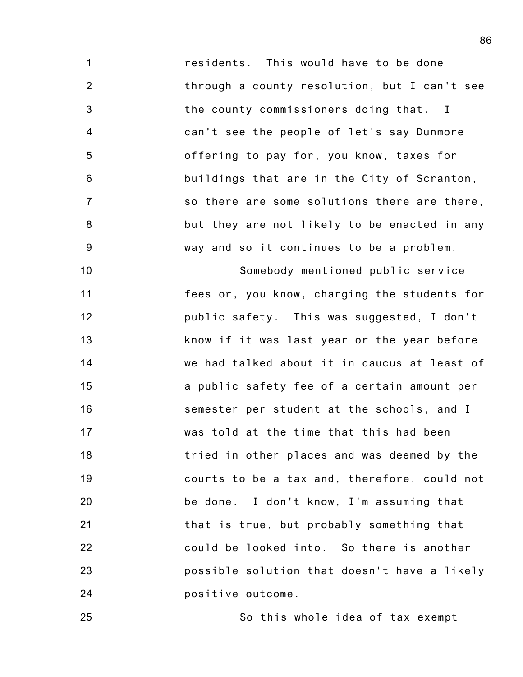1 2 3 4 5 6 7 8 9 residents. This would have to be done through a county resolution, but I can't see the county commissioners doing that. I can't see the people of let's say Dunmore offering to pay for, you know, taxes for buildings that are in the City of Scranton, so there are some solutions there are there, but they are not likely to be enacted in any way and so it continues to be a problem.

10 11 12 13 14 15 16 17 18 19 20 21 22 23 24 Somebody mentioned public service fees or, you know, charging the students for public safety. This was suggested, I don't know if it was last year or the year before we had talked about it in caucus at least of a public safety fee of a certain amount per semester per student at the schools, and I was told at the time that this had been tried in other places and was deemed by the courts to be a tax and, therefore, could not be done. I don't know, I'm assuming that that is true, but probably something that could be looked into. So there is another possible solution that doesn't have a likely positive outcome.

25 So this whole idea of tax exempt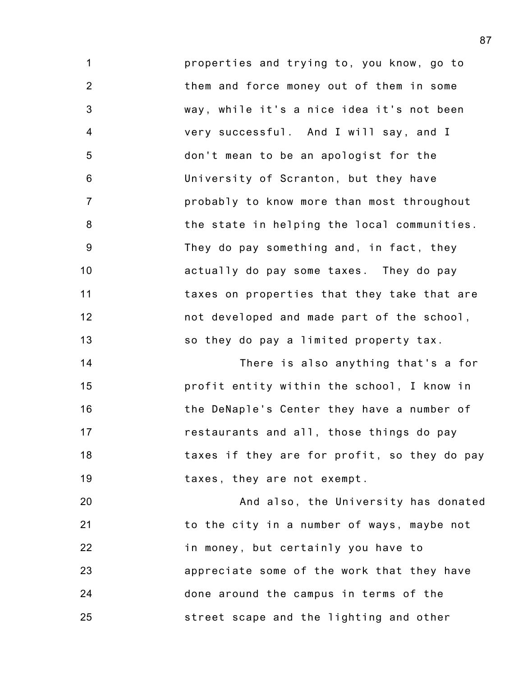1 2 3 4 5 6 7 8 9 10 11 12 13 properties and trying to, you know, go to them and force money out of them in some way, while it's a nice idea it's not been very successful. And I will say, and I don't mean to be an apologist for the University of Scranton, but they have probably to know more than most throughout the state in helping the local communities. They do pay something and, in fact, they actually do pay some taxes. They do pay taxes on properties that they take that are not developed and made part of the school, so they do pay a limited property tax.

14 15 16 17 18 19 There is also anything that's a for profit entity within the school, I know in the DeNaple's Center they have a number of restaurants and all, those things do pay taxes if they are for profit, so they do pay taxes, they are not exempt.

20 21 22 23 24 25 And also, the University has donated to the city in a number of ways, maybe not in money, but certainly you have to appreciate some of the work that they have done around the campus in terms of the street scape and the lighting and other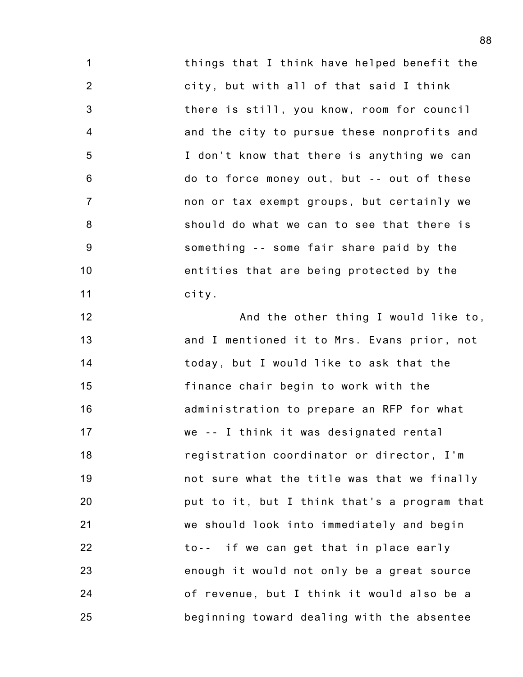1 2 3 4 5 6 7 8 9 10 11 things that I think have helped benefit the city, but with all of that said I think there is still, you know, room for council and the city to pursue these nonprofits and I don't know that there is anything we can do to force money out, but -- out of these non or tax exempt groups, but certainly we should do what we can to see that there is something -- some fair share paid by the entities that are being protected by the city.

12 13 14 15 16 17 18 19 20 21 22 23 24 25 And the other thing I would like to, and I mentioned it to Mrs. Evans prior, not today, but I would like to ask that the finance chair begin to work with the administration to prepare an RFP for what we -- I think it was designated rental registration coordinator or director, I'm not sure what the title was that we finally put to it, but I think that's a program that we should look into immediately and begin to-- if we can get that in place early enough it would not only be a great source of revenue, but I think it would also be a beginning toward dealing with the absentee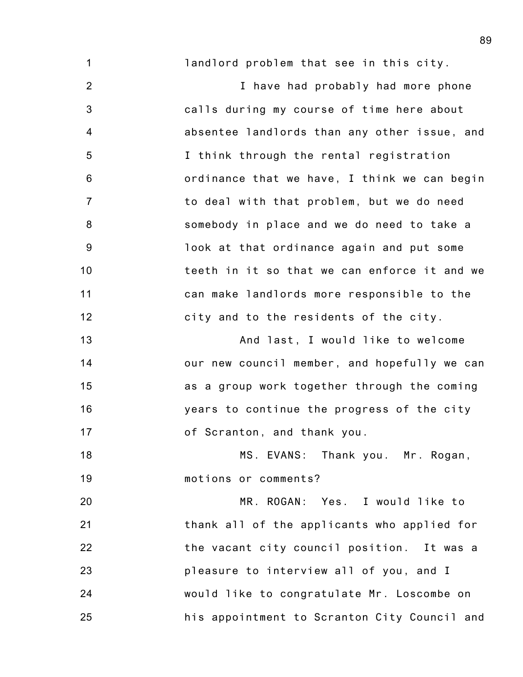landlord problem that see in this city.

1

2 3 4 5 6 7 8 9 10 11 12 I have had probably had more phone calls during my course of time here about absentee landlords than any other issue, and I think through the rental registration ordinance that we have, I think we can begin to deal with that problem, but we do need somebody in place and we do need to take a look at that ordinance again and put some teeth in it so that we can enforce it and we can make landlords more responsible to the city and to the residents of the city.

13 14 15 16 17 And last, I would like to welcome our new council member, and hopefully we can as a group work together through the coming years to continue the progress of the city of Scranton, and thank you.

18 19 MS. EVANS: Thank you. Mr. Rogan, motions or comments?

20 21 22 23 24 25 MR. ROGAN: Yes. I would like to thank all of the applicants who applied for the vacant city council position. It was a pleasure to interview all of you, and I would like to congratulate Mr. Loscombe on his appointment to Scranton City Council and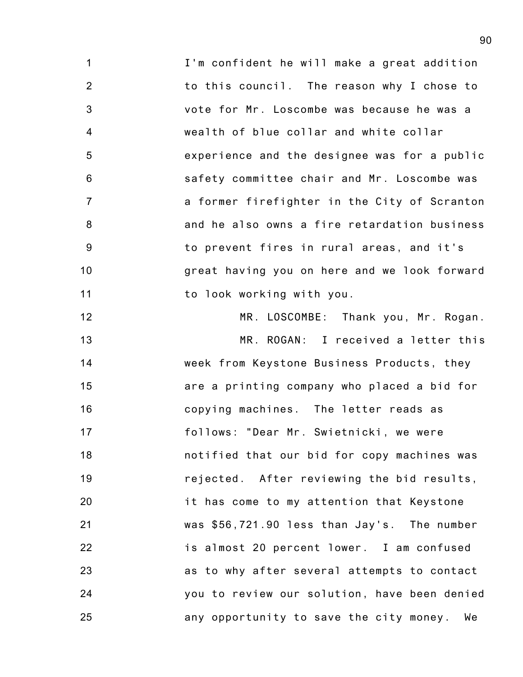1 2 3 4 5 6 7 8 9 10 11 I'm confident he will make a great addition to this council. The reason why I chose to vote for Mr. Loscombe was because he was a wealth of blue collar and white collar experience and the designee was for a public safety committee chair and Mr. Loscombe was a former firefighter in the City of Scranton and he also owns a fire retardation business to prevent fires in rural areas, and it's great having you on here and we look forward to look working with you.

12 13 14 15 16 17 18 19 20 21 22 23 24 25 MR. LOSCOMBE: Thank you, Mr. Rogan. MR. ROGAN: I received a letter this week from Keystone Business Products, they are a printing company who placed a bid for copying machines. The letter reads as follows: "Dear Mr. Swietnicki, we were notified that our bid for copy machines was rejected. After reviewing the bid results, it has come to my attention that Keystone was \$56,721.90 less than Jay's. The number is almost 20 percent lower. I am confused as to why after several attempts to contact you to review our solution, have been denied any opportunity to save the city money. We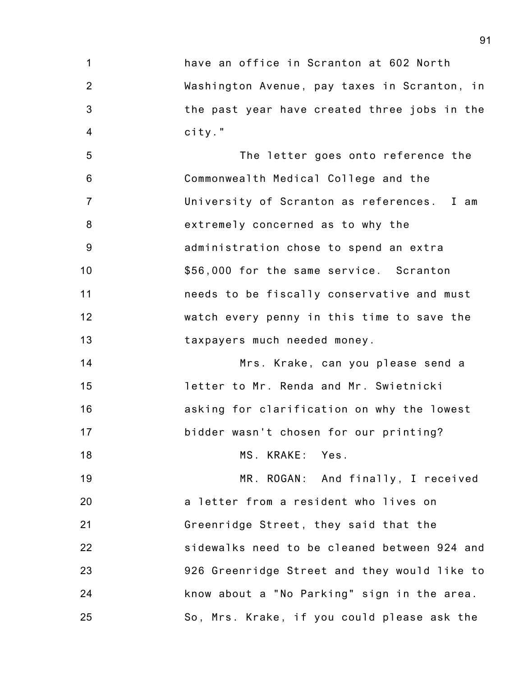1 2 3 4 have an office in Scranton at 602 North Washington Avenue, pay taxes in Scranton, in the past year have created three jobs in the city."

5 6 7 8 9 10 11 12 13 The letter goes onto reference the Commonwealth Medical College and the University of Scranton as references. I am extremely concerned as to why the administration chose to spend an extra \$56,000 for the same service. Scranton needs to be fiscally conservative and must watch every penny in this time to save the taxpayers much needed money.

14 15 16 17 Mrs. Krake, can you please send a letter to Mr. Renda and Mr. Swietnicki asking for clarification on why the lowest bidder wasn't chosen for our printing?

MS. KRAKE: Yes.

18

19 20 21 22 23 24 25 MR. ROGAN: And finally, I received a letter from a resident who lives on Greenridge Street, they said that the sidewalks need to be cleaned between 924 and 926 Greenridge Street and they would like to know about a "No Parking" sign in the area. So, Mrs. Krake, if you could please ask the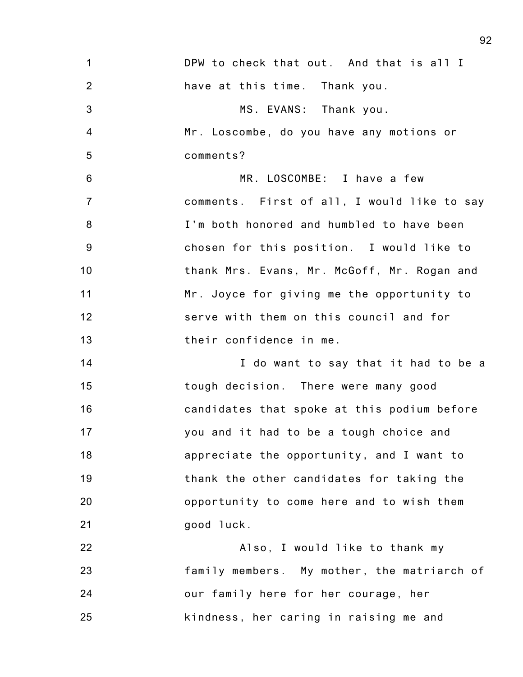| $\mathbf 1$    | DPW to check that out. And that is all I    |
|----------------|---------------------------------------------|
| $\overline{2}$ | have at this time. Thank you.               |
| 3              | MS. EVANS: Thank you.                       |
| $\overline{4}$ | Mr. Loscombe, do you have any motions or    |
| 5              | comments?                                   |
| $6\phantom{1}$ | MR. LOSCOMBE: I have a few                  |
| $\overline{7}$ | comments. First of all, I would like to say |
| 8              | I'm both honored and humbled to have been   |
| 9              | chosen for this position. I would like to   |
| 10             | thank Mrs. Evans, Mr. McGoff, Mr. Rogan and |
| 11             | Mr. Joyce for giving me the opportunity to  |
| 12             | serve with them on this council and for     |
| 13             | their confidence in me.                     |
| 14             | I do want to say that it had to be a        |
| 15             | tough decision. There were many good        |
| 16             | candidates that spoke at this podium before |
| 17             | you and it had to be a tough choice and     |
| 18             | appreciate the opportunity, and I want to   |
| 19             | thank the other candidates for taking the   |
| 20             | opportunity to come here and to wish them   |
| 21             | good luck.                                  |
| 22             | Also, I would like to thank my              |
| 23             | family members. My mother, the matriarch of |
| 24             | our family here for her courage, her        |
| 25             | kindness, her caring in raising me and      |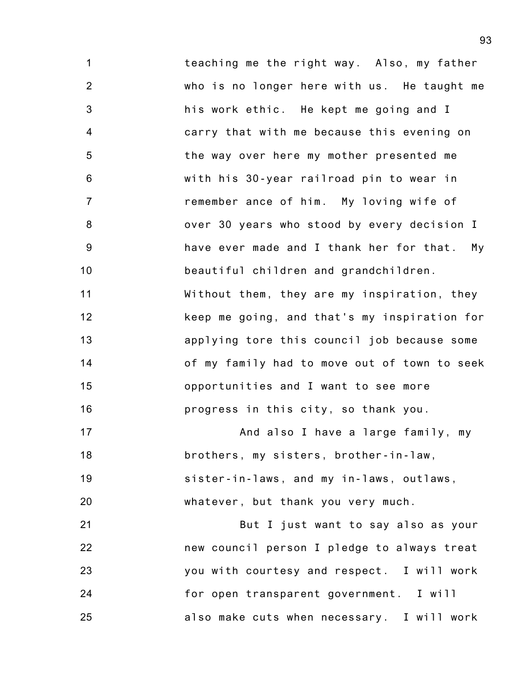1 2 3 4 5 6 7 8 9 10 11 12 13 14 15 16 17 18 teaching me the right way. Also, my father who is no longer here with us. He taught me his work ethic. He kept me going and I carry that with me because this evening on the way over here my mother presented me with his 30-year railroad pin to wear in remember ance of him. My loving wife of over 30 years who stood by every decision I have ever made and I thank her for that. My beautiful children and grandchildren. Without them, they are my inspiration, they keep me going, and that's my inspiration for applying tore this council job because some of my family had to move out of town to seek opportunities and I want to see more progress in this city, so thank you. And also I have a large family, my brothers, my sisters, brother-in-law,

19 20 sister-in-laws, and my in-laws, outlaws, whatever, but thank you very much.

21 22 23 24 25 But I just want to say also as your new council person I pledge to always treat you with courtesy and respect. I will work for open transparent government. I will also make cuts when necessary. I will work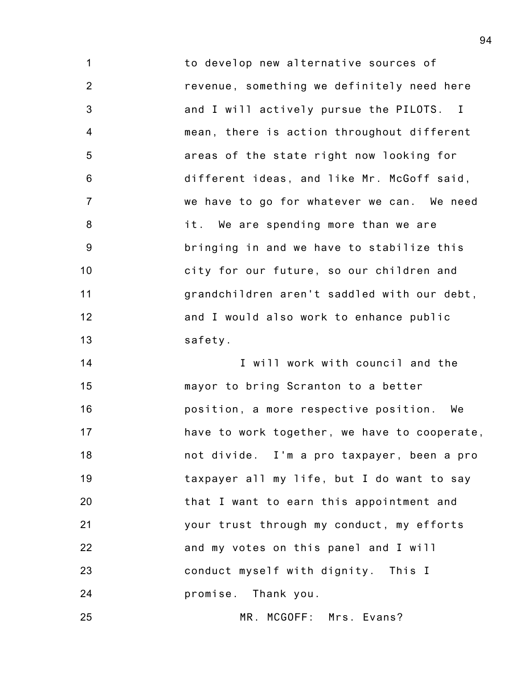1 2 3 4 5 6 7 8 9 10 11 12 13 to develop new alternative sources of revenue, something we definitely need here and I will actively pursue the PILOTS. I mean, there is action throughout different areas of the state right now looking for different ideas, and like Mr. McGoff said, we have to go for whatever we can. We need it. We are spending more than we are bringing in and we have to stabilize this city for our future, so our children and grandchildren aren't saddled with our debt, and I would also work to enhance public safety.

14 15 16 17 18 19 20 21 22 23 24 I will work with council and the mayor to bring Scranton to a better position, a more respective position. We have to work together, we have to cooperate, not divide. I'm a pro taxpayer, been a pro taxpayer all my life, but I do want to say that I want to earn this appointment and your trust through my conduct, my efforts and my votes on this panel and I will conduct myself with dignity. This I promise. Thank you.

25 MR. MCGOFF: Mrs. Evans?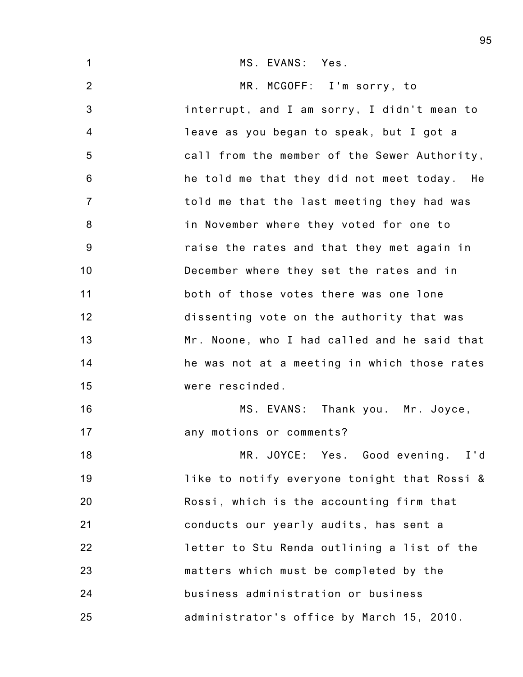| $\mathbf 1$    | MS. EVANS: Yes.                              |
|----------------|----------------------------------------------|
| 2              | MR. MCGOFF: I'm sorry, to                    |
| 3              | interrupt, and I am sorry, I didn't mean to  |
| $\overline{4}$ | leave as you began to speak, but I got a     |
| 5              | call from the member of the Sewer Authority, |
| 6              | he told me that they did not meet today. He  |
| $\overline{7}$ | told me that the last meeting they had was   |
| 8              | in November where they voted for one to      |
| 9              | raise the rates and that they met again in   |
| 10             | December where they set the rates and in     |
| 11             | both of those votes there was one lone       |
| 12             | dissenting vote on the authority that was    |
| 13             | Mr. Noone, who I had called and he said that |
| 14             | he was not at a meeting in which those rates |
| 15             | were rescinded.                              |
| 16             | MS. EVANS: Thank you. Mr. Joyce,             |
| 17             | any motions or comments?                     |
| 18             | MR. JOYCE: Yes. Good evening. I'd            |
| 19             | like to notify everyone tonight that Rossi & |
| 20             | Rossi, which is the accounting firm that     |
| 21             | conducts our yearly audits, has sent a       |
| 22             | letter to Stu Renda outlining a list of the  |
| 23             | matters which must be completed by the       |
| 24             | business administration or business          |
| 25             | administrator's office by March 15, 2010.    |
|                |                                              |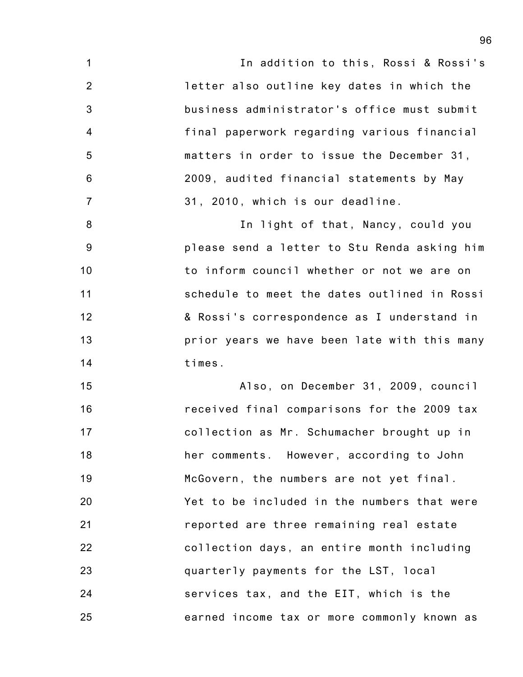1 2 3 4 5 6 7 In addition to this, Rossi & Rossi's letter also outline key dates in which the business administrator's office must submit final paperwork regarding various financial matters in order to issue the December 31, 2009, audited financial statements by May 31, 2010, which is our deadline.

8 9 10 11 12 13 14 In light of that, Nancy, could you please send a letter to Stu Renda asking him to inform council whether or not we are on schedule to meet the dates outlined in Rossi & Rossi's correspondence as I understand in prior years we have been late with this many times.

15 16 17 18 19 20 21 22 23 24 25 Also, on December 31, 2009, council received final comparisons for the 2009 tax collection as Mr. Schumacher brought up in her comments. However, according to John McGovern, the numbers are not yet final. Yet to be included in the numbers that were reported are three remaining real estate collection days, an entire month including quarterly payments for the LST, local services tax, and the EIT, which is the earned income tax or more commonly known as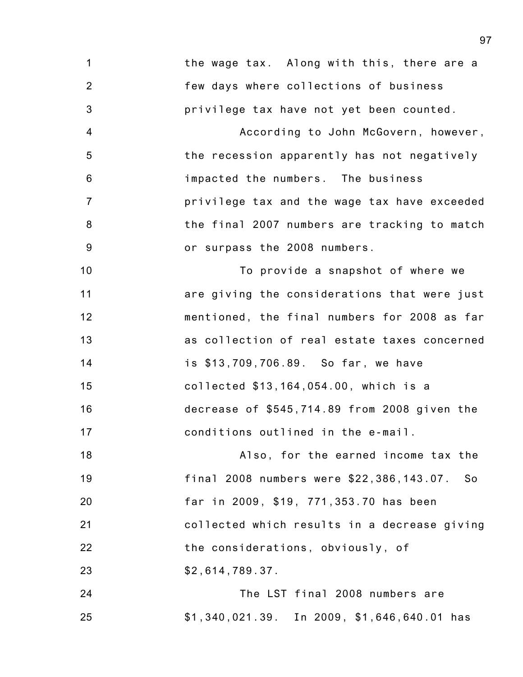| $\mathbf 1$      | the wage tax. Along with this, there are a     |
|------------------|------------------------------------------------|
| $\overline{2}$   | few days where collections of business         |
| 3                | privilege tax have not yet been counted.       |
| $\overline{4}$   | According to John McGovern, however,           |
| 5                | the recession apparently has not negatively    |
| 6                | impacted the numbers. The business             |
| $\overline{7}$   | privilege tax and the wage tax have exceeded   |
| 8                | the final 2007 numbers are tracking to match   |
| 9                | or surpass the 2008 numbers.                   |
| 10               | To provide a snapshot of where we              |
| 11               | are giving the considerations that were just   |
| 12               | mentioned, the final numbers for 2008 as far   |
| 13               | as collection of real estate taxes concerned   |
| 14               | is \$13,709,706.89. So far, we have            |
| 15               | collected \$13,164,054.00, which is a          |
| 16               | decrease of \$545,714.89 from 2008 given the   |
| 17               | conditions outlined in the e-mail.             |
| 18               | Also, for the earned income tax the            |
| 19               | final 2008 numbers were \$22,386,143.07.<br>So |
| 20               | far in 2009, \$19, 771,353.70 has been         |
| 21               | collected which results in a decrease giving   |
| 22               | the considerations, obviously, of              |
| 23               | \$2,614,789.37.                                |
| $\sim$ $\lambda$ | $f: n = 1$ 0.000 $n$                           |

24 25 The LST final 2008 numbers are \$1,340,021.39. In 2009, \$1,646,640.01 has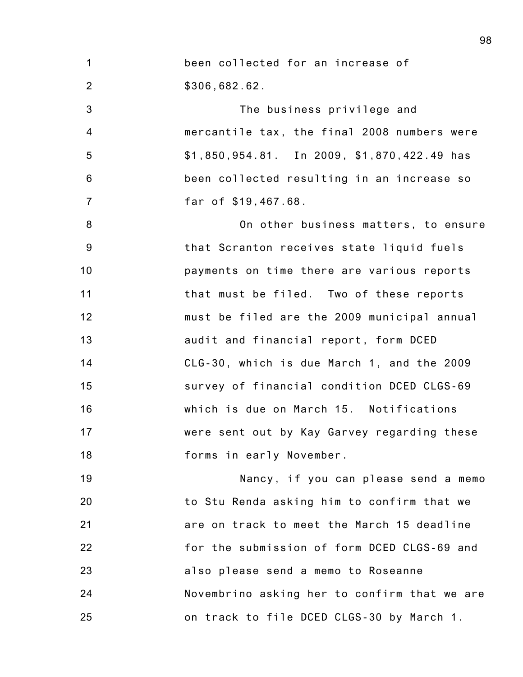1 2 3 4 5 6 7 8 9 10 11 12 13 14 15 16 17 18 19 20 21 22 23 been collected for an increase of \$306,682.62. The business privilege and mercantile tax, the final 2008 numbers were \$1,850,954.81. In 2009, \$1,870,422.49 has been collected resulting in an increase so far of \$19,467.68. On other business matters, to ensure that Scranton receives state liquid fuels payments on time there are various reports that must be filed. Two of these reports must be filed are the 2009 municipal annual audit and financial report, form DCED CLG-30, which is due March 1, and the 2009 survey of financial condition DCED CLGS-69 which is due on March 15. Notifications were sent out by Kay Garvey regarding these forms in early November. Nancy, if you can please send a memo to Stu Renda asking him to confirm that we are on track to meet the March 15 deadline for the submission of form DCED CLGS-69 and also please send a memo to Roseanne

Novembrino asking her to confirm that we are on track to file DCED CLGS-30 by March 1.

24

25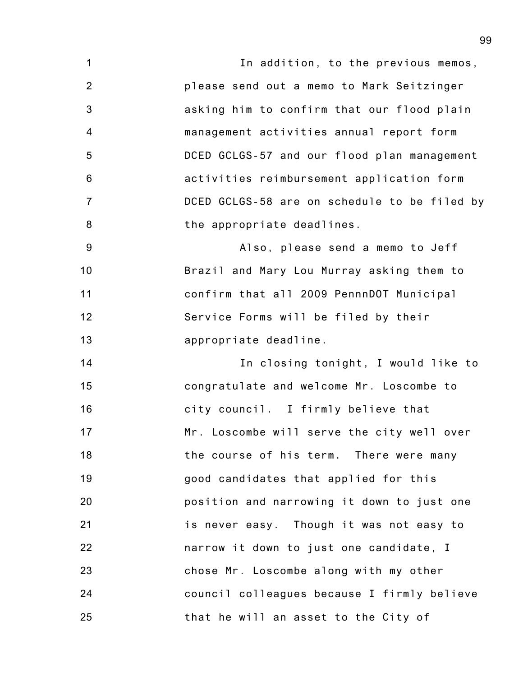1 2 3 4 5 6 7 8 9 10 11 12 13 14 15 16 17 18 19 20 21 22 23 In addition, to the previous memos, please send out a memo to Mark Seitzinger asking him to confirm that our flood plain management activities annual report form DCED GCLGS-57 and our flood plan management activities reimbursement application form DCED GCLGS-58 are on schedule to be filed by the appropriate deadlines. Also, please send a memo to Jeff Brazil and Mary Lou Murray asking them to confirm that all 2009 PennnDOT Municipal Service Forms will be filed by their appropriate deadline. In closing tonight, I would like to congratulate and welcome Mr. Loscombe to city council. I firmly believe that Mr. Loscombe will serve the city well over the course of his term. There were many good candidates that applied for this position and narrowing it down to just one is never easy. Though it was not easy to narrow it down to just one candidate, I chose Mr. Loscombe along with my other

24 25 council colleagues because I firmly believe that he will an asset to the City of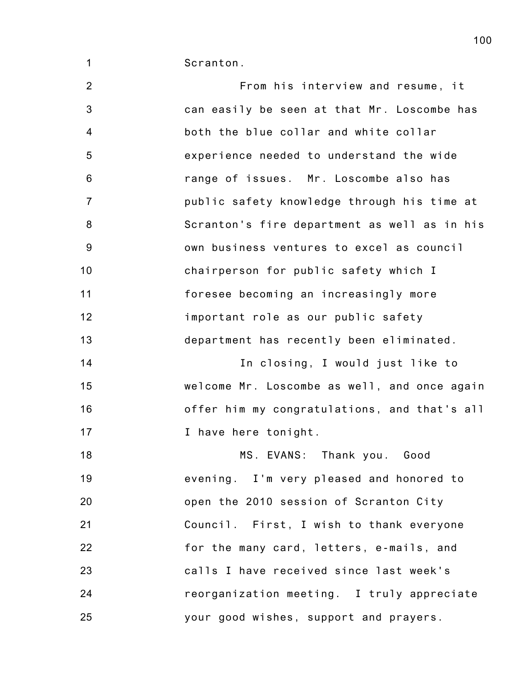Scranton.

1

2 3 4 5 6 7 8 9 10 11 12 13 From his interview and resume, it can easily be seen at that Mr. Loscombe has both the blue collar and white collar experience needed to understand the wide range of issues. Mr. Loscombe also has public safety knowledge through his time at Scranton's fire department as well as in his own business ventures to excel as council chairperson for public safety which I foresee becoming an increasingly more important role as our public safety department has recently been eliminated.

14 15 16 17 In closing, I would just like to welcome Mr. Loscombe as well, and once again offer him my congratulations, and that's all I have here tonight.

18 19 20 21 22 23 24 25 MS. EVANS: Thank you. Good evening. I'm very pleased and honored to open the 2010 session of Scranton City Council. First, I wish to thank everyone for the many card, letters, e-mails, and calls I have received since last week's reorganization meeting. I truly appreciate your good wishes, support and prayers.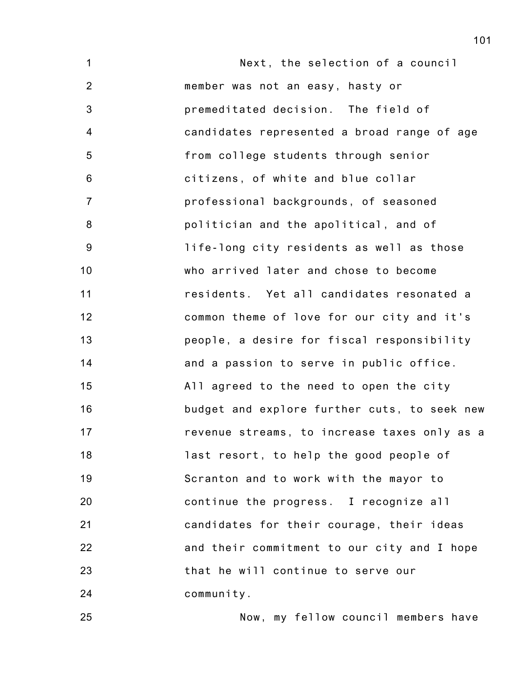1 2 3 4 5 6 7 8 9 10 11 12 13 14 15 16 17 18 19 20 21 22 23 24 Next, the selection of a council member was not an easy, hasty or premeditated decision. The field of candidates represented a broad range of age from college students through senior citizens, of white and blue collar professional backgrounds, of seasoned politician and the apolitical, and of life-long city residents as well as those who arrived later and chose to become residents. Yet all candidates resonated a common theme of love for our city and it's people, a desire for fiscal responsibility and a passion to serve in public office. All agreed to the need to open the city budget and explore further cuts, to seek new revenue streams, to increase taxes only as a last resort, to help the good people of Scranton and to work with the mayor to continue the progress. I recognize all candidates for their courage, their ideas and their commitment to our city and I hope that he will continue to serve our community.

Now, my fellow council members have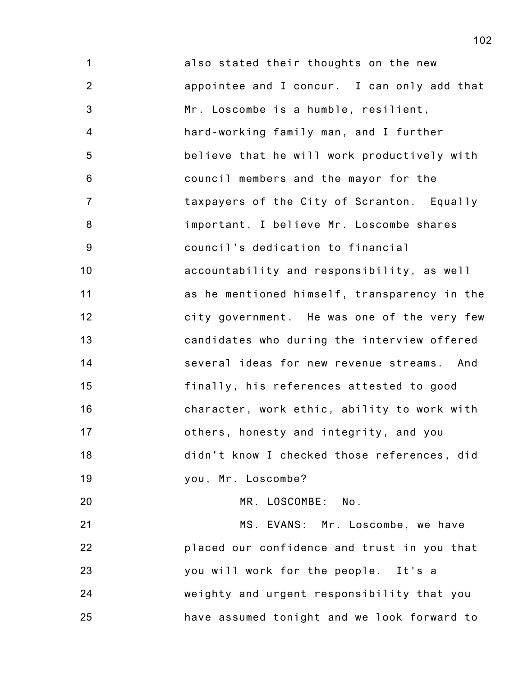1 2 3 4 5 6 7 8 9 10 11 12 13 14 15 16 17 18 19 20 also stated their thoughts on the new appointee and I concur. I can only add that Mr. Loscombe is a humble, resilient, hard-working family man, and I further believe that he will work productively with council members and the mayor for the taxpayers of the City of Scranton. Equally important, I believe Mr. Loscombe shares council's dedication to financial accountability and responsibility, as well as he mentioned himself, transparency in the city government. He was one of the very few candidates who during the interview offered several ideas for new revenue streams. And finally, his references attested to good character, work ethic, ability to work with others, honesty and integrity, and you didn't know I checked those references, did you, Mr. Loscombe? MR. LOSCOMBE: No.

21 22 23 24 25 MS. EVANS: Mr. Loscombe, we have placed our confidence and trust in you that you will work for the people. It's a weighty and urgent responsibility that you have assumed tonight and we look forward to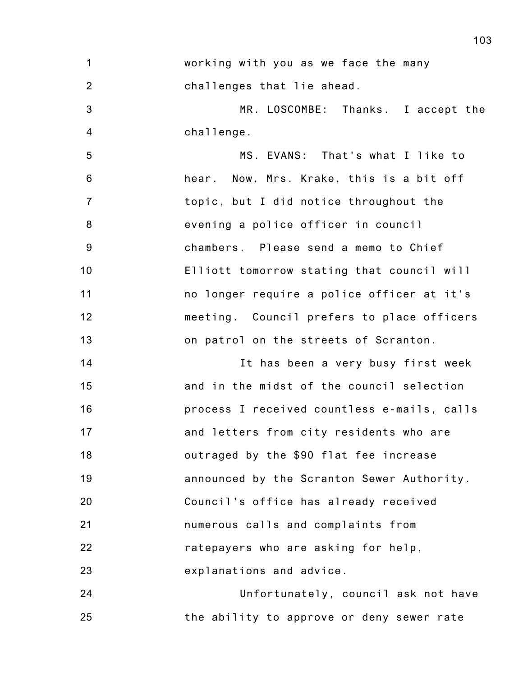|                | working with you as we face the many |  |  |  |  |
|----------------|--------------------------------------|--|--|--|--|
| $\overline{2}$ | challenges that lie ahead.           |  |  |  |  |

3 4 MR. LOSCOMBE: Thanks. I accept the challenge.

5 6 7 8 9 10 11 12 13 MS. EVANS: That's what I like to hear. Now, Mrs. Krake, this is a bit off topic, but I did notice throughout the evening a police officer in council chambers. Please send a memo to Chief Elliott tomorrow stating that council will no longer require a police officer at it's meeting. Council prefers to place officers on patrol on the streets of Scranton.

14 15 16 17 18 19 20 21 22 23 It has been a very busy first week and in the midst of the council selection process I received countless e-mails, calls and letters from city residents who are outraged by the \$90 flat fee increase announced by the Scranton Sewer Authority. Council's office has already received numerous calls and complaints from ratepayers who are asking for help, explanations and advice.

24 25 Unfortunately, council ask not have the ability to approve or deny sewer rate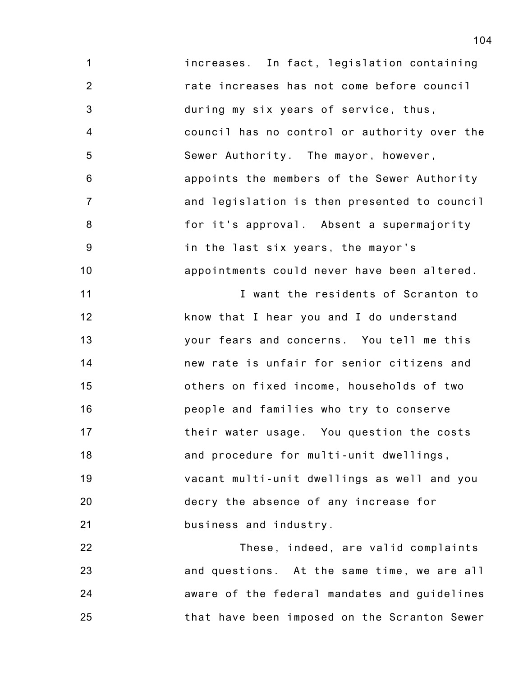1 2 3 4 5 6 7 8 9 10 increases. In fact, legislation containing rate increases has not come before council during my six years of service, thus, council has no control or authority over the Sewer Authority. The mayor, however, appoints the members of the Sewer Authority and legislation is then presented to council for it's approval. Absent a supermajority in the last six years, the mayor's appointments could never have been altered.

11 12 13 14 15 16 17 18 19 20 21 I want the residents of Scranton to know that I hear you and I do understand your fears and concerns. You tell me this new rate is unfair for senior citizens and others on fixed income, households of two people and families who try to conserve their water usage. You question the costs and procedure for multi-unit dwellings, vacant multi-unit dwellings as well and you decry the absence of any increase for business and industry.

22 23 24 25 These, indeed, are valid complaints and questions. At the same time, we are all aware of the federal mandates and guidelines that have been imposed on the Scranton Sewer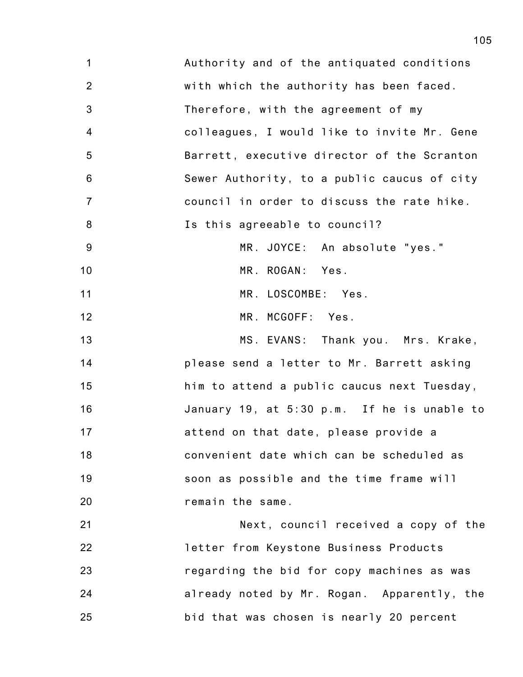1 2 3 4 5 6 7 8 9 10 11 12 13 14 15 16 17 18 19 20 21 22 23 24 25 Authority and of the antiquated conditions with which the authority has been faced. Therefore, with the agreement of my colleagues, I would like to invite Mr. Gene Barrett, executive director of the Scranton Sewer Authority, to a public caucus of city council in order to discuss the rate hike. Is this agreeable to council? MR. JOYCE: An absolute "yes." MR. ROGAN: Yes. MR. LOSCOMBE: Yes. MR. MCGOFF: Yes. MS. EVANS: Thank you. Mrs. Krake, please send a letter to Mr. Barrett asking him to attend a public caucus next Tuesday, January 19, at 5:30 p.m. If he is unable to attend on that date, please provide a convenient date which can be scheduled as soon as possible and the time frame will remain the same. Next, council received a copy of the letter from Keystone Business Products regarding the bid for copy machines as was already noted by Mr. Rogan. Apparently, the bid that was chosen is nearly 20 percent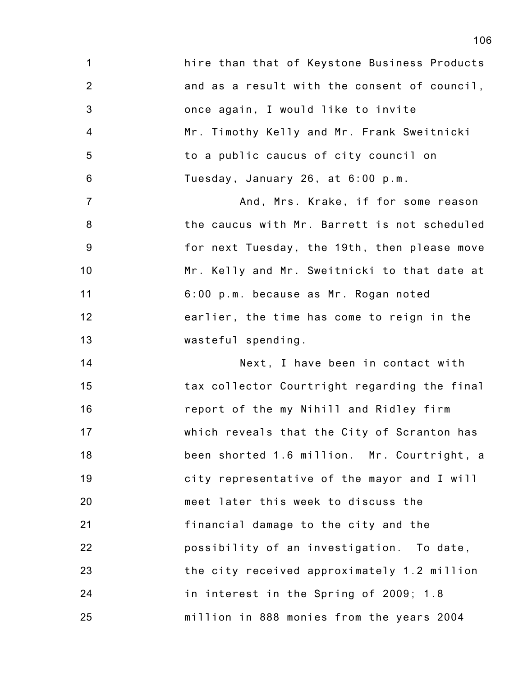1 2 3 4 5 6 7 8 9 10 11 12 13 14 hire than that of Keystone Business Products and as a result with the consent of council, once again, I would like to invite Mr. Timothy Kelly and Mr. Frank Sweitnicki to a public caucus of city council on Tuesday, January 26, at 6:00 p.m. And, Mrs. Krake, if for some reason the caucus with Mr. Barrett is not scheduled for next Tuesday, the 19th, then please move Mr. Kelly and Mr. Sweitnicki to that date at 6:00 p.m. because as Mr. Rogan noted earlier, the time has come to reign in the wasteful spending. Next, I have been in contact with

15 16 17 18 19 20 21 22 23 24 25 tax collector Courtright regarding the final report of the my Nihill and Ridley firm which reveals that the City of Scranton has been shorted 1.6 million. Mr. Courtright, a city representative of the mayor and I will meet later this week to discuss the financial damage to the city and the possibility of an investigation. To date, the city received approximately 1.2 million in interest in the Spring of 2009; 1.8 million in 888 monies from the years 2004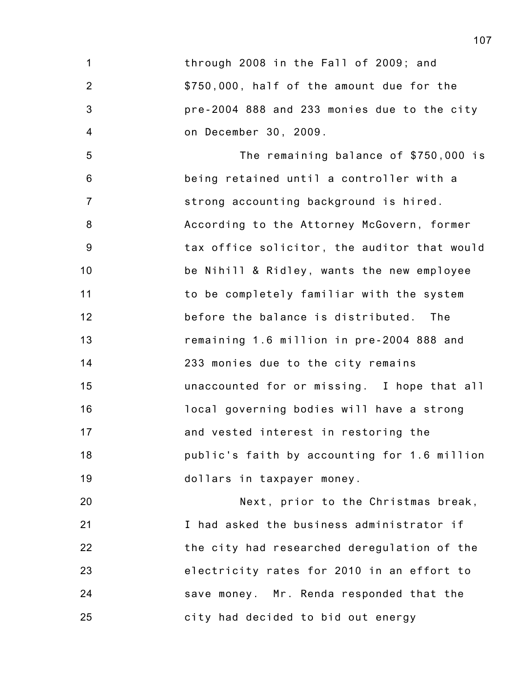1 2 3 4 through 2008 in the Fall of 2009; and \$750,000, half of the amount due for the pre-2004 888 and 233 monies due to the city on December 30, 2009.

5 6 7 8 9 10 11 12 13 14 15 16 17 18 19 The remaining balance of \$750,000 is being retained until a controller with a strong accounting background is hired. According to the Attorney McGovern, former tax office solicitor, the auditor that would be Nihill & Ridley, wants the new employee to be completely familiar with the system before the balance is distributed. The remaining 1.6 million in pre-2004 888 and 233 monies due to the city remains unaccounted for or missing. I hope that all local governing bodies will have a strong and vested interest in restoring the public's faith by accounting for 1.6 million dollars in taxpayer money.

20 21 22 23 24 25 Next, prior to the Christmas break, I had asked the business administrator if the city had researched deregulation of the electricity rates for 2010 in an effort to save money. Mr. Renda responded that the city had decided to bid out energy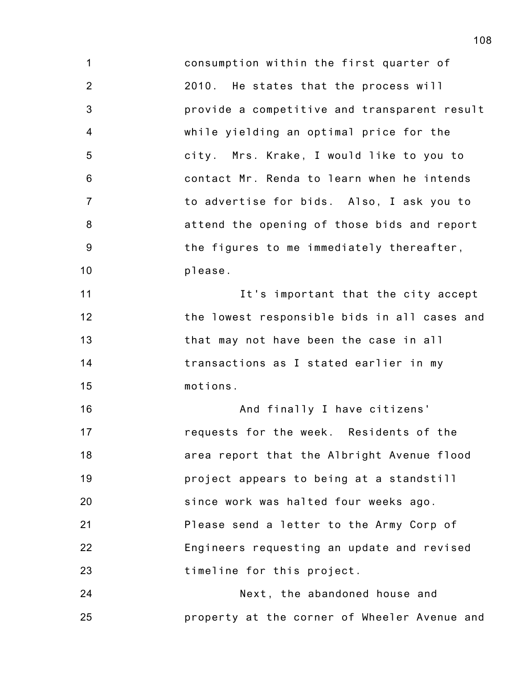1 2 3 4 5 6 7 8 9 10 consumption within the first quarter of 2010. He states that the process will provide a competitive and transparent result while yielding an optimal price for the city. Mrs. Krake, I would like to you to contact Mr. Renda to learn when he intends to advertise for bids. Also, I ask you to attend the opening of those bids and report the figures to me immediately thereafter, please.

11 12 13 14 15 It's important that the city accept the lowest responsible bids in all cases and that may not have been the case in all transactions as I stated earlier in my motions.

16 17 18 19 20 21 22 23 And finally I have citizens' requests for the week. Residents of the area report that the Albright Avenue flood project appears to being at a standstill since work was halted four weeks ago. Please send a letter to the Army Corp of Engineers requesting an update and revised timeline for this project.

24 25 Next, the abandoned house and property at the corner of Wheeler Avenue and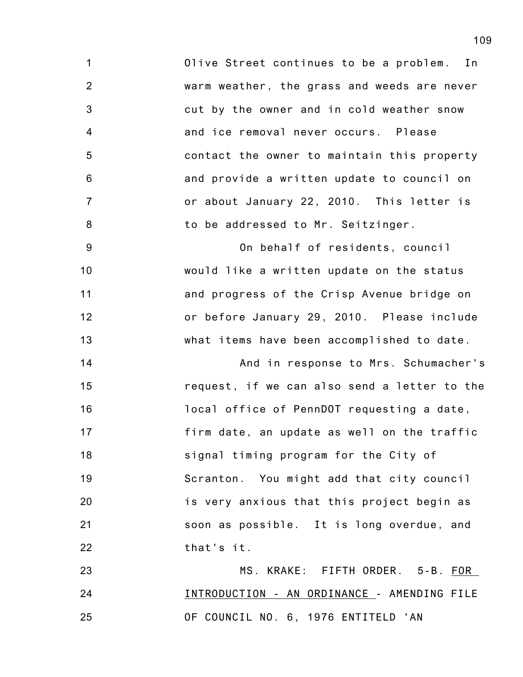1 2 3 4 5 6 7 8 Olive Street continues to be a problem. In warm weather, the grass and weeds are never cut by the owner and in cold weather snow and ice removal never occurs. Please contact the owner to maintain this property and provide a written update to council on or about January 22, 2010. This letter is to be addressed to Mr. Seitzinger.

9 10 11 12 13 On behalf of residents, council would like a written update on the status and progress of the Crisp Avenue bridge on or before January 29, 2010. Please include what items have been accomplished to date.

14 15 16 17 18 19 20 21 22 And in response to Mrs. Schumacher's request, if we can also send a letter to the local office of PennDOT requesting a date, firm date, an update as well on the traffic signal timing program for the City of Scranton. You might add that city council is very anxious that this project begin as soon as possible. It is long overdue, and that's it.

23 24 25 MS. KRAKE: FIFTH ORDER. 5-B. FOR INTRODUCTION - AN ORDINANCE - AMENDING FILE OF COUNCIL NO. 6, 1976 ENTITELD 'AN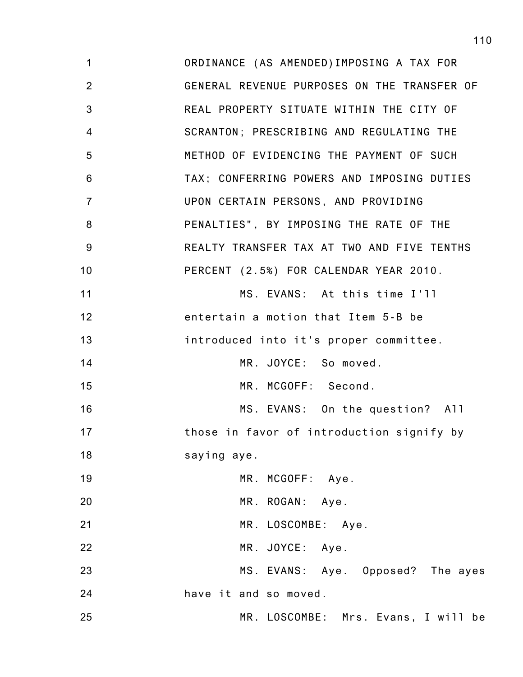1 2 3 4 5 6 7 8 9 10 11 12 13 14 15 16 17 18 19 20 21 22 23 24 25 ORDINANCE (AS AMENDED)IMPOSING A TAX FOR GENERAL REVENUE PURPOSES ON THE TRANSFER OF REAL PROPERTY SITUATE WITHIN THE CITY OF SCRANTON; PRESCRIBING AND REGULATING THE METHOD OF EVIDENCING THE PAYMENT OF SUCH TAX; CONFERRING POWERS AND IMPOSING DUTIES UPON CERTAIN PERSONS, AND PROVIDING PENALTIES", BY IMPOSING THE RATE OF THE REALTY TRANSFER TAX AT TWO AND FIVE TENTHS PERCENT (2.5%) FOR CALENDAR YEAR 2010. MS. EVANS: At this time I'll entertain a motion that Item 5-B be introduced into it's proper committee. MR. JOYCE: So moved. MR. MCGOFF: Second. MS. EVANS: On the question? All those in favor of introduction signify by saying aye. MR. MCGOFF: Aye. MR. ROGAN: Aye. MR. LOSCOMBE: Aye. MR. JOYCE: Aye. MS. EVANS: Aye. Opposed? The ayes have it and so moved. MR. LOSCOMBE: Mrs. Evans, I will be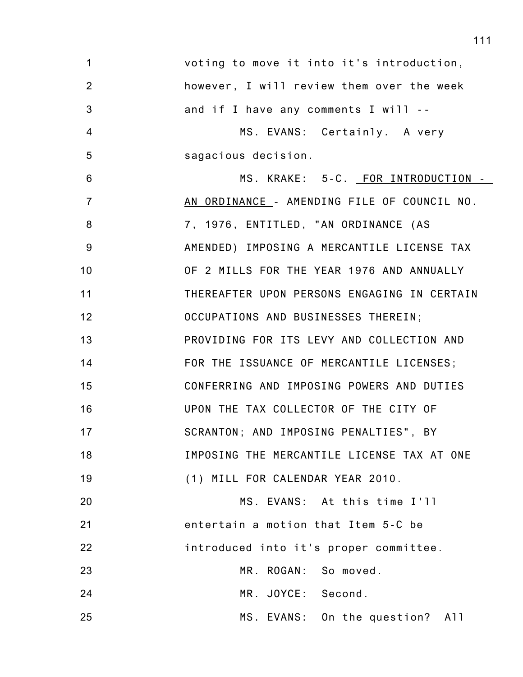| $\mathbf{1}$   | voting to move it into it's introduction,   |
|----------------|---------------------------------------------|
| $\overline{2}$ | however, I will review them over the week   |
| $\mathbf{3}$   | and if I have any comments I will --        |
| 4              | MS. EVANS: Certainly. A very                |
| 5              | sagacious decision.                         |
| 6              | MS. KRAKE: 5-C. FOR INTRODUCTION -          |
| $\overline{7}$ | AN ORDINANCE - AMENDING FILE OF COUNCIL NO. |
| 8              | 7, 1976, ENTITLED, "AN ORDINANCE (AS        |
| 9              | AMENDED) IMPOSING A MERCANTILE LICENSE TAX  |
| 10             | OF 2 MILLS FOR THE YEAR 1976 AND ANNUALLY   |
| 11             | THEREAFTER UPON PERSONS ENGAGING IN CERTAIN |
| 12             | OCCUPATIONS AND BUSINESSES THEREIN;         |
| 13             | PROVIDING FOR ITS LEVY AND COLLECTION AND   |
| 14             | FOR THE ISSUANCE OF MERCANTILE LICENSES;    |
| 15             | CONFERRING AND IMPOSING POWERS AND DUTIES   |
| 16             | UPON THE TAX COLLECTOR OF THE CITY OF       |
| 17             | SCRANTON; AND IMPOSING PENALTIES", BY       |
| 18             | IMPOSING THE MERCANTILE LICENSE TAX AT ONE  |
| 19             | (1) MILL FOR CALENDAR YEAR 2010.            |
| 20             | MS. EVANS: At this time I'll                |
| 21             | entertain a motion that Item 5-C be         |
| 22             | introduced into it's proper committee.      |
| 23             | MR. ROGAN: So moved.                        |
| 24             | MR. JOYCE: Second.                          |
| 25             | MS. EVANS: On the question? All             |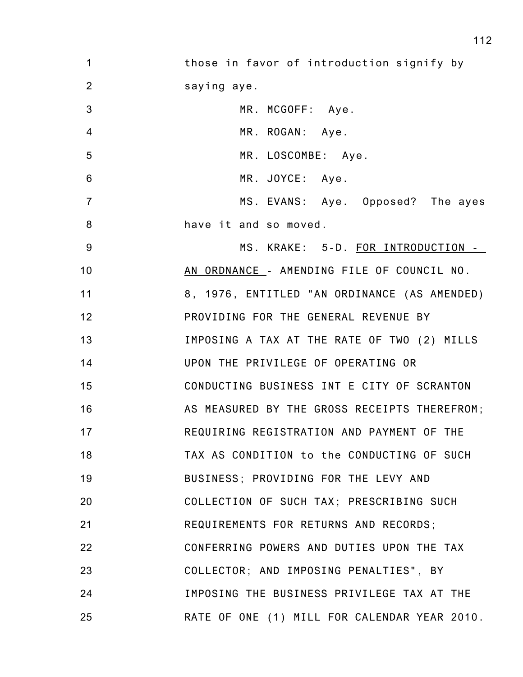1 2 3 4 5 6 7 8 9 10 11 12 13 14 15 16 17 18 19 20 21 22 23 24 25 those in favor of introduction signify by saying aye. MR. MCGOFF: Aye. MR. ROGAN: Aye. MR. LOSCOMBE: Aye. MR. JOYCE: Aye. MS. EVANS: Aye. Opposed? The ayes have it and so moved. MS. KRAKE: 5-D. FOR INTRODUCTION - AN ORDNANCE - AMENDING FILE OF COUNCIL NO. 8, 1976, ENTITLED "AN ORDINANCE (AS AMENDED) PROVIDING FOR THE GENERAL REVENUE BY IMPOSING A TAX AT THE RATE OF TWO (2) MILLS UPON THE PRIVILEGE OF OPERATING OR CONDUCTING BUSINESS INT E CITY OF SCRANTON AS MEASURED BY THE GROSS RECEIPTS THEREFROM; REQUIRING REGISTRATION AND PAYMENT OF THE TAX AS CONDITION to the CONDUCTING OF SUCH BUSINESS; PROVIDING FOR THE LEVY AND COLLECTION OF SUCH TAX; PRESCRIBING SUCH REQUIREMENTS FOR RETURNS AND RECORDS; CONFERRING POWERS AND DUTIES UPON THE TAX COLLECTOR; AND IMPOSING PENALTIES", BY IMPOSING THE BUSINESS PRIVILEGE TAX AT THE RATE OF ONE (1) MILL FOR CALENDAR YEAR 2010.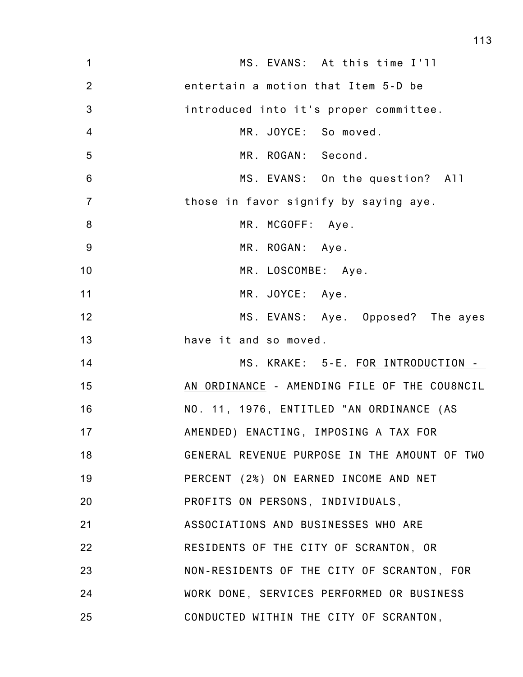1 2 3 4 5 6 7 8 9 10 11 12 13 14 15 16 17 18 19 20 21 22 23 24 25 MS. EVANS: At this time I'll entertain a motion that Item 5-D be introduced into it's proper committee. MR. JOYCE: So moved. MR. ROGAN: Second. MS. EVANS: On the question? All those in favor signify by saying aye. MR. MCGOFF: Aye. MR. ROGAN: Aye. MR. LOSCOMBE: Aye. MR. JOYCE: Aye. MS. EVANS: Aye. Opposed? The ayes have it and so moved. MS. KRAKE: 5-E. FOR INTRODUCTION - AN ORDINANCE - AMENDING FILE OF THE COU8NCIL NO. 11, 1976, ENTITLED "AN ORDINANCE (AS AMENDED) ENACTING, IMPOSING A TAX FOR GENERAL REVENUE PURPOSE IN THE AMOUNT OF TWO PERCENT (2%) ON EARNED INCOME AND NET PROFITS ON PERSONS, INDIVIDUALS, ASSOCIATIONS AND BUSINESSES WHO ARE RESIDENTS OF THE CITY OF SCRANTON, OR NON-RESIDENTS OF THE CITY OF SCRANTON, FOR WORK DONE, SERVICES PERFORMED OR BUSINESS CONDUCTED WITHIN THE CITY OF SCRANTON,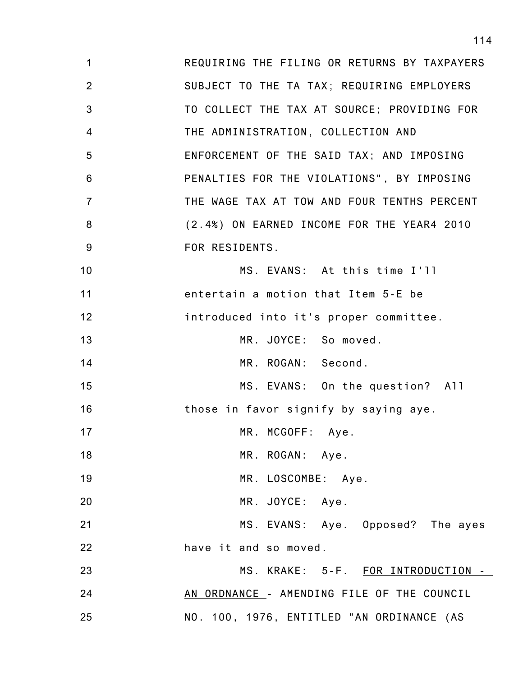1 2 3 4 5 6 7 8 9 10 11 12 13 14 15 16 17 18 19 20 21 22 23 24 25 REQUIRING THE FILING OR RETURNS BY TAXPAYERS SUBJECT TO THE TA TAX; REQUIRING EMPLOYERS TO COLLECT THE TAX AT SOURCE; PROVIDING FOR THE ADMINISTRATION, COLLECTION AND ENFORCEMENT OF THE SAID TAX; AND IMPOSING PENALTIES FOR THE VIOLATIONS", BY IMPOSING THE WAGE TAX AT TOW AND FOUR TENTHS PERCENT (2.4%) ON EARNED INCOME FOR THE YEAR4 2010 FOR RESIDENTS. MS. EVANS: At this time I'll entertain a motion that Item 5-E be introduced into it's proper committee. MR. JOYCE: So moved. MR. ROGAN: Second. MS. EVANS: On the question? All those in favor signify by saying aye. MR. MCGOFF: Aye. MR. ROGAN: Aye. MR. LOSCOMBE: Aye. MR. JOYCE: Aye. MS. EVANS: Aye. Opposed? The ayes have it and so moved. MS. KRAKE: 5-F. FOR INTRODUCTION - AN ORDNANCE - AMENDING FILE OF THE COUNCIL NO. 100, 1976, ENTITLED "AN ORDINANCE (AS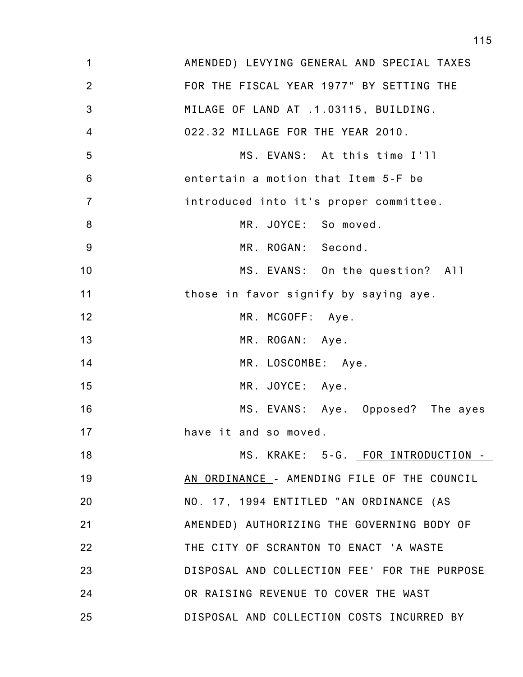| $\mathbf 1$    | AMENDED) LEVYING GENERAL AND SPECIAL TAXES   |
|----------------|----------------------------------------------|
| $\overline{2}$ | FOR THE FISCAL YEAR 1977" BY SETTING THE     |
| 3              | MILAGE OF LAND AT .1.03115, BUILDING.        |
| 4              | 022.32 MILLAGE FOR THE YEAR 2010.            |
| 5              | MS. EVANS: At this time I'll                 |
| 6              | entertain a motion that Item 5-F be          |
| $\overline{7}$ | introduced into it's proper committee.       |
| 8              | MR. JOYCE: So moved.                         |
| 9              | MR. ROGAN: Second.                           |
| 10             | MS. EVANS: On the question? All              |
| 11             | those in favor signify by saying aye.        |
| 12             | MR. MCGOFF: Aye.                             |
| 13             | MR. ROGAN: Aye.                              |
| 14             | MR. LOSCOMBE: Aye.                           |
| 15             | MR. JOYCE: Aye.                              |
| 16             | MS. EVANS: Aye. Opposed? The ayes            |
| 17             | have it and so moved.                        |
| 18             | MS. KRAKE: 5-G. FOR INTRODUCTION -           |
| 19             | AN ORDINANCE - AMENDING FILE OF THE COUNCIL  |
| 20             | NO. 17, 1994 ENTITLED "AN ORDINANCE (AS      |
| 21             | AMENDED) AUTHORIZING THE GOVERNING BODY OF   |
| 22             | THE CITY OF SCRANTON TO ENACT 'A WASTE       |
| 23             | DISPOSAL AND COLLECTION FEE' FOR THE PURPOSE |
| 24             | OR RAISING REVENUE TO COVER THE WAST         |
| 25             | DISPOSAL AND COLLECTION COSTS INCURRED BY    |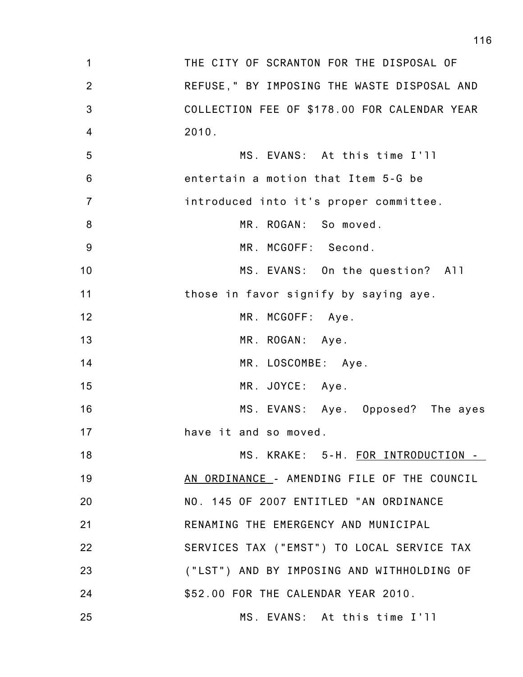| 1              | THE CITY OF SCRANTON FOR THE DISPOSAL OF     |
|----------------|----------------------------------------------|
| $\overline{2}$ | REFUSE," BY IMPOSING THE WASTE DISPOSAL AND  |
| 3              | COLLECTION FEE OF \$178.00 FOR CALENDAR YEAR |
| 4              | 2010.                                        |
| 5              | MS. EVANS: At this time I'll                 |
| $\,6$          | entertain a motion that Item 5-G be          |
| $\overline{7}$ | introduced into it's proper committee.       |
| 8              | MR. ROGAN: So moved.                         |
| $9\,$          | MR. MCGOFF: Second.                          |
| 10             | MS. EVANS: On the question? All              |
| 11             | those in favor signify by saying aye.        |
| 12             | MR. MCGOFF: Aye.                             |
| 13             | MR. ROGAN: Aye.                              |
| 14             | MR. LOSCOMBE: Aye.                           |
| 15             | MR. JOYCE: Aye.                              |
| 16             | MS. EVANS: Aye. Opposed? The ayes            |
| 17             | have it and so moved.                        |
| 18             | MS. KRAKE: 5-H. FOR INTRODUCTION -           |
| 19             | AN ORDINANCE - AMENDING FILE OF THE COUNCIL  |
| 20             | NO. 145 OF 2007 ENTITLED "AN ORDINANCE       |
| 21             | RENAMING THE EMERGENCY AND MUNICIPAL         |
| 22             | SERVICES TAX ("EMST") TO LOCAL SERVICE TAX   |
| 23             | ("LST") AND BY IMPOSING AND WITHHOLDING OF   |
| 24             | \$52.00 FOR THE CALENDAR YEAR 2010.          |
| 25             | MS. EVANS: At this time I'll                 |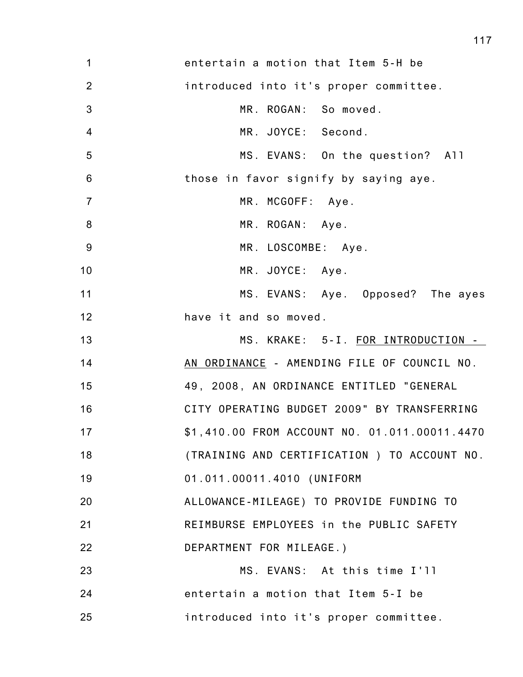1 2 3 4 5 6 7 8 9 10 11 12 13 14 15 16 17 18 19 20 21 22 23 24 25 entertain a motion that Item 5-H be introduced into it's proper committee. MR. ROGAN: So moved. MR. JOYCE: Second. MS. EVANS: On the question? All those in favor signify by saying aye. MR. MCGOFF: Aye. MR. ROGAN: Aye. MR. LOSCOMBE: Aye. MR. JOYCE: Aye. MS. EVANS: Aye. Opposed? The ayes have it and so moved. MS. KRAKE: 5-I. FOR INTRODUCTION - AN ORDINANCE - AMENDING FILE OF COUNCIL NO. 49, 2008, AN ORDINANCE ENTITLED "GENERAL CITY OPERATING BUDGET 2009" BY TRANSFERRING \$1,410.00 FROM ACCOUNT NO. 01.011.00011.4470 (TRAINING AND CERTIFICATION ) TO ACCOUNT NO. 01.011.00011.4010 (UNIFORM ALLOWANCE-MILEAGE) TO PROVIDE FUNDING TO REIMBURSE EMPLOYEES in the PUBLIC SAFETY DEPARTMENT FOR MILEAGE.) MS. EVANS: At this time I'll entertain a motion that Item 5-I be introduced into it's proper committee.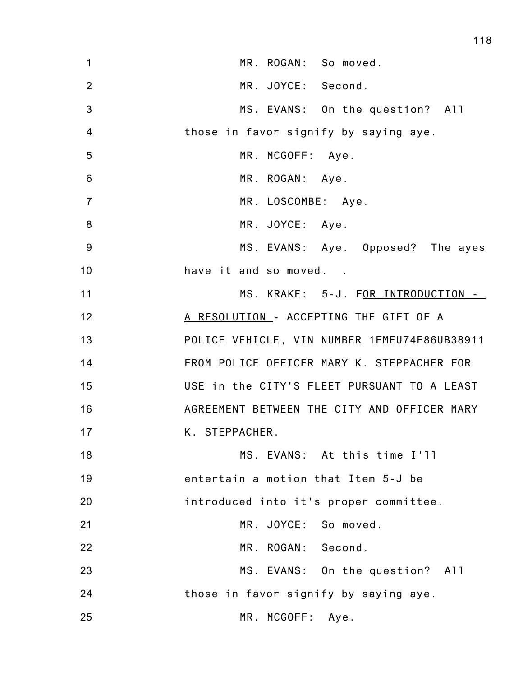1 2 3 4 5 6 7 8 9 10 11 12 13 14 15 16 17 18 19 20 21 22 23 24 25 MR. ROGAN: So moved. MR. JOYCE: Second. MS. EVANS: On the question? All those in favor signify by saying aye. MR. MCGOFF: Aye. MR. ROGAN: Aye. MR. LOSCOMBE: Aye. MR. JOYCE: Aye. MS. EVANS: Aye. Opposed? The ayes have it and so moved. MS. KRAKE: 5-J. FOR INTRODUCTION - A RESOLUTION - ACCEPTING THE GIFT OF A POLICE VEHICLE, VIN NUMBER 1FMEU74E86UB38911 FROM POLICE OFFICER MARY K. STEPPACHER FOR USE in the CITY'S FLEET PURSUANT TO A LEAST AGREEMENT BETWEEN THE CITY AND OFFICER MARY K. STEPPACHER. MS. EVANS: At this time I'll entertain a motion that Item 5-J be introduced into it's proper committee. MR. JOYCE: So moved. MR. ROGAN: Second. MS. EVANS: On the question? All those in favor signify by saying aye. MR. MCGOFF: Aye.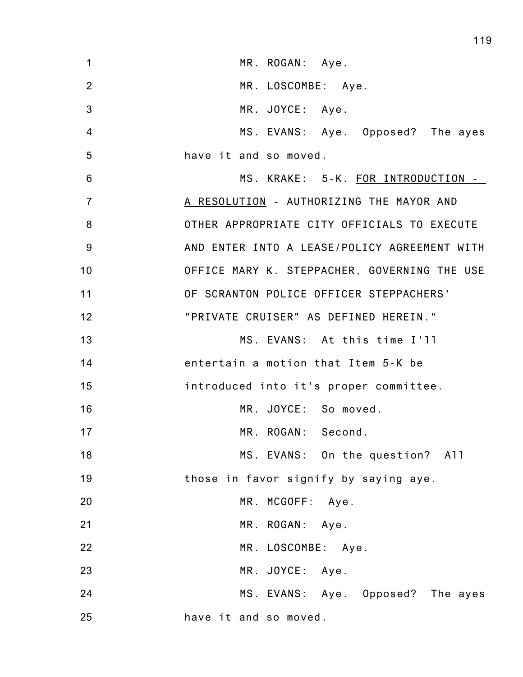1 2 3 4 5 6 7 8 9 10 11 12 13 14 15 16 17 18 19 20 21 22 23 24 25 MR. ROGAN: Aye. MR. LOSCOMBE: Aye. MR. JOYCE: Aye. MS. EVANS: Aye. Opposed? The ayes have it and so moved. MS. KRAKE: 5-K. FOR INTRODUCTION - A RESOLUTION - AUTHORIZING THE MAYOR AND OTHER APPROPRIATE CITY OFFICIALS TO EXECUTE AND ENTER INTO A LEASE/POLICY AGREEMENT WITH OFFICE MARY K. STEPPACHER, GOVERNING THE USE OF SCRANTON POLICE OFFICER STEPPACHERS' "PRIVATE CRUISER" AS DEFINED HEREIN." MS. EVANS: At this time I'll entertain a motion that Item 5-K be introduced into it's proper committee. MR. JOYCE: So moved. MR. ROGAN: Second. MS. EVANS: On the question? All those in favor signify by saying aye. MR. MCGOFF: Aye. MR. ROGAN: Aye. MR. LOSCOMBE: Aye. MR. JOYCE: Aye. MS. EVANS: Aye. Opposed? The ayes have it and so moved.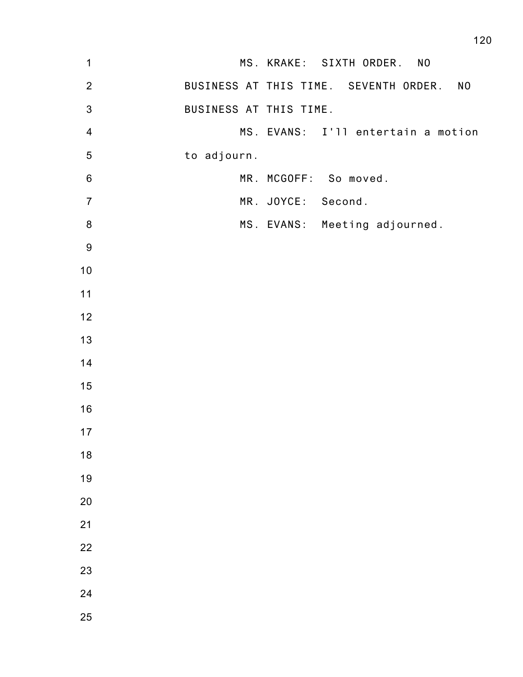| $\mathbf 1$     |                        |                    | MS. KRAKE: SIXTH ORDER. NO                              |
|-----------------|------------------------|--------------------|---------------------------------------------------------|
| $\overline{2}$  |                        |                    | BUSINESS AT THIS TIME. SEVENTH ORDER.<br>N <sub>0</sub> |
| $\mathbf{3}$    | BUSINESS AT THIS TIME. |                    |                                                         |
| $\overline{4}$  |                        |                    | MS. EVANS: I'll entertain a motion                      |
| $\overline{5}$  | to adjourn.            |                    |                                                         |
| $\,6$           |                        |                    | MR. MCGOFF: So moved.                                   |
| $\overline{7}$  |                        | MR. JOYCE: Second. |                                                         |
| $\,8\,$         |                        |                    | MS. EVANS: Meeting adjourned.                           |
| 9               |                        |                    |                                                         |
| 10              |                        |                    |                                                         |
| 11              |                        |                    |                                                         |
| 12              |                        |                    |                                                         |
| 13              |                        |                    |                                                         |
| 14              |                        |                    |                                                         |
| 15              |                        |                    |                                                         |
| 16              |                        |                    |                                                         |
| 17              |                        |                    |                                                         |
| 18              |                        |                    |                                                         |
| 19              |                        |                    |                                                         |
| 20              |                        |                    |                                                         |
| $\overline{21}$ |                        |                    |                                                         |
| 22              |                        |                    |                                                         |
| 23              |                        |                    |                                                         |
| 24              |                        |                    |                                                         |
| 25              |                        |                    |                                                         |